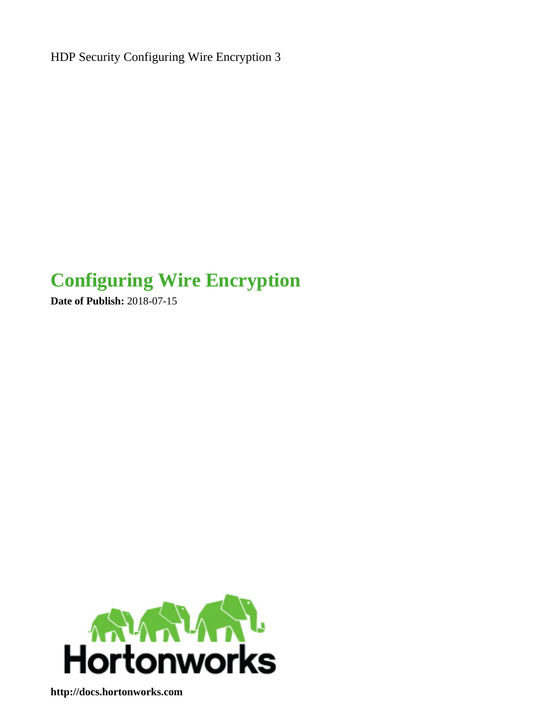HDP Security Configuring Wire Encryption 3

# **Configuring Wire Encryption**

**Date of Publish:** 2018-07-15



**<http://docs.hortonworks.com>**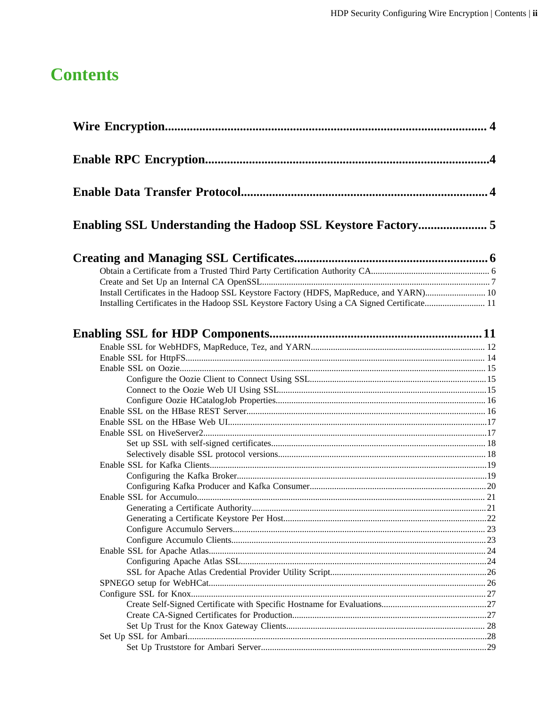# **Contents**

| Install Certificates in the Hadoop SSL Keystore Factory (HDFS, MapReduce, and YARN) 10      |  |
|---------------------------------------------------------------------------------------------|--|
| Installing Certificates in the Hadoop SSL Keystore Factory Using a CA Signed Certificate 11 |  |
|                                                                                             |  |
|                                                                                             |  |
|                                                                                             |  |
|                                                                                             |  |
|                                                                                             |  |
|                                                                                             |  |
|                                                                                             |  |
|                                                                                             |  |
|                                                                                             |  |
|                                                                                             |  |
|                                                                                             |  |
|                                                                                             |  |
|                                                                                             |  |
|                                                                                             |  |
|                                                                                             |  |
|                                                                                             |  |
|                                                                                             |  |
|                                                                                             |  |
|                                                                                             |  |
|                                                                                             |  |
|                                                                                             |  |
|                                                                                             |  |
|                                                                                             |  |
|                                                                                             |  |
|                                                                                             |  |
|                                                                                             |  |
|                                                                                             |  |
|                                                                                             |  |
|                                                                                             |  |
|                                                                                             |  |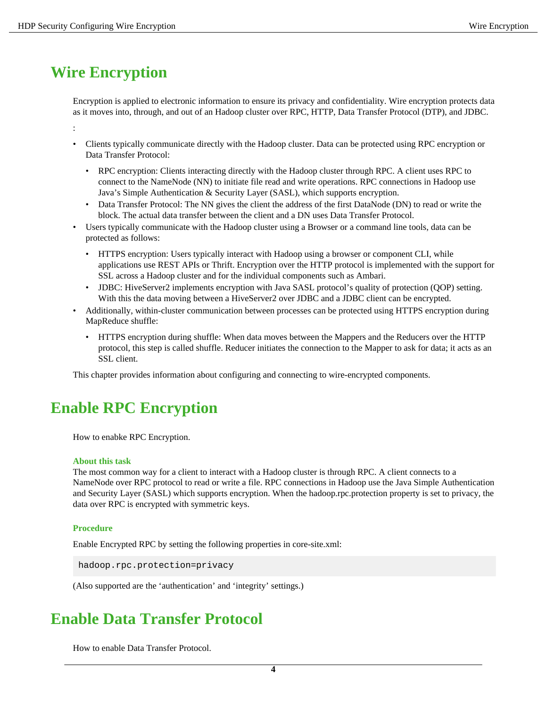# <span id="page-3-0"></span>**Wire Encryption**

Encryption is applied to electronic information to ensure its privacy and confidentiality. Wire encryption protects data as it moves into, through, and out of an Hadoop cluster over RPC, HTTP, Data Transfer Protocol (DTP), and JDBC.

:

- Clients typically communicate directly with the Hadoop cluster. Data can be protected using RPC encryption or Data Transfer Protocol:
	- RPC encryption: Clients interacting directly with the Hadoop cluster through RPC. A client uses RPC to connect to the NameNode (NN) to initiate file read and write operations. RPC connections in Hadoop use Java's Simple Authentication & Security Layer (SASL), which supports encryption.
	- Data Transfer Protocol: The NN gives the client the address of the first DataNode (DN) to read or write the block. The actual data transfer between the client and a DN uses Data Transfer Protocol.
- Users typically communicate with the Hadoop cluster using a Browser or a command line tools, data can be protected as follows:
	- HTTPS encryption: Users typically interact with Hadoop using a browser or component CLI, while applications use REST APIs or Thrift. Encryption over the HTTP protocol is implemented with the support for SSL across a Hadoop cluster and for the individual components such as Ambari.
	- JDBC: HiveServer2 implements encryption with Java SASL protocol's quality of protection (OOP) setting. With this the data moving between a HiveServer2 over JDBC and a JDBC client can be encrypted.
- Additionally, within-cluster communication between processes can be protected using HTTPS encryption during MapReduce shuffle:
	- HTTPS encryption during shuffle: When data moves between the Mappers and the Reducers over the HTTP protocol, this step is called shuffle. Reducer initiates the connection to the Mapper to ask for data; it acts as an SSL client.

This chapter provides information about configuring and connecting to wire-encrypted components.

# <span id="page-3-1"></span>**Enable RPC Encryption**

How to enabke RPC Encryption.

#### **About this task**

The most common way for a client to interact with a Hadoop cluster is through RPC. A client connects to a NameNode over RPC protocol to read or write a file. RPC connections in Hadoop use the Java Simple Authentication and Security Layer (SASL) which supports encryption. When the hadoop.rpc.protection property is set to privacy, the data over RPC is encrypted with symmetric keys.

### **Procedure**

Enable Encrypted RPC by setting the following properties in core-site.xml:

hadoop.rpc.protection=privacy

(Also supported are the 'authentication' and 'integrity' settings.)

# <span id="page-3-2"></span>**Enable Data Transfer Protocol**

How to enable Data Transfer Protocol.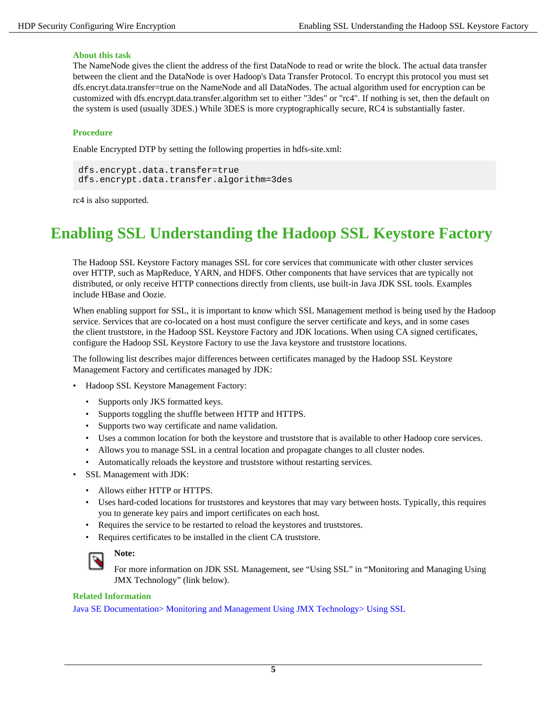### **About this task**

The NameNode gives the client the address of the first DataNode to read or write the block. The actual data transfer between the client and the DataNode is over Hadoop's Data Transfer Protocol. To encrypt this protocol you must set dfs.encryt.data.transfer=true on the NameNode and all DataNodes. The actual algorithm used for encryption can be customized with dfs.encrypt.data.transfer.algorithm set to either "3des" or "rc4". If nothing is set, then the default on the system is used (usually 3DES.) While 3DES is more cryptographically secure, RC4 is substantially faster.

### **Procedure**

Enable Encrypted DTP by setting the following properties in hdfs-site.xml:

dfs.encrypt.data.transfer=true dfs.encrypt.data.transfer.algorithm=3des

rc4 is also supported.

# <span id="page-4-0"></span>**Enabling SSL Understanding the Hadoop SSL Keystore Factory**

The Hadoop SSL Keystore Factory manages SSL for core services that communicate with other cluster services over HTTP, such as MapReduce, YARN, and HDFS. Other components that have services that are typically not distributed, or only receive HTTP connections directly from clients, use built-in Java JDK SSL tools. Examples include HBase and Oozie.

When enabling support for SSL, it is important to know which SSL Management method is being used by the Hadoop service. Services that are co-located on a host must configure the server certificate and keys, and in some cases the client truststore, in the Hadoop SSL Keystore Factory and JDK locations. When using CA signed certificates, configure the Hadoop SSL Keystore Factory to use the Java keystore and truststore locations.

The following list describes major differences between certificates managed by the Hadoop SSL Keystore Management Factory and certificates managed by JDK:

- Hadoop SSL Keystore Management Factory:
	- Supports only JKS formatted keys.
	- Supports toggling the shuffle between HTTP and HTTPS.
	- Supports two way certificate and name validation.
	- Uses a common location for both the keystore and truststore that is available to other Hadoop core services.
	- Allows you to manage SSL in a central location and propagate changes to all cluster nodes.
	- Automatically reloads the keystore and truststore without restarting services.
- SSL Management with JDK:
	- Allows either HTTP or HTTPS.
	- Uses hard-coded locations for truststores and keystores that may vary between hosts. Typically, this requires you to generate key pairs and import certificates on each host.
	- Requires the service to be restarted to reload the keystores and truststores.
	- Requires certificates to be installed in the client CA truststore.



### **Note:**

For more information on JDK SSL Management, see "Using SSL" in "Monitoring and Managing Using JMX Technology" (link below).

### **Related Information**

[Java SE Documentation> Monitoring and Management Using JMX Technology> Using SSL](https://docs.oracle.com/javase/7/docs/technotes/guides/management/agent.html)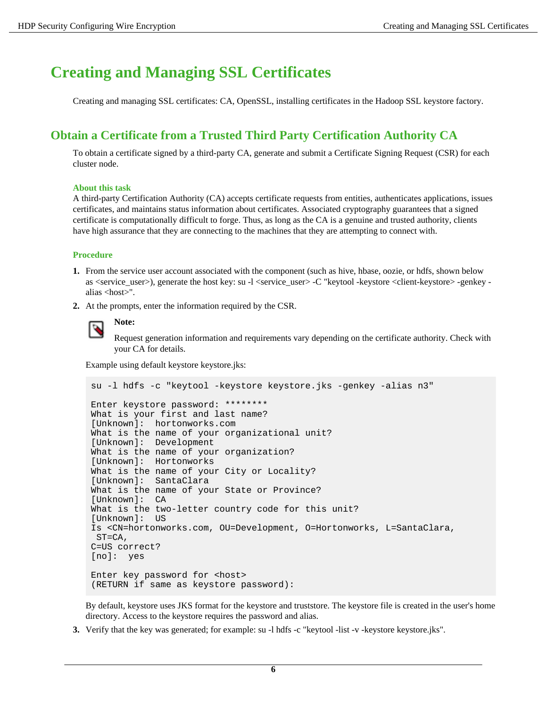# <span id="page-5-0"></span>**Creating and Managing SSL Certificates**

Creating and managing SSL certificates: CA, OpenSSL, installing certificates in the Hadoop SSL keystore factory.

# <span id="page-5-1"></span>**Obtain a Certificate from a Trusted Third Party Certification Authority CA**

To obtain a certificate signed by a third-party CA, generate and submit a Certificate Signing Request (CSR) for each cluster node.

### **About this task**

A third-party Certification Authority (CA) accepts certificate requests from entities, authenticates applications, issues certificates, and maintains status information about certificates. Associated cryptography guarantees that a signed certificate is computationally difficult to forge. Thus, as long as the CA is a genuine and trusted authority, clients have high assurance that they are connecting to the machines that they are attempting to connect with.

### **Procedure**

- **1.** From the service user account associated with the component (such as hive, hbase, oozie, or hdfs, shown below as <service\_user>), generate the host key: su -l <service\_user> -C "keytool -keystore <client-keystore> -genkey alias <host>".
- **2.** At the prompts, enter the information required by the CSR.

#### **Note:** ۹

Request generation information and requirements vary depending on the certificate authority. Check with your CA for details.

Example using default keystore keystore.jks:

```
su -l hdfs -c "keytool -keystore keystore.jks -genkey -alias n3"
Enter keystore password: ********
What is your first and last name?
[Unknown]: hortonworks.com
What is the name of your organizational unit?
[Unknown]: Development
What is the name of your organization?
[Unknown]: Hortonworks
What is the name of your City or Locality?
[Unknown]: SantaClara
What is the name of your State or Province?
[Unknown]: CA
What is the two-letter country code for this unit?
[Unknown]: US
Is <CN=hortonworks.com, OU=Development, O=Hortonworks, L=SantaClara,
  ST=CA, 
C=US correct?
[no]: yes
Enter key password for <host>
(RETURN if same as keystore password):
```
By default, keystore uses JKS format for the keystore and truststore. The keystore file is created in the user's home directory. Access to the keystore requires the password and alias.

**3.** Verify that the key was generated; for example: su -l hdfs -c "keytool -list -v -keystore keystore.jks".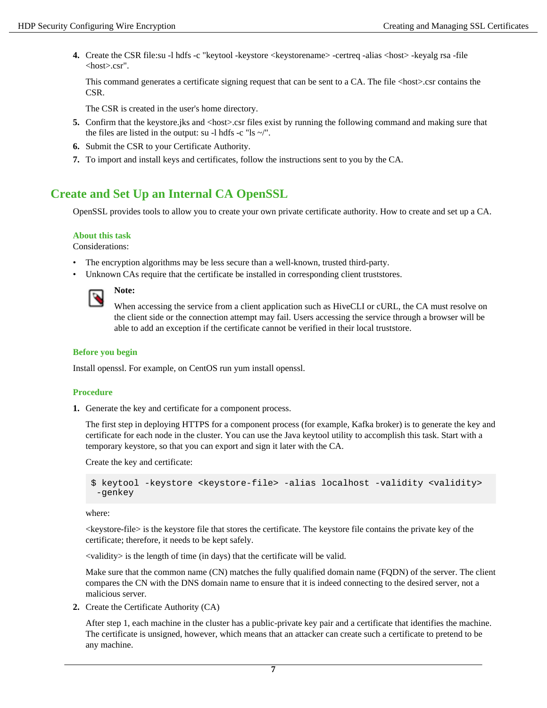**4.** Create the CSR file:su -l hdfs -c "keytool -keystore <keystorename> -certreq -alias <host> -keyalg rsa -file <host>.csr".

This command generates a certificate signing request that can be sent to a CA. The file <host>.csr contains the CSR.

The CSR is created in the user's home directory.

- **5.** Confirm that the keystore.jks and <host>.csr files exist by running the following command and making sure that the files are listed in the output: su -l hdfs -c "ls  $\sim$ ".
- **6.** Submit the CSR to your Certificate Authority.
- **7.** To import and install keys and certificates, follow the instructions sent to you by the CA.

# <span id="page-6-0"></span>**Create and Set Up an Internal CA OpenSSL**

OpenSSL provides tools to allow you to create your own private certificate authority. How to create and set up a CA.

### **About this task**

Considerations:

- The encryption algorithms may be less secure than a well-known, trusted third-party.
- Unknown CAs require that the certificate be installed in corresponding client truststores.



**Note:**

When accessing the service from a client application such as HiveCLI or cURL, the CA must resolve on the client side or the connection attempt may fail. Users accessing the service through a browser will be able to add an exception if the certificate cannot be verified in their local truststore.

### **Before you begin**

Install openssl. For example, on CentOS run yum install openssl.

### **Procedure**

**1.** Generate the key and certificate for a component process.

The first step in deploying HTTPS for a component process (for example, Kafka broker) is to generate the key and certificate for each node in the cluster. You can use the Java keytool utility to accomplish this task. Start with a temporary keystore, so that you can export and sign it later with the CA.

Create the key and certificate:

```
$ keytool -keystore <keystore-file> -alias localhost -validity <validity>
  -genkey
```
where:

<keystore-file> is the keystore file that stores the certificate. The keystore file contains the private key of the certificate; therefore, it needs to be kept safely.

<validity> is the length of time (in days) that the certificate will be valid.

Make sure that the common name (CN) matches the fully qualified domain name (FQDN) of the server. The client compares the CN with the DNS domain name to ensure that it is indeed connecting to the desired server, not a malicious server.

**2.** Create the Certificate Authority (CA)

After step 1, each machine in the cluster has a public-private key pair and a certificate that identifies the machine. The certificate is unsigned, however, which means that an attacker can create such a certificate to pretend to be any machine.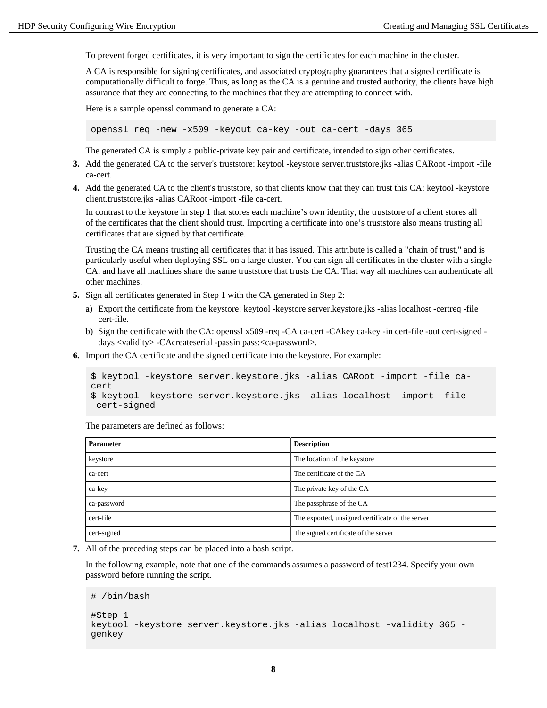To prevent forged certificates, it is very important to sign the certificates for each machine in the cluster.

A CA is responsible for signing certificates, and associated cryptography guarantees that a signed certificate is computationally difficult to forge. Thus, as long as the CA is a genuine and trusted authority, the clients have high assurance that they are connecting to the machines that they are attempting to connect with.

Here is a sample openssl command to generate a CA:

openssl req -new -x509 -keyout ca-key -out ca-cert -days 365

The generated CA is simply a public-private key pair and certificate, intended to sign other certificates.

- **3.** Add the generated CA to the server's truststore: keytool -keystore server.truststore.jks -alias CARoot -import -file ca-cert.
- **4.** Add the generated CA to the client's truststore, so that clients know that they can trust this CA: keytool -keystore client.truststore.jks -alias CARoot -import -file ca-cert.

In contrast to the keystore in step 1 that stores each machine's own identity, the truststore of a client stores all of the certificates that the client should trust. Importing a certificate into one's truststore also means trusting all certificates that are signed by that certificate.

Trusting the CA means trusting all certificates that it has issued. This attribute is called a "chain of trust," and is particularly useful when deploying SSL on a large cluster. You can sign all certificates in the cluster with a single CA, and have all machines share the same truststore that trusts the CA. That way all machines can authenticate all other machines.

- **5.** Sign all certificates generated in Step 1 with the CA generated in Step 2:
	- a) Export the certificate from the keystore: keytool -keystore server.keystore.jks -alias localhost -certreq -file cert-file.
	- b) Sign the certificate with the CA: openssl x509 -req -CA ca-cert -CAkey ca-key -in cert-file -out cert-signed days <validity> -CAcreateserial -passin pass:<ca-password>.
- **6.** Import the CA certificate and the signed certificate into the keystore. For example:

```
$ keytool -keystore server.keystore.jks -alias CARoot -import -file ca-
cert 
$ keytool -keystore server.keystore.jks -alias localhost -import -file
  cert-signed
```
The parameters are defined as follows:

| <b>Parameter</b> | <b>Description</b>                               |
|------------------|--------------------------------------------------|
| keystore         | The location of the keystore                     |
| ca-cert          | The certificate of the CA                        |
| ca-key           | The private key of the CA                        |
| ca-password      | The passphrase of the CA                         |
| cert-file        | The exported, unsigned certificate of the server |
| cert-signed      | The signed certificate of the server             |

**7.** All of the preceding steps can be placed into a bash script.

In the following example, note that one of the commands assumes a password of test1234. Specify your own password before running the script.

#!/bin/bash

```
#Step 1
keytool -keystore server.keystore.jks -alias localhost -validity 365 -
genkey
```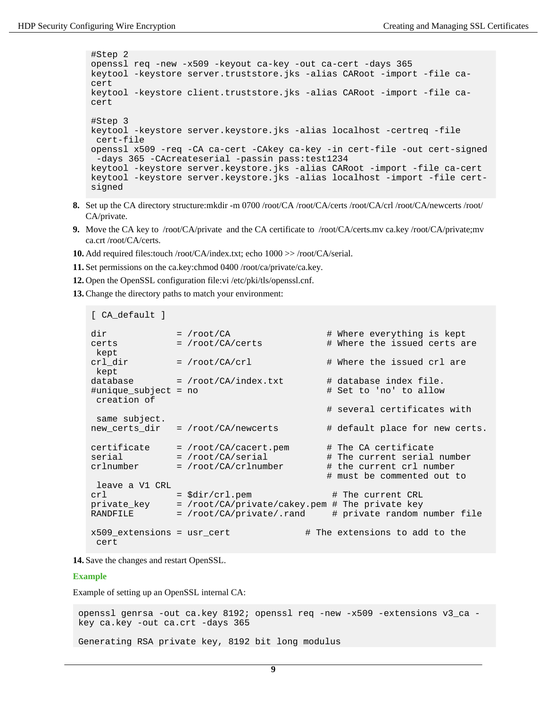```
#Step 2
openssl req -new -x509 -keyout ca-key -out ca-cert -days 365
keytool -keystore server.truststore.jks -alias CARoot -import -file ca-
cert
keytool -keystore client.truststore.jks -alias CARoot -import -file ca-
cert
#Step 3 
keytool -keystore server.keystore.jks -alias localhost -certreq -file
 cert-file
openssl x509 -req -CA ca-cert -CAkey ca-key -in cert-file -out cert-signed
  -days 365 -CAcreateserial -passin pass:test1234
keytool -keystore server.keystore.jks -alias CARoot -import -file ca-cert
keytool -keystore server.keystore.jks -alias localhost -import -file cert-
signed
```
- **8.** Set up the CA directory structure:mkdir -m 0700 /root/CA /root/CA/certs /root/CA/crl /root/CA/newcerts /root/ CA/private.
- **9.** Move the CA key to /root/CA/private and the CA certificate to /root/CA/certs.mv ca.key /root/CA/private;mv ca.crt /root/CA/certs.
- **10.** Add required files:touch /root/CA/index.txt; echo 1000 >> /root/CA/serial.
- **11.**Set permissions on the ca.key:chmod 0400 /root/ca/private/ca.key.
- **12.** Open the OpenSSL configuration file:vi /etc/pki/tls/openssl.cnf.
- **13.** Change the directory paths to match your environment:

```
[ CA_default ]
dir = /root/CA # Where everything is kept
certs = /root/CA/certs # Where the issued certs are
 kept
cr1\_dir = /root/CA/crl \qquad # Where the issued crl are
 kept
database = /root/CA/index.txt \# database index file.
#unique_subject = no # Set to 'no' to allow
 creation of
                                        # several certificates with
 same subject.
new_certs_dir = /root/CA/newcerts # default place for new certs.
certificate = /root/CA/cacert.pem # The CA certificate
serial = /root/CA/serial + The current serial number<br>crlnumber = /root/CA/crlnumber + the current crl number
             = /root/CA/crlnumber # the current crl number
                                        # must be commented out to
 leave a V1 CRL
crl = $div/cr1. pem \qquad # The current CRL
private_key = /root/CA/private/cakey.pem # The private key
RANDFILE = /root/CA/private/.rand \# private random number file
x509 extensions = usr cert \qquad # The extensions to add to the
  cert
```
**14.**Save the changes and restart OpenSSL.

#### **Example**

Example of setting up an OpenSSL internal CA:

openssl genrsa -out ca.key 8192; openssl req -new -x509 -extensions v3\_ca key ca.key -out ca.crt -days 365 Generating RSA private key, 8192 bit long modulus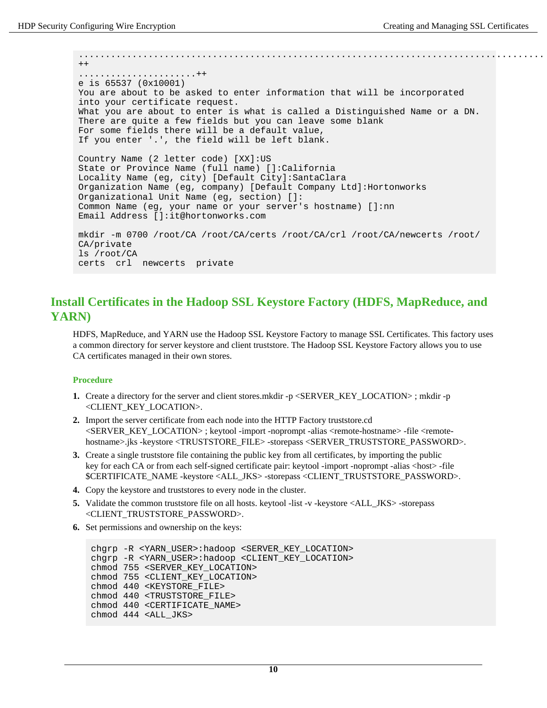.......................................................................................  $++$ ......................++ e is 65537 (0x10001) You are about to be asked to enter information that will be incorporated into your certificate request. What you are about to enter is what is called a Distinguished Name or a DN. There are quite a few fields but you can leave some blank For some fields there will be a default value, If you enter '.', the field will be left blank. Country Name (2 letter code) [XX]:US State or Province Name (full name) []:California Locality Name (eg, city) [Default City]:SantaClara Organization Name (eg, company) [Default Company Ltd]:Hortonworks Organizational Unit Name (eg, section) []: Common Name (eg, your name or your server's hostname) []:nn Email Address []:it@hortonworks.com mkdir -m 0700 /root/CA /root/CA/certs /root/CA/crl /root/CA/newcerts /root/ CA/private ls /root/CA certs crl newcerts private

# <span id="page-9-0"></span>**Install Certificates in the Hadoop SSL Keystore Factory (HDFS, MapReduce, and YARN)**

HDFS, MapReduce, and YARN use the Hadoop SSL Keystore Factory to manage SSL Certificates. This factory uses a common directory for server keystore and client truststore. The Hadoop SSL Keystore Factory allows you to use CA certificates managed in their own stores.

### **Procedure**

- **1.** Create a directory for the server and client stores.mkdir -p <SERVER KEY LOCATION>; mkdir -p <CLIENT\_KEY\_LOCATION>.
- **2.** Import the server certificate from each node into the HTTP Factory truststore.cd <SERVER\_KEY\_LOCATION> ; keytool -import -noprompt -alias <remote-hostname> -file <remotehostname>.jks -keystore <TRUSTSTORE\_FILE> -storepass <SERVER\_TRUSTSTORE\_PASSWORD>.
- **3.** Create a single truststore file containing the public key from all certificates, by importing the public key for each CA or from each self-signed certificate pair: keytool -import -noprompt -alias <host> -file \$CERTIFICATE\_NAME -keystore <ALL\_JKS> -storepass <CLIENT\_TRUSTSTORE\_PASSWORD>.
- **4.** Copy the keystore and truststores to every node in the cluster.
- **5.** Validate the common truststore file on all hosts. keytool -list -v -keystore <ALL JKS> -storepass <CLIENT\_TRUSTSTORE\_PASSWORD>.
- **6.** Set permissions and ownership on the keys:

```
chgrp -R <YARN_USER>:hadoop <SERVER_KEY_LOCATION>
chgrp -R <YARN_USER>:hadoop <CLIENT_KEY_LOCATION>
chmod 755 <SERVER_KEY_LOCATION>
chmod 755 <CLIENT_KEY_LOCATION>
chmod 440 <KEYSTORE_FILE>
chmod 440 <TRUSTSTORE_FILE>
chmod 440 <CERTIFICATE_NAME>
chmod 444 <ALL_JKS>
```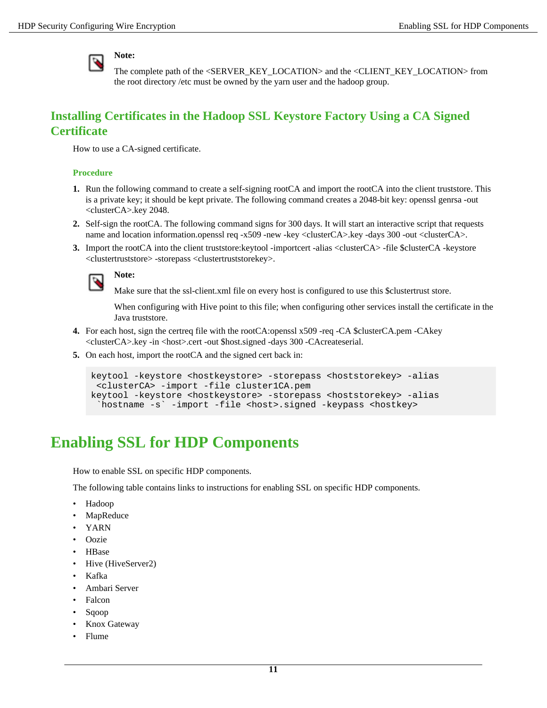

The complete path of the <SERVER\_KEY\_LOCATION> and the <CLIENT\_KEY\_LOCATION> from the root directory /etc must be owned by the yarn user and the hadoop group.

# <span id="page-10-0"></span>**Installing Certificates in the Hadoop SSL Keystore Factory Using a CA Signed Certificate**

How to use a CA-signed certificate.

### **Procedure**

- **1.** Run the following command to create a self-signing rootCA and import the rootCA into the client truststore. This is a private key; it should be kept private. The following command creates a 2048-bit key: openssl genrsa -out <clusterCA>.key 2048.
- **2.** Self-sign the rootCA. The following command signs for 300 days. It will start an interactive script that requests name and location information.openssl req -x509 -new -key <clusterCA>.key -days 300 -out <clusterCA>.
- **3.** Import the rootCA into the client truststore: keytool -importcert -alias <clusterCA> -file \$clusterCA -keystore <clustertruststore> -storepass <clustertruststorekey>.



**Note:**

Make sure that the ssl-client.xml file on every host is configured to use this \$clustertrust store.

When configuring with Hive point to this file; when configuring other services install the certificate in the Java truststore.

- **4.** For each host, sign the certreq file with the rootCA:openssl x509 -req -CA \$clusterCA.pem -CAkey <clusterCA>.key -in <host>.cert -out \$host.signed -days 300 -CAcreateserial.
- **5.** On each host, import the rootCA and the signed cert back in:

```
keytool -keystore <hostkeystore> -storepass <hoststorekey> -alias
  <clusterCA> -import -file cluster1CA.pem
keytool -keystore <hostkeystore> -storepass <hoststorekey> -alias
  `hostname -s` -import -file <host>.signed -keypass <hostkey>
```
# <span id="page-10-1"></span>**Enabling SSL for HDP Components**

How to enable SSL on specific HDP components.

The following table contains links to instructions for enabling SSL on specific HDP components.

- Hadoop
- **MapReduce**
- YARN
- Oozie
- HBase
- Hive (HiveServer2)
- Kafka
- Ambari Server
- Falcon
- Sqoop
- Knox Gateway
- Flume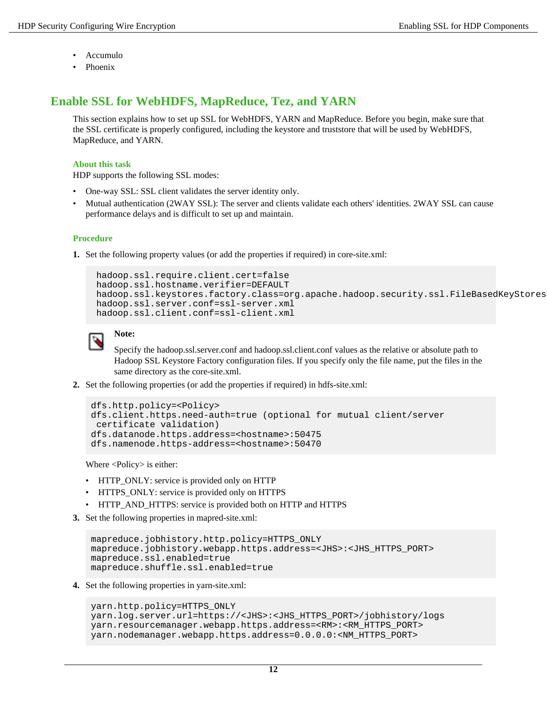- Accumulo
- Phoenix

# <span id="page-11-0"></span>**Enable SSL for WebHDFS, MapReduce, Tez, and YARN**

This section explains how to set up SSL for WebHDFS, YARN and MapReduce. Before you begin, make sure that the SSL certificate is properly configured, including the keystore and truststore that will be used by WebHDFS, MapReduce, and YARN.

### **About this task**

HDP supports the following SSL modes:

- One-way SSL: SSL client validates the server identity only.
- Mutual authentication (2WAY SSL): The server and clients validate each others' identities. 2WAY SSL can cause performance delays and is difficult to set up and maintain.

### **Procedure**

**1.** Set the following property values (or add the properties if required) in core-site.xml:

```
 hadoop.ssl.require.client.cert=false 
 hadoop.ssl.hostname.verifier=DEFAULT 
hadoop.ssl.keystores.factory.class=org.apache.hadoop.security.ssl.FileBasedKeyStores
 hadoop.ssl.server.conf=ssl-server.xml 
 hadoop.ssl.client.conf=ssl-client.xml
```


# **Note:**

Specify the hadoop.ssl.server.conf and hadoop.ssl.client.conf values as the relative or absolute path to Hadoop SSL Keystore Factory configuration files. If you specify only the file name, put the files in the same directory as the core-site.xml.

**2.** Set the following properties (or add the properties if required) in hdfs-site.xml:

```
dfs.http.policy=<Policy> 
dfs.client.https.need-auth=true (optional for mutual client/server
  certificate validation)
dfs.datanode.https.address=<hostname>:50475 
dfs.namenode.https-address=<hostname>:50470
```
Where <Policy> is either:

- HTTP\_ONLY: service is provided only on HTTP
- HTTPS ONLY: service is provided only on HTTPS
- HTTP\_AND\_HTTPS: service is provided both on HTTP and HTTPS
- **3.** Set the following properties in mapred-site.xml:

```
mapreduce.jobhistory.http.policy=HTTPS_ONLY
mapreduce.jobhistory.webapp.https.address=<JHS>:<JHS_HTTPS_PORT>
mapreduce.ssl.enabled=true
mapreduce.shuffle.ssl.enabled=true
```
**4.** Set the following properties in yarn-site.xml:

```
yarn.http.policy=HTTPS_ONLY
yarn.log.server.url=https://<JHS>:<JHS_HTTPS_PORT>/jobhistory/logs
yarn.resourcemanager.webapp.https.address=<RM>:<RM_HTTPS_PORT> 
yarn.nodemanager.webapp.https.address=0.0.0.0:<NM_HTTPS_PORT>
```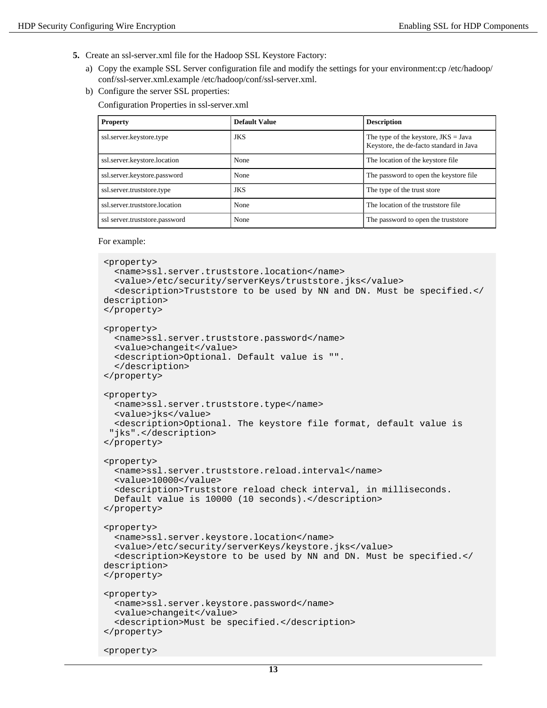- **5.** Create an ssl-server.xml file for the Hadoop SSL Keystore Factory:
	- a) Copy the example SSL Server configuration file and modify the settings for your environment:cp /etc/hadoop/ conf/ssl-server.xml.example /etc/hadoop/conf/ssl-server.xml.
	- b) Configure the server SSL properties:

Configuration Properties in ssl-server.xml

| <b>Property</b>                | <b>Default Value</b> | <b>Description</b>                                                                |
|--------------------------------|----------------------|-----------------------------------------------------------------------------------|
| ssl.server.keystore.type       | <b>JKS</b>           | The type of the keystore, $JKS = Java$<br>Keystore, the de-facto standard in Java |
| ssl.server.keystore.location   | None                 | The location of the keystore file                                                 |
| ssl.server.keystore.password   | None                 | The password to open the keystore file.                                           |
| ssl.server.truststore.type     | <b>JKS</b>           | The type of the trust store                                                       |
| ssl.server.truststore.location | None                 | The location of the truststore file                                               |
| ssl server.truststore.password | None                 | The password to open the truststore                                               |

For example:

```
<property>
   <name>ssl.server.truststore.location</name>
   <value>/etc/security/serverKeys/truststore.jks</value>
   <description>Truststore to be used by NN and DN. Must be specified.</
description>
</property>
<property>
   <name>ssl.server.truststore.password</name>
   <value>changeit</value>
   <description>Optional. Default value is "".
   </description>
</property>
<property>
   <name>ssl.server.truststore.type</name>
   <value>jks</value>
   <description>Optional. The keystore file format, default value is
  "jks".</description>
</property>
<property>
   <name>ssl.server.truststore.reload.interval</name>
   <value>10000</value>
   <description>Truststore reload check interval, in milliseconds.
   Default value is 10000 (10 seconds).</description>
</property>
<property>
   <name>ssl.server.keystore.location</name>
   <value>/etc/security/serverKeys/keystore.jks</value>
   <description>Keystore to be used by NN and DN. Must be specified.</
description>
</property>
<property>
   <name>ssl.server.keystore.password</name>
   <value>changeit</value>
   <description>Must be specified.</description>
</property>
<property>
```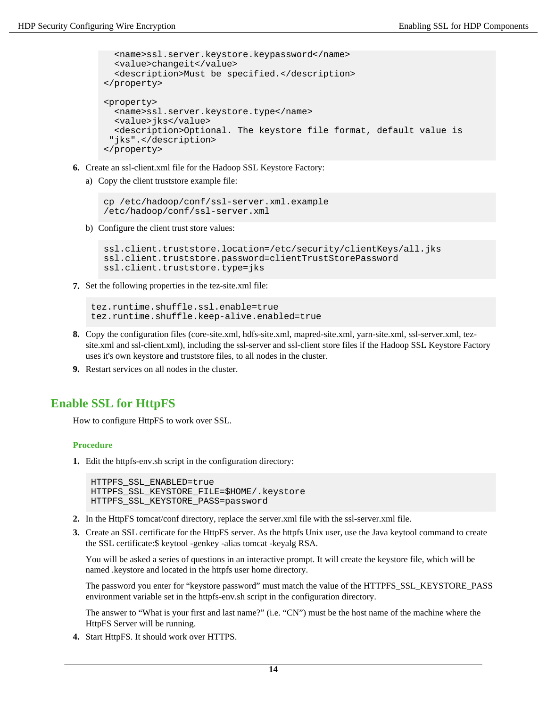```
 <name>ssl.server.keystore.keypassword</name>
   <value>changeit</value>
   <description>Must be specified.</description>
</property>
<property>
   <name>ssl.server.keystore.type</name>
   <value>jks</value>
   <description>Optional. The keystore file format, default value is
  "jks".</description>
</property>
```
- **6.** Create an ssl-client.xml file for the Hadoop SSL Keystore Factory:
	- a) Copy the client truststore example file:

```
cp /etc/hadoop/conf/ssl-server.xml.example 
/etc/hadoop/conf/ssl-server.xml
```
b) Configure the client trust store values:

```
ssl.client.truststore.location=/etc/security/clientKeys/all.jks
ssl.client.truststore.password=clientTrustStorePassword
ssl.client.truststore.type=jks
```
**7.** Set the following properties in the tez-site.xml file:

```
tez.runtime.shuffle.ssl.enable=true
tez.runtime.shuffle.keep-alive.enabled=true
```
- **8.** Copy the configuration files (core-site.xml, hdfs-site.xml, mapred-site.xml, yarn-site.xml, ssl-server.xml, tezsite.xml and ssl-client.xml), including the ssl-server and ssl-client store files if the Hadoop SSL Keystore Factory uses it's own keystore and truststore files, to all nodes in the cluster.
- **9.** Restart services on all nodes in the cluster.

# <span id="page-13-0"></span>**Enable SSL for HttpFS**

How to configure HttpFS to work over SSL.

### **Procedure**

**1.** Edit the httpfs-env.sh script in the configuration directory:

```
HTTPFS_SSL_ENABLED=true
HTTPFS_SSL_KEYSTORE_FILE=$HOME/.keystore 
HTTPFS_SSL_KEYSTORE_PASS=password
```
- **2.** In the HttpFS tomcat/conf directory, replace the server.xml file with the ssl-server.xml file.
- **3.** Create an SSL certificate for the HttpFS server. As the httpfs Unix user, use the Java keytool command to create the SSL certificate:\$ keytool -genkey -alias tomcat -keyalg RSA.

You will be asked a series of questions in an interactive prompt. It will create the keystore file, which will be named .keystore and located in the httpfs user home directory.

The password you enter for "keystore password" must match the value of the HTTPFS\_SSL\_KEYSTORE\_PASS environment variable set in the httpfs-env.sh script in the configuration directory.

The answer to "What is your first and last name?" (i.e. "CN") must be the host name of the machine where the HttpFS Server will be running.

**4.** Start HttpFS. It should work over HTTPS.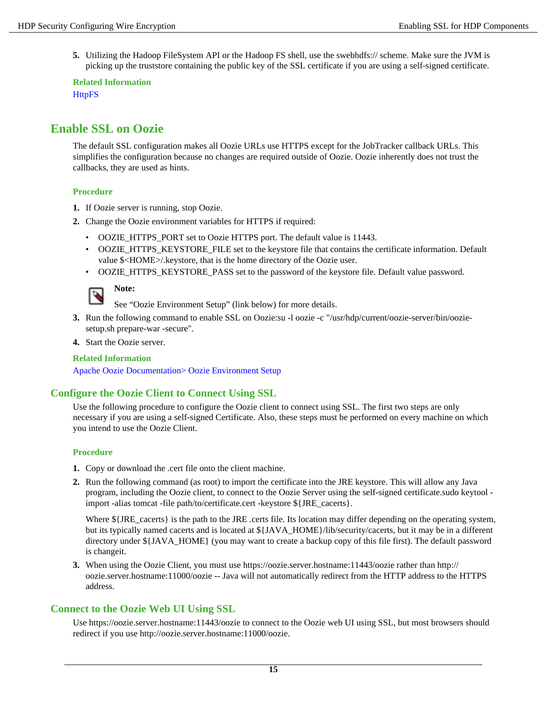**5.** Utilizing the Hadoop FileSystem API or the Hadoop FS shell, use the swebhdfs:// scheme. Make sure the JVM is picking up the truststore containing the public key of the SSL certificate if you are using a self-signed certificate.

**Related Information [HttpFS](https://hadoop.apache.org/docs/r2.7.1/hadoop-hdfs-httpfs/)** 

# <span id="page-14-0"></span>**Enable SSL on Oozie**

The default SSL configuration makes all Oozie URLs use HTTPS except for the JobTracker callback URLs. This simplifies the configuration because no changes are required outside of Oozie. Oozie inherently does not trust the callbacks, they are used as hints.

### **Procedure**

- **1.** If Oozie server is running, stop Oozie.
- **2.** Change the Oozie environment variables for HTTPS if required:
	- OOZIE\_HTTPS\_PORT set to Oozie HTTPS port. The default value is 11443.
	- OOZIE\_HTTPS\_KEYSTORE\_FILE set to the keystore file that contains the certificate information. Default value \$<HOME>/.keystore, that is the home directory of the Oozie user.
	- OOZIE\_HTTPS\_KEYSTORE\_PASS\_set to the password of the keystore file. Default value password.



See "Oozie Environment Setup" (link below) for more details.

- **3.** Run the following command to enable SSL on Oozie:su -l oozie -c "/usr/hdp/current/oozie-server/bin/ooziesetup.sh prepare-war -secure".
- **4.** Start the Oozie server.

### **Related Information**

[Apache Oozie Documentation> Oozie Environment Setup](https://oozie.apache.org/docs/4.0.1/AG_Install.html#Environment_Setup)

# <span id="page-14-1"></span>**Configure the Oozie Client to Connect Using SSL**

Use the following procedure to configure the Oozie client to connect using SSL. The first two steps are only necessary if you are using a self-signed Certificate. Also, these steps must be performed on every machine on which you intend to use the Oozie Client.

### **Procedure**

- **1.** Copy or download the .cert file onto the client machine.
- **2.** Run the following command (as root) to import the certificate into the JRE keystore. This will allow any Java program, including the Oozie client, to connect to the Oozie Server using the self-signed certificate.sudo keytool import -alias tomcat -file path/to/certificate.cert -keystore \${JRE\_cacerts}.

Where  $\frac{1}{2}$  [JRE cacerts] is the path to the JRE .certs file. Its location may differ depending on the operating system, but its typically named cacerts and is located at \${JAVA\_HOME}/lib/security/cacerts, but it may be in a different directory under \${JAVA\_HOME} (you may want to create a backup copy of this file first). The default password is changeit.

**3.** When using the Oozie Client, you must use https://oozie.server.hostname:11443/oozie rather than http:// oozie.server.hostname:11000/oozie -- Java will not automatically redirect from the HTTP address to the HTTPS address.

# <span id="page-14-2"></span>**Connect to the Oozie Web UI Using SSL**

Use https://oozie.server.hostname:11443/oozie to connect to the Oozie web UI using SSL, but most browsers should redirect if you use http://oozie.server.hostname:11000/oozie.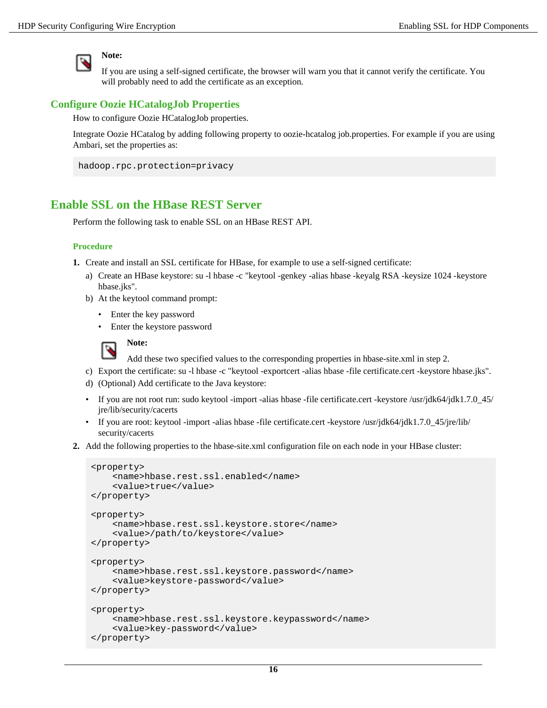

### **Note:**

If you are using a self-signed certificate, the browser will warn you that it cannot verify the certificate. You will probably need to add the certificate as an exception.

### <span id="page-15-0"></span>**Configure Oozie HCatalogJob Properties**

How to configure Oozie HCatalogJob properties.

Integrate Oozie HCatalog by adding following property to oozie-hcatalog job.properties. For example if you are using Ambari, set the properties as:

```
hadoop.rpc.protection=privacy
```
# <span id="page-15-1"></span>**Enable SSL on the HBase REST Server**

Perform the following task to enable SSL on an HBase REST API.

### **Procedure**

- **1.** Create and install an SSL certificate for HBase, for example to use a self-signed certificate:
	- a) Create an HBase keystore: su -l hbase -c "keytool -genkey -alias hbase -keyalg RSA -keysize 1024 -keystore hbase.jks".
	- b) At the keytool command prompt:
		- Enter the key password
		- Enter the keystore password



Add these two specified values to the corresponding properties in hbase-site.xml in step 2.

- c) Export the certificate: su -l hbase -c "keytool -exportcert -alias hbase -file certificate.cert -keystore hbase.jks".
- d) (Optional) Add certificate to the Java keystore:
- If you are not root run: sudo keytool -import -alias hbase -file certificate.cert -keystore /usr/jdk64/jdk1.7.0 45/ jre/lib/security/cacerts
- If you are root: keytool -import -alias hbase -file certificate.cert -keystore /usr/jdk64/jdk1.7.0\_45/jre/lib/ security/cacerts
- **2.** Add the following properties to the hbase-site.xml configuration file on each node in your HBase cluster:

```
<property>
     <name>hbase.rest.ssl.enabled</name>
     <value>true</value>
</property>
<property>
     <name>hbase.rest.ssl.keystore.store</name>
     <value>/path/to/keystore</value>
</property>
<property>
     <name>hbase.rest.ssl.keystore.password</name>
     <value>keystore-password</value>
</property>
<property>
     <name>hbase.rest.ssl.keystore.keypassword</name>
     <value>key-password</value>
</property>
```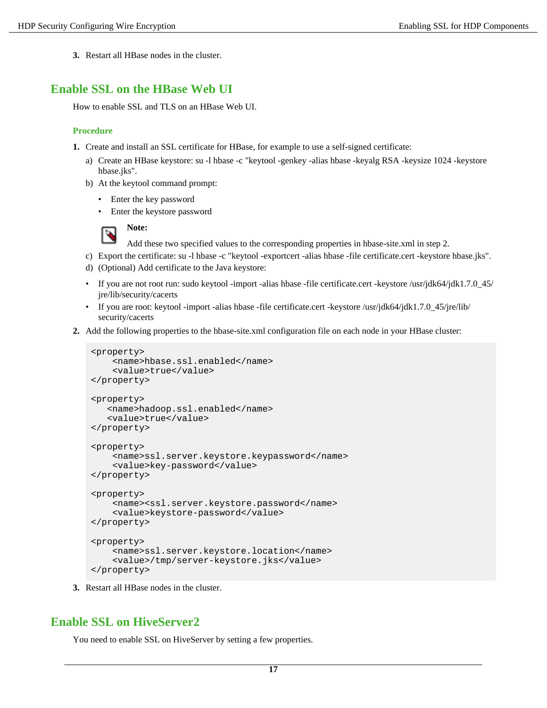**3.** Restart all HBase nodes in the cluster.

# <span id="page-16-0"></span>**Enable SSL on the HBase Web UI**

How to enable SSL and TLS on an HBase Web UI.

### **Procedure**

- **1.** Create and install an SSL certificate for HBase, for example to use a self-signed certificate:
	- a) Create an HBase keystore: su -l hbase -c "keytool -genkey -alias hbase -keyalg RSA -keysize 1024 -keystore hbase.jks".
	- b) At the keytool command prompt:
		- Enter the key password
		- Enter the keystore password



Add these two specified values to the corresponding properties in hbase-site.xml in step 2.

- c) Export the certificate: su -l hbase -c "keytool -exportcert -alias hbase -file certificate.cert -keystore hbase.jks".
- d) (Optional) Add certificate to the Java keystore:
- If you are not root run: sudo keytool -import -alias hbase -file certificate.cert -keystore /usr/jdk64/jdk1.7.0\_45/ jre/lib/security/cacerts
- If you are root: keytool -import -alias hbase -file certificate.cert -keystore /usr/jdk64/jdk1.7.0 45/jre/lib/ security/cacerts
- **2.** Add the following properties to the hbase-site.xml configuration file on each node in your HBase cluster:

```
<property>
     <name>hbase.ssl.enabled</name>
     <value>true</value>
</property>
<property> 
    <name>hadoop.ssl.enabled</name>
    <value>true</value>
</property>
<property>
     <name>ssl.server.keystore.keypassword</name>
     <value>key-password</value>
</property>
<property>
     <name><ssl.server.keystore.password</name>
     <value>keystore-password</value>
</property>
<property>
     <name>ssl.server.keystore.location</name>
     <value>/tmp/server-keystore.jks</value>
</property>
```
**3.** Restart all HBase nodes in the cluster.

# <span id="page-16-1"></span>**Enable SSL on HiveServer2**

You need to enable SSL on HiveServer by setting a few properties.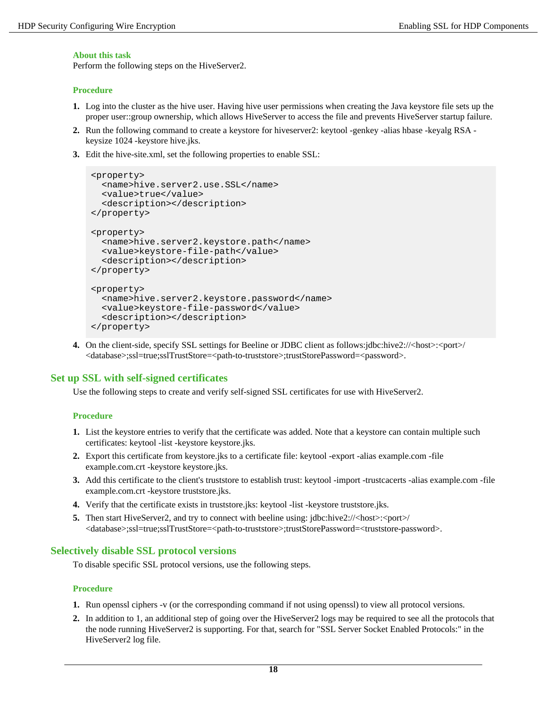### **About this task**

Perform the following steps on the HiveServer2.

### **Procedure**

- **1.** Log into the cluster as the hive user. Having hive user permissions when creating the Java keystore file sets up the proper user::group ownership, which allows HiveServer to access the file and prevents HiveServer startup failure.
- **2.** Run the following command to create a keystore for hiveserver2: keytool -genkey -alias hbase -keyalg RSA keysize 1024 -keystore hive.jks.
- **3.** Edit the hive-site.xml, set the following properties to enable SSL:

```
<property>
  <name>hive.server2.use.SSL</name>
   <value>true</value>
  <description></description>
</property>
<property>
  <name>hive.server2.keystore.path</name>
   <value>keystore-file-path</value>
  <description></description>
</property>
<property>
   <name>hive.server2.keystore.password</name>
   <value>keystore-file-password</value>
   <description></description>
</property>
```
**4.** On the client-side, specify SSL settings for Beeline or JDBC client as follows:jdbc:hive2://<host>:<port> <database>;ssl=true;sslTrustStore=<path-to-truststore>;trustStorePassword=<password>.

## <span id="page-17-0"></span>**Set up SSL with self-signed certificates**

Use the following steps to create and verify self-signed SSL certificates for use with HiveServer2.

### **Procedure**

- **1.** List the keystore entries to verify that the certificate was added. Note that a keystore can contain multiple such certificates: keytool -list -keystore keystore.jks.
- **2.** Export this certificate from keystore.jks to a certificate file: keytool -export -alias example.com -file example.com.crt -keystore keystore.jks.
- **3.** Add this certificate to the client's truststore to establish trust: keytool -import -trustcacerts -alias example.com -file example.com.crt -keystore truststore.jks.
- **4.** Verify that the certificate exists in truststore.jks: keytool -list -keystore truststore.jks.
- **5.** Then start HiveServer2, and try to connect with beeline using: jdbc:hive2://<host>:<port> <database>;ssl=true;sslTrustStore=<path-to-truststore>;trustStorePassword=<truststore-password>.

## <span id="page-17-1"></span>**Selectively disable SSL protocol versions**

To disable specific SSL protocol versions, use the following steps.

### **Procedure**

- **1.** Run openssl ciphers -v (or the corresponding command if not using openssl) to view all protocol versions.
- **2.** In addition to 1, an additional step of going over the HiveServer2 logs may be required to see all the protocols that the node running HiveServer2 is supporting. For that, search for "SSL Server Socket Enabled Protocols:" in the HiveServer2 log file.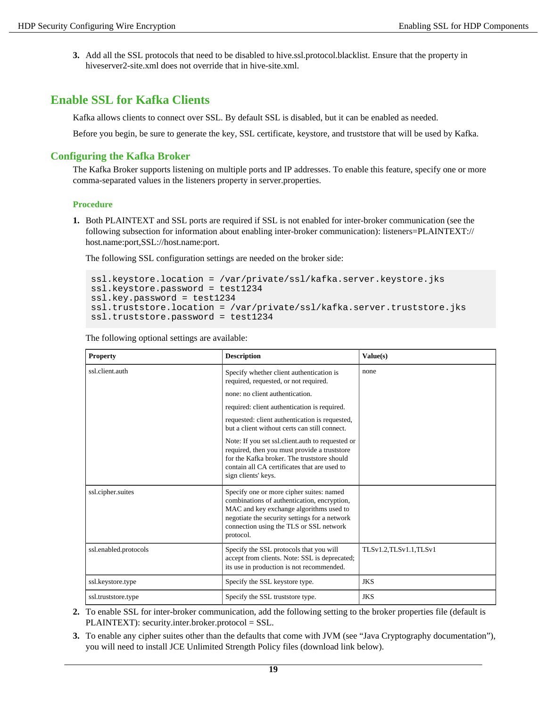**3.** Add all the SSL protocols that need to be disabled to hive.ssl.protocol.blacklist. Ensure that the property in hiveserver2-site.xml does not override that in hive-site.xml.

# <span id="page-18-0"></span>**Enable SSL for Kafka Clients**

Kafka allows clients to connect over SSL. By default SSL is disabled, but it can be enabled as needed.

Before you begin, be sure to generate the key, SSL certificate, keystore, and truststore that will be used by Kafka.

## <span id="page-18-1"></span>**Configuring the Kafka Broker**

The Kafka Broker supports listening on multiple ports and IP addresses. To enable this feature, specify one or more comma-separated values in the listeners property in server.properties.

### **Procedure**

**1.** Both PLAINTEXT and SSL ports are required if SSL is not enabled for inter-broker communication (see the following subsection for information about enabling inter-broker communication): listeners=PLAINTEXT:// host.name:port,SSL://host.name:port.

The following SSL configuration settings are needed on the broker side:

```
ssl.keystore.location = /var/private/ssl/kafka.server.keystore.jks
ssl.keystore.password = test1234
ssl.key.password = test1234
ssl.truststore.location = /var/private/ssl/kafka.server.truststore.jks
ssl.truststore.password = test1234
```
The following optional settings are available:

| <b>Property</b>       | <b>Description</b>                                                                                                                                                                                                                          | Value(s)              |
|-----------------------|---------------------------------------------------------------------------------------------------------------------------------------------------------------------------------------------------------------------------------------------|-----------------------|
| ssl.client.auth       | Specify whether client authentication is<br>required, requested, or not required.                                                                                                                                                           | none                  |
|                       | none: no client authentication.                                                                                                                                                                                                             |                       |
|                       | required: client authentication is required.                                                                                                                                                                                                |                       |
|                       | requested: client authentication is requested,<br>but a client without certs can still connect.                                                                                                                                             |                       |
|                       | Note: If you set ssl.client.auth to requested or<br>required, then you must provide a truststore<br>for the Kafka broker. The truststore should<br>contain all CA certificates that are used to<br>sign clients' keys.                      |                       |
| ssl.cipher.suites     | Specify one or more cipher suites: named<br>combinations of authentication, encryption,<br>MAC and key exchange algorithms used to<br>negotiate the security settings for a network<br>connection using the TLS or SSL network<br>protocol. |                       |
| ssl.enabled.protocols | Specify the SSL protocols that you will<br>accept from clients. Note: SSL is deprecated;<br>its use in production is not recommended.                                                                                                       | TLSv1.2.TLSv1.1.TLSv1 |
| ssl.keystore.type     | Specify the SSL keystore type.                                                                                                                                                                                                              | <b>JKS</b>            |
| ssl.truststore.type   | Specify the SSL truststore type.                                                                                                                                                                                                            | <b>JKS</b>            |

- **2.** To enable SSL for inter-broker communication, add the following setting to the broker properties file (default is PLAINTEXT): security.inter.broker.protocol = SSL.
- **3.** To enable any cipher suites other than the defaults that come with JVM (see "Java Cryptography documentation"), you will need to install JCE Unlimited Strength Policy files (download link below).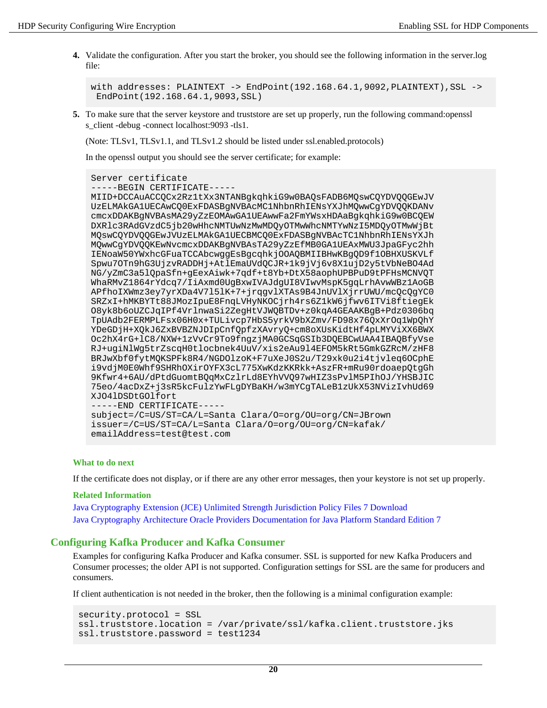**4.** Validate the configuration. After you start the broker, you should see the following information in the server.log file:

```
with addresses: PLAINTEXT -> EndPoint(192.168.64.1,9092,PLAINTEXT),SSL ->
  EndPoint(192.168.64.1,9093,SSL)
```
**5.** To make sure that the server keystore and truststore are set up properly, run the following command:openssl s client -debug -connect localhost:9093 -tls1.

(Note: TLSv1, TLSv1.1, and TLSv1.2 should be listed under ssl.enabled.protocols)

In the openssl output you should see the server certificate; for example:

```
Server certificate
```

```
-----BEGIN CERTIFICATE-
```

```
MIID+DCCAuACCQCx2Rz1tXx3NTANBgkqhkiG9w0BAQsFADB6MQswCQYDVQQGEwJV
UzELMAkGA1UECAwCQ0ExFDASBgNVBAcMC1NhbnRhIENsYXJhMQwwCgYDVQQKDANv
cmcxDDAKBgNVBAsMA29yZzEOMAwGA1UEAwwFa2FmYWsxHDAaBgkqhkiG9w0BCQEW
DXRlc3RAdGVzdC5jb20wHhcNMTUwNzMwMDQyOTMwWhcNMTYwNzI5MDQyOTMwWjBt
MQswCQYDVQQGEwJVUzELMAkGA1UECBMCQ0ExFDASBgNVBAcTC1NhbnRhIENsYXJh
MQwwCgYDVQQKEwNvcmcxDDAKBgNVBAsTA29yZzEfMB0GA1UEAxMWU3JpaGFyc2hh
IENoaW50YWxhcGFuaTCCAbcwggEsBgcqhkjOOAQBMIIBHwKBgQD9f1OBHXUSKVLf
Spwu7OTn9hG3UjzvRADDHj+AtlEmaUVdQCJR+1k9jVj6v8X1ujD2y5tVbNeBO4Ad
NG/yZmC3a5lQpaSfn+gEexAiwk+7qdf+t8Yb+DtX58aophUPBPuD9tPFHsMCNVQT
WhaRMvZ1864rYdcq7/IiAxmd0UgBxwIVAJdgUI8VIwvMspK5gqLrhAvwWBz1AoGB
APfhoIXWmz3ey7yrXDa4V7l5lK+7+jrqgvlXTAs9B4JnUVlXjrrUWU/mcQcQgYC0
SRZxI+hMKBYTt88JMozIpuE8FnqLVHyNKOCjrh4rs6Z1kW6jfwv6ITVi8ftiegEk
O8yk8b6oUZCJqIPf4VrlnwaSi2ZegHtVJWQBTDv+z0kqA4GEAAKBgB+Pdz0306bq
TpUAdb2FERMPLFsx06H0x+TULivcp7HbS5yrkV9bXZmv/FD98x76QxXrOq1WpQhY
YDeGDjH+XQkJ6ZxBVBZNJDIpCnfQpfzXAvryQ+cm8oXUsKidtHf4pLMYViXX6BWX
Oc2hX4rG+lC8/NXW+1zVvCr9To9fngzjMA0GCSqGSIb3DQEBCwUAA4IBAQBfyVse
RJ+ugiNlWg5trZscqH0tlocbnek4UuV/xis2eAu9l4EFOM5kRt5GmkGZRcM/zHF8
BRJwXbf0fytMQKSPFk8R4/NGDOlzoK+F7uXeJ0S2u/T29xk0u2i4tjvleq6OCphE
i9vdjM0E0Whf9SHRhOXirOYFX3cL775XwKdzKKRkk+AszFR+mRu90rdoaepQtgGh
9Kfwr4+6AU/dPtdGuomtBQqMxCzlrLd8EYhVVQ97wHIZ3sPvlM5PIhOJ/YHSBJIC
75eo/4acDxZ+j3sR5kcFulzYwFLgDYBaKH/w3mYCgTALeB1zUkX53NVizIvhUd69
XJO4lDSDtGOlfort
-----END CERTIFICATE--
subject=/C=US/ST=CA/L=Santa Clara/O=org/OU=org/CN=JBrown
issuer=/C=US/ST=CA/L=Santa Clara/O=org/OU=org/CN=kafak/
emailAddress=test@test.com
```
### **What to do next**

If the certificate does not display, or if there are any other error messages, then your keystore is not set up properly.

#### **Related Information**

[Java Cryptography Extension \(JCE\) Unlimited Strength Jurisdiction Policy Files 7 Download](http://www.oracle.com/technetwork/java/javase/downloads/jce-7-download-432124.html) [Java Cryptography Architecture Oracle Providers Documentation for Java Platform Standard Edition 7](https://docs.oracle.com/javase/7/docs/technotes/guides/security/SunProviders.html)

### <span id="page-19-0"></span>**Configuring Kafka Producer and Kafka Consumer**

Examples for configuring Kafka Producer and Kafka consumer. SSL is supported for new Kafka Producers and Consumer processes; the older API is not supported. Configuration settings for SSL are the same for producers and consumers.

If client authentication is not needed in the broker, then the following is a minimal configuration example:

```
security.protocol = SSL
ssl.truststore.location = /var/private/ssl/kafka.client.truststore.jks
ssl.truststore.password = test1234
```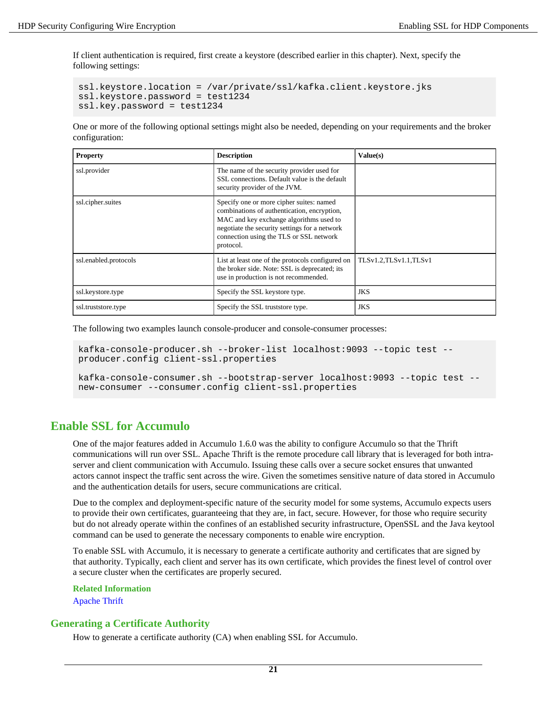If client authentication is required, first create a keystore (described earlier in this chapter). Next, specify the following settings:

```
ssl.keystore.location = /var/private/ssl/kafka.client.keystore.jks
ssl.keystore.password = test1234
ssl.key.password = test1234
```
One or more of the following optional settings might also be needed, depending on your requirements and the broker configuration:

| <b>Property</b>       | <b>Description</b>                                                                                                                                                                                                                          | Value(s)              |
|-----------------------|---------------------------------------------------------------------------------------------------------------------------------------------------------------------------------------------------------------------------------------------|-----------------------|
| ssl.provider          | The name of the security provider used for<br>SSL connections. Default value is the default<br>security provider of the JVM.                                                                                                                |                       |
| ssl.cipher.suites     | Specify one or more cipher suites: named<br>combinations of authentication, encryption,<br>MAC and key exchange algorithms used to<br>negotiate the security settings for a network<br>connection using the TLS or SSL network<br>protocol. |                       |
| ssl.enabled.protocols | List at least one of the protocols configured on<br>the broker side. Note: SSL is deprecated; its<br>use in production is not recommended.                                                                                                  | TLSv1.2,TLSv1.1,TLSv1 |
| ssl.keystore.type     | Specify the SSL keystore type.                                                                                                                                                                                                              | <b>JKS</b>            |
| ssl.truststore.type   | Specify the SSL truststore type.                                                                                                                                                                                                            | <b>JKS</b>            |

The following two examples launch console-producer and console-consumer processes:

```
kafka-console-producer.sh --broker-list localhost:9093 --topic test --
producer.config client-ssl.properties
```
kafka-console-consumer.sh --bootstrap-server localhost:9093 --topic test - new-consumer --consumer.config client-ssl.properties

# <span id="page-20-0"></span>**Enable SSL for Accumulo**

One of the major features added in Accumulo 1.6.0 was the ability to configure Accumulo so that the Thrift communications will run over SSL. Apache Thrift is the remote procedure call library that is leveraged for both intraserver and client communication with Accumulo. Issuing these calls over a secure socket ensures that unwanted actors cannot inspect the traffic sent across the wire. Given the sometimes sensitive nature of data stored in Accumulo and the authentication details for users, secure communications are critical.

Due to the complex and deployment-specific nature of the security model for some systems, Accumulo expects users to provide their own certificates, guaranteeing that they are, in fact, secure. However, for those who require security but do not already operate within the confines of an established security infrastructure, OpenSSL and the Java keytool command can be used to generate the necessary components to enable wire encryption.

To enable SSL with Accumulo, it is necessary to generate a certificate authority and certificates that are signed by that authority. Typically, each client and server has its own certificate, which provides the finest level of control over a secure cluster when the certificates are properly secured.

```
Related Information
Apache Thrift
```
### <span id="page-20-1"></span>**Generating a Certificate Authority**

How to generate a certificate authority (CA) when enabling SSL for Accumulo.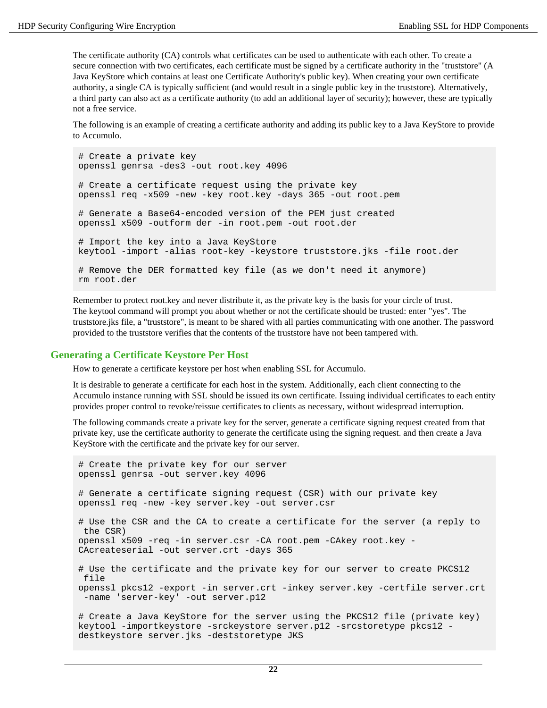The certificate authority (CA) controls what certificates can be used to authenticate with each other. To create a secure connection with two certificates, each certificate must be signed by a certificate authority in the "truststore" (A Java KeyStore which contains at least one Certificate Authority's public key). When creating your own certificate authority, a single CA is typically sufficient (and would result in a single public key in the truststore). Alternatively, a third party can also act as a certificate authority (to add an additional layer of security); however, these are typically not a free service.

The following is an example of creating a certificate authority and adding its public key to a Java KeyStore to provide to Accumulo.

```
# Create a private key
openssl genrsa -des3 -out root.key 4096
# Create a certificate request using the private key
openssl req -x509 -new -key root.key -days 365 -out root.pem
# Generate a Base64-encoded version of the PEM just created
openssl x509 -outform der -in root.pem -out root.der
# Import the key into a Java KeyStore
keytool -import -alias root-key -keystore truststore.jks -file root.der
# Remove the DER formatted key file (as we don't need it anymore)
rm root.der
```
Remember to protect root.key and never distribute it, as the private key is the basis for your circle of trust. The keytool command will prompt you about whether or not the certificate should be trusted: enter "yes". The truststore.jks file, a "truststore", is meant to be shared with all parties communicating with one another. The password provided to the truststore verifies that the contents of the truststore have not been tampered with.

### <span id="page-21-0"></span>**Generating a Certificate Keystore Per Host**

How to generate a certificate keystore per host when enabling SSL for Accumulo.

It is desirable to generate a certificate for each host in the system. Additionally, each client connecting to the Accumulo instance running with SSL should be issued its own certificate. Issuing individual certificates to each entity provides proper control to revoke/reissue certificates to clients as necessary, without widespread interruption.

The following commands create a private key for the server, generate a certificate signing request created from that private key, use the certificate authority to generate the certificate using the signing request. and then create a Java KeyStore with the certificate and the private key for our server.

```
# Create the private key for our server 
openssl genrsa -out server.key 4096 
# Generate a certificate signing request (CSR) with our private key 
openssl req -new -key server.key -out server.csr 
# Use the CSR and the CA to create a certificate for the server (a reply to
 the CSR) 
openssl x509 -req -in server.csr -CA root.pem -CAkey root.key -
CAcreateserial -out server.crt -days 365
# Use the certificate and the private key for our server to create PKCS12
 file 
openssl pkcs12 -export -in server.crt -inkey server.key -certfile server.crt
  -name 'server-key' -out server.p12
# Create a Java KeyStore for the server using the PKCS12 file (private key) 
keytool -importkeystore -srckeystore server.p12 -srcstoretype pkcs12 -
destkeystore server.jks -deststoretype JKS
```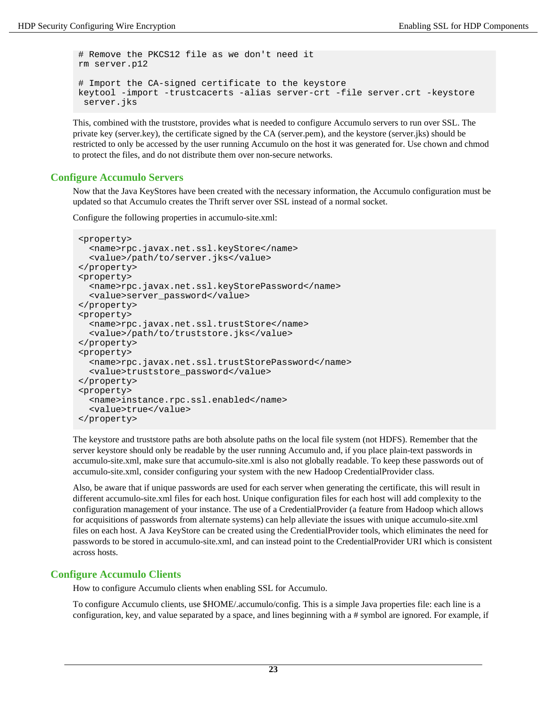```
# Remove the PKCS12 file as we don't need it 
rm server.p12 
# Import the CA-signed certificate to the keystore 
keytool -import -trustcacerts -alias server-crt -file server.crt -keystore
  server.jks
```
This, combined with the truststore, provides what is needed to configure Accumulo servers to run over SSL. The private key (server.key), the certificate signed by the CA (server.pem), and the keystore (server.jks) should be restricted to only be accessed by the user running Accumulo on the host it was generated for. Use chown and chmod to protect the files, and do not distribute them over non-secure networks.

### <span id="page-22-0"></span>**Configure Accumulo Servers**

Now that the Java KeyStores have been created with the necessary information, the Accumulo configuration must be updated so that Accumulo creates the Thrift server over SSL instead of a normal socket.

Configure the following properties in accumulo-site.xml:

```
<property>
  <name>rpc.javax.net.ssl.keyStore</name>
   <value>/path/to/server.jks</value>
</property>
<property>
  <name>rpc.javax.net.ssl.keyStorePassword</name>
   <value>server_password</value>
</property>
<property>
   <name>rpc.javax.net.ssl.trustStore</name>
   <value>/path/to/truststore.jks</value>
</property>
<property>
  <name>rpc.javax.net.ssl.trustStorePassword</name>
   <value>truststore_password</value>
</property>
<property>
   <name>instance.rpc.ssl.enabled</name>
   <value>true</value>
</property>
```
The keystore and truststore paths are both absolute paths on the local file system (not HDFS). Remember that the server keystore should only be readable by the user running Accumulo and, if you place plain-text passwords in accumulo-site.xml, make sure that accumulo-site.xml is also not globally readable. To keep these passwords out of accumulo-site.xml, consider configuring your system with the new Hadoop CredentialProvider class.

Also, be aware that if unique passwords are used for each server when generating the certificate, this will result in different accumulo-site.xml files for each host. Unique configuration files for each host will add complexity to the configuration management of your instance. The use of a CredentialProvider (a feature from Hadoop which allows for acquisitions of passwords from alternate systems) can help alleviate the issues with unique accumulo-site.xml files on each host. A Java KeyStore can be created using the CredentialProvider tools, which eliminates the need for passwords to be stored in accumulo-site.xml, and can instead point to the CredentialProvider URI which is consistent across hosts.

## <span id="page-22-1"></span>**Configure Accumulo Clients**

How to configure Accumulo clients when enabling SSL for Accumulo.

To configure Accumulo clients, use \$HOME/.accumulo/config. This is a simple Java properties file: each line is a configuration, key, and value separated by a space, and lines beginning with a # symbol are ignored. For example, if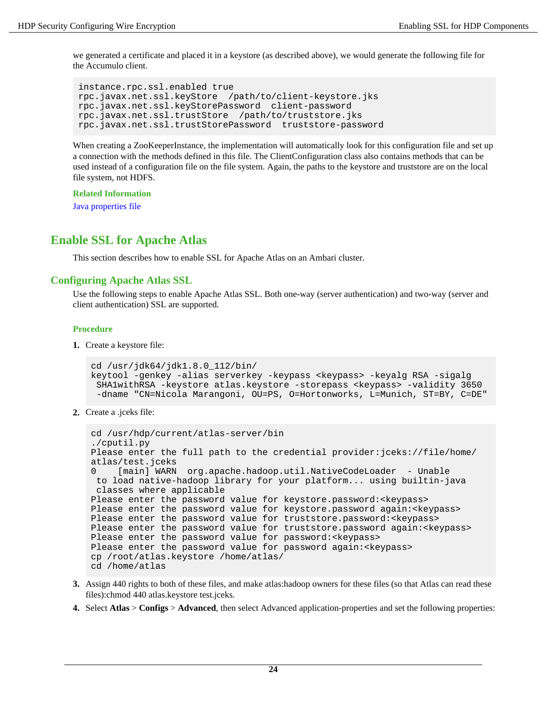we generated a certificate and placed it in a keystore (as described above), we would generate the following file for the Accumulo client.

```
instance.rpc.ssl.enabled true
rpc.javax.net.ssl.keyStore /path/to/client-keystore.jks
rpc.javax.net.ssl.keyStorePassword client-password
rpc.javax.net.ssl.trustStore /path/to/truststore.jks
rpc.javax.net.ssl.trustStorePassword truststore-password
```
When creating a ZooKeeperInstance, the implementation will automatically look for this configuration file and set up a connection with the methods defined in this file. The ClientConfiguration class also contains methods that can be used instead of a configuration file on the file system. Again, the paths to the keystore and truststore are on the local file system, not HDFS.

**Related Information** [Java properties file](http://en.wikipedia.org/wiki/.properties)

# <span id="page-23-0"></span>**Enable SSL for Apache Atlas**

This section describes how to enable SSL for Apache Atlas on an Ambari cluster.

### <span id="page-23-1"></span>**Configuring Apache Atlas SSL**

Use the following steps to enable Apache Atlas SSL. Both one-way (server authentication) and two-way (server and client authentication) SSL are supported.

### **Procedure**

**1.** Create a keystore file:

```
cd /usr/jdk64/jdk1.8.0_112/bin/
keytool -genkey -alias serverkey -keypass <keypass> -keyalg RSA -sigalg
  SHA1withRSA -keystore atlas.keystore -storepass <keypass> -validity 3650
  -dname "CN=Nicola Marangoni, OU=PS, O=Hortonworks, L=Munich, ST=BY, C=DE"
```
**2.** Create a .jceks file:

```
cd /usr/hdp/current/atlas-server/bin
./cputil.py
Please enter the full path to the credential provider:jceks://file/home/
atlas/test.jceks
0 [main] WARN org.apache.hadoop.util.NativeCodeLoader - Unable
 to load native-hadoop library for your platform... using builtin-java
 classes where applicable
Please enter the password value for keystore.password:<keypass>
Please enter the password value for keystore.password again:<keypass>
Please enter the password value for truststore.password: < keypass>
Please enter the password value for truststore.password again:<keypass>
Please enter the password value for password:<keypass>
Please enter the password value for password again:<keypass>
cp /root/atlas.keystore /home/atlas/
cd /home/atlas
```
- **3.** Assign 440 rights to both of these files, and make atlas:hadoop owners for these files (so that Atlas can read these files):chmod 440 atlas.keystore test.jceks.
- **4.** Select **Atlas** > **Configs** > **Advanced**, then select Advanced application-properties and set the following properties: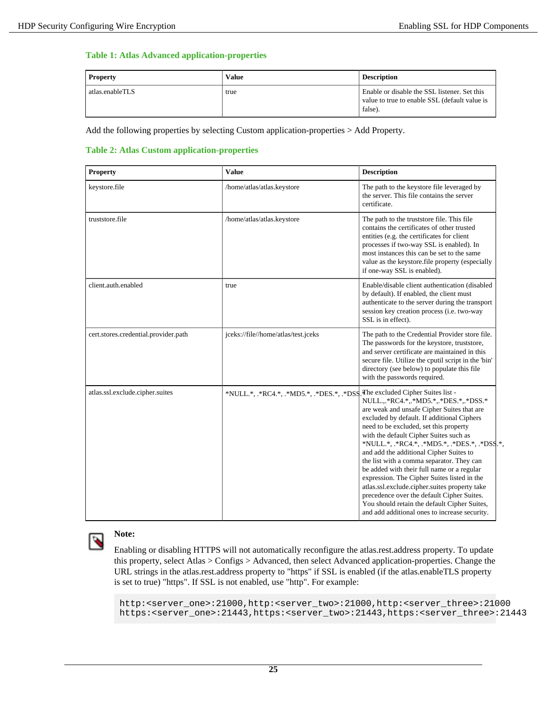### **Table 1: Atlas Advanced application-properties**

| <b>Property</b> | Value | <b>Description</b>                                                                                       |
|-----------------|-------|----------------------------------------------------------------------------------------------------------|
| atlas.enableTLS | true  | Enable or disable the SSL listener. Set this<br>value to true to enable SSL (default value is<br>false). |

Add the following properties by selecting Custom application-properties > Add Property.

### **Table 2: Atlas Custom application-properties**

| <b>Property</b>                      | <b>Value</b>                              | <b>Description</b>                                                                                                                                                                                                                                                                                                                                                                                                                                                                                                                                                                                                                                                                              |
|--------------------------------------|-------------------------------------------|-------------------------------------------------------------------------------------------------------------------------------------------------------------------------------------------------------------------------------------------------------------------------------------------------------------------------------------------------------------------------------------------------------------------------------------------------------------------------------------------------------------------------------------------------------------------------------------------------------------------------------------------------------------------------------------------------|
| keystore.file                        | /home/atlas/atlas.keystore                | The path to the keystore file leveraged by<br>the server. This file contains the server<br>certificate.                                                                                                                                                                                                                                                                                                                                                                                                                                                                                                                                                                                         |
| truststore.file                      | /home/atlas/atlas.keystore                | The path to the truststore file. This file<br>contains the certificates of other trusted<br>entities (e.g. the certificates for client<br>processes if two-way SSL is enabled). In<br>most instances this can be set to the same<br>value as the keystore.file property (especially<br>if one-way SSL is enabled).                                                                                                                                                                                                                                                                                                                                                                              |
| client.auth.enabled                  | true                                      | Enable/disable client authentication (disabled<br>by default). If enabled, the client must<br>authenticate to the server during the transport<br>session key creation process (i.e. two-way<br>SSL is in effect).                                                                                                                                                                                                                                                                                                                                                                                                                                                                               |
| cert.stores.credential.provider.path | jceks://file//home/atlas/test.jceks       | The path to the Credential Provider store file.<br>The passwords for the keystore, truststore,<br>and server certificate are maintained in this<br>secure file. Utilize the cputil script in the 'bin'<br>directory (see below) to populate this file<br>with the passwords required.                                                                                                                                                                                                                                                                                                                                                                                                           |
| atlas.ssl.exclude.cipher.suites      | *NULL.*, .*RC4.*, .*MD5.*, .*DES.*, .*DSS | The excluded Cipher Suites list -<br>NULL.,.*RC4.*,.*MD5.*,.*DES.*,.*DSS.*<br>are weak and unsafe Cipher Suites that are<br>excluded by default. If additional Ciphers<br>need to be excluded, set this property<br>with the default Cipher Suites such as<br>*NULL.*, .*RC4.*, .*MD5.*, .*DES.*, .*DSS.*,<br>and add the additional Cipher Suites to<br>the list with a comma separator. They can<br>be added with their full name or a regular<br>expression. The Cipher Suites listed in the<br>atlas.ssl.exclude.cipher.suites property take<br>precedence over the default Cipher Suites.<br>You should retain the default Cipher Suites,<br>and add additional ones to increase security. |



### **Note:**

Enabling or disabling HTTPS will not automatically reconfigure the atlas.rest.address property. To update this property, select Atlas > Configs > Advanced, then select Advanced application-properties. Change the URL strings in the atlas.rest.address property to "https" if SSL is enabled (if the atlas.enableTLS property is set to true) "https". If SSL is not enabled, use "http". For example:

http:<server\_one>:21000,http:<server\_two>:21000,http:<server\_three>:21000 https:<server\_one>:21443,https:<server\_two>:21443,https:<server\_three>:21443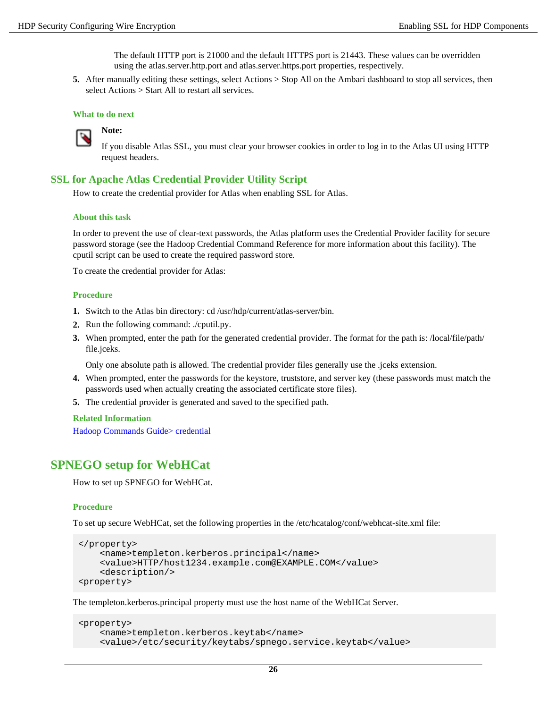The default HTTP port is 21000 and the default HTTPS port is 21443. These values can be overridden using the atlas.server.http.port and atlas.server.https.port properties, respectively.

**5.** After manually editing these settings, select Actions > Stop All on the Ambari dashboard to stop all services, then select Actions > Start All to restart all services.

#### **What to do next**



**Note:**

If you disable Atlas SSL, you must clear your browser cookies in order to log in to the Atlas UI using HTTP request headers.

### <span id="page-25-0"></span>**SSL for Apache Atlas Credential Provider Utility Script**

How to create the credential provider for Atlas when enabling SSL for Atlas.

#### **About this task**

In order to prevent the use of clear-text passwords, the Atlas platform uses the Credential Provider facility for secure password storage (see the Hadoop Credential Command Reference for more information about this facility). The cputil script can be used to create the required password store.

To create the credential provider for Atlas:

#### **Procedure**

- **1.** Switch to the Atlas bin directory: cd /usr/hdp/current/atlas-server/bin.
- **2.** Run the following command: ./cputil.py.
- **3.** When prompted, enter the path for the generated credential provider. The format for the path is: /local/file/path/ file.jceks.

Only one absolute path is allowed. The credential provider files generally use the .jceks extension.

- **4.** When prompted, enter the passwords for the keystore, truststore, and server key (these passwords must match the passwords used when actually creating the associated certificate store files).
- **5.** The credential provider is generated and saved to the specified path.

#### **Related Information**

[Hadoop Commands Guide> credential](http://hadoop.apache.org/docs/current/hadoop-project-dist/hadoop-common/CommandsManual.html#credential)

# <span id="page-25-1"></span>**SPNEGO setup for WebHCat**

How to set up SPNEGO for WebHCat.

### **Procedure**

To set up secure WebHCat, set the following properties in the /etc/hcatalog/conf/webhcat-site.xml file:

```
</property>
     <name>templeton.kerberos.principal</name>
     <value>HTTP/host1234.example.com@EXAMPLE.COM</value>
     <description/>
<property>
```
The templeton.kerberos.principal property must use the host name of the WebHCat Server.

```
<property>
     <name>templeton.kerberos.keytab</name>
     <value>/etc/security/keytabs/spnego.service.keytab</value>
```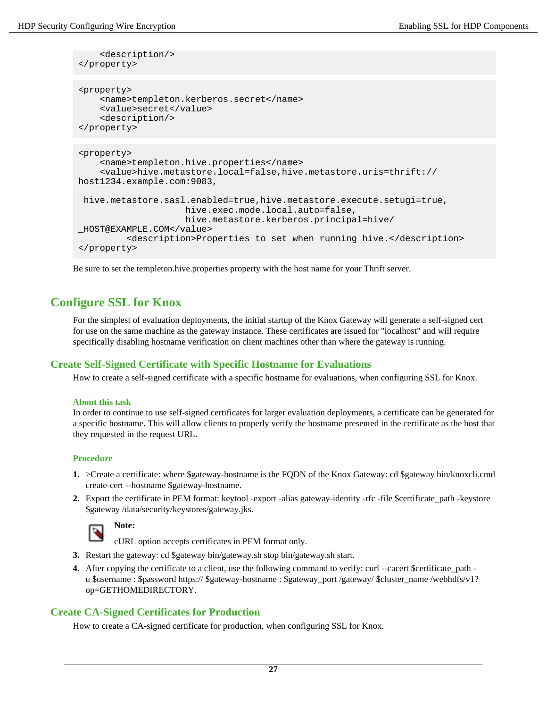```
 <description/>
</property>
<property>
     <name>templeton.kerberos.secret</name>
     <value>secret</value>
     <description/>
</property>
<property>
     <name>templeton.hive.properties</name>
     <value>hive.metastore.local=false,hive.metastore.uris=thrift://
host1234.example.com:9083,
 hive.metastore.sasl.enabled=true,hive.metastore.execute.setugi=true,
                     hive.exec.mode.local.auto=false,
                     hive.metastore.kerberos.principal=hive/
_HOST@EXAMPLE.COM</value>
          <description>Properties to set when running hive.</description>
</property>
```
Be sure to set the templeton.hive.properties property with the host name for your Thrift server.

# <span id="page-26-0"></span>**Configure SSL for Knox**

For the simplest of evaluation deployments, the initial startup of the Knox Gateway will generate a self-signed cert for use on the same machine as the gateway instance. These certificates are issued for "localhost" and will require specifically disabling hostname verification on client machines other than where the gateway is running.

## <span id="page-26-1"></span>**Create Self-Signed Certificate with Specific Hostname for Evaluations**

How to create a self-signed certificate with a specific hostname for evaluations, when configuring SSL for Knox.

### **About this task**

In order to continue to use self-signed certificates for larger evaluation deployments, a certificate can be generated for a specific hostname. This will allow clients to properly verify the hostname presented in the certificate as the host that they requested in the request URL.

### **Procedure**

- **1.** >Create a certificate: where \$gateway-hostname is the FQDN of the Knox Gateway: cd \$gateway bin/knoxcli.cmd create-cert --hostname \$gateway-hostname.
- **2.** Export the certificate in PEM format: keytool -export -alias gateway-identity -rfc -file \$certificate\_path -keystore \$gateway /data/security/keystores/gateway.jks.



cURL option accepts certificates in PEM format only.

- **3.** Restart the gateway: cd \$gateway bin/gateway.sh stop bin/gateway.sh start.
- **4.** After copying the certificate to a client, use the following command to verify: curl --cacert \$certificate path u \$username : \$password https:// \$gateway-hostname : \$gateway\_port /gateway/ \$cluster\_name /webhdfs/v1? op=GETHOMEDIRECTORY.

## <span id="page-26-2"></span>**Create CA-Signed Certificates for Production**

How to create a CA-signed certificate for production, when configuring SSL for Knox.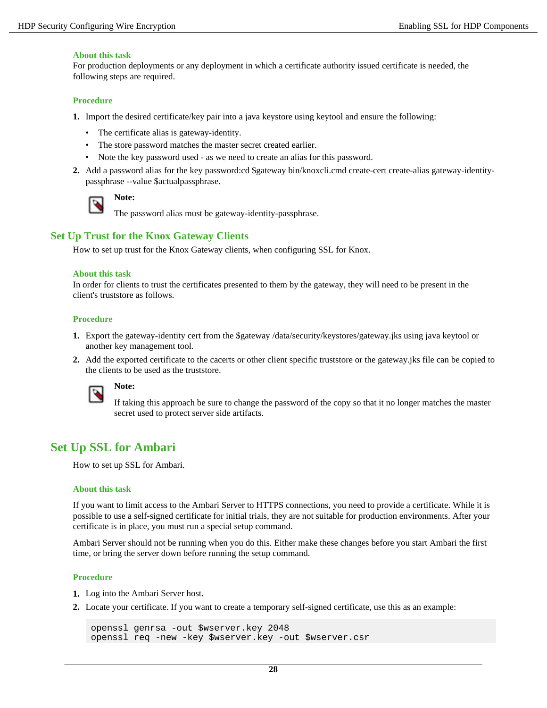#### **About this task**

For production deployments or any deployment in which a certificate authority issued certificate is needed, the following steps are required.

### **Procedure**

- **1.** Import the desired certificate/key pair into a java keystore using keytool and ensure the following:
	- The certificate alias is gateway-identity.
	- The store password matches the master secret created earlier.
	- Note the key password used as we need to create an alias for this password.
- **2.** Add a password alias for the key password:cd \$gateway bin/knoxcli.cmd create-cert create-alias gateway-identitypassphrase --value \$actualpassphrase.



# **Note:**

The password alias must be gateway-identity-passphrase.

### <span id="page-27-0"></span>**Set Up Trust for the Knox Gateway Clients**

How to set up trust for the Knox Gateway clients, when configuring SSL for Knox.

### **About this task**

In order for clients to trust the certificates presented to them by the gateway, they will need to be present in the client's truststore as follows.

### **Procedure**

- **1.** Export the gateway-identity cert from the \$gateway /data/security/keystores/gateway.jks using java keytool or another key management tool.
- **2.** Add the exported certificate to the cacerts or other client specific truststore or the gateway.jks file can be copied to the clients to be used as the truststore.



### **Note:**

If taking this approach be sure to change the password of the copy so that it no longer matches the master secret used to protect server side artifacts.

# <span id="page-27-1"></span>**Set Up SSL for Ambari**

How to set up SSL for Ambari.

#### **About this task**

If you want to limit access to the Ambari Server to HTTPS connections, you need to provide a certificate. While it is possible to use a self-signed certificate for initial trials, they are not suitable for production environments. After your certificate is in place, you must run a special setup command.

Ambari Server should not be running when you do this. Either make these changes before you start Ambari the first time, or bring the server down before running the setup command.

### **Procedure**

- **1.** Log into the Ambari Server host.
- **2.** Locate your certificate. If you want to create a temporary self-signed certificate, use this as an example:

```
openssl genrsa -out $wserver.key 2048 
openssl req -new -key $wserver.key -out $wserver.csr
```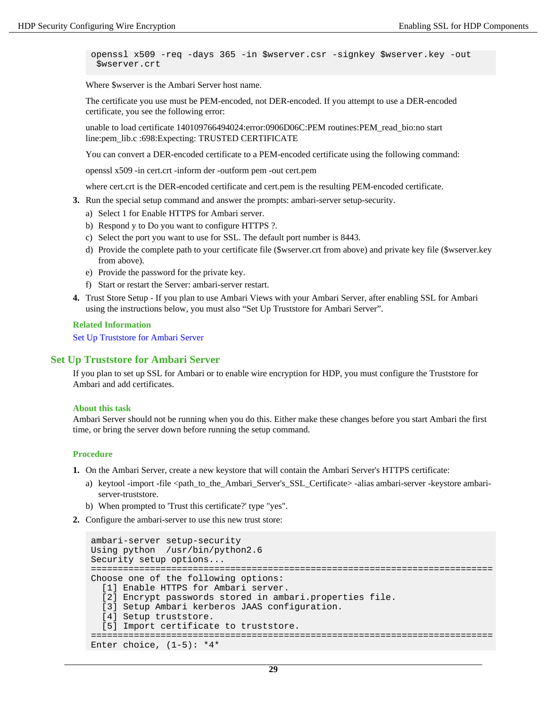openssl x509 -req -days 365 -in \$wserver.csr -signkey \$wserver.key -out \$wserver.crt

Where \$wserver is the Ambari Server host name.

The certificate you use must be PEM-encoded, not DER-encoded. If you attempt to use a DER-encoded certificate, you see the following error:

unable to load certificate 140109766494024:error:0906D06C:PEM routines:PEM\_read\_bio:no start line:pem\_lib.c :698:Expecting: TRUSTED CERTIFICATE

You can convert a DER-encoded certificate to a PEM-encoded certificate using the following command:

openssl x509 -in cert.crt -inform der -outform pem -out cert.pem

where cert.crt is the DER-encoded certificate and cert.pem is the resulting PEM-encoded certificate.

- **3.** Run the special setup command and answer the prompts: ambari-server setup-security.
	- a) Select 1 for Enable HTTPS for Ambari server.
	- b) Respond y to Do you want to configure HTTPS ?.
	- c) Select the port you want to use for SSL. The default port number is 8443.
	- d) Provide the complete path to your certificate file (\$wserver.crt from above) and private key file (\$wserver.key from above).
	- e) Provide the password for the private key.
	- f) Start or restart the Server: ambari-server restart.
- **4.** Trust Store Setup If you plan to use Ambari Views with your Ambari Server, after enabling SSL for Ambari using the instructions below, you must also "Set Up Truststore for Ambari Server".

**Related Information**

[Set Up Truststore for Ambari Server](#page-28-0)

### <span id="page-28-0"></span>**Set Up Truststore for Ambari Server**

If you plan to set up SSL for Ambari or to enable wire encryption for HDP, you must configure the Truststore for Ambari and add certificates.

#### **About this task**

Ambari Server should not be running when you do this. Either make these changes before you start Ambari the first time, or bring the server down before running the setup command.

#### **Procedure**

- **1.** On the Ambari Server, create a new keystore that will contain the Ambari Server's HTTPS certificate:
	- a) keytool -import -file <path\_to\_the\_Ambari\_Server's\_SSL\_Certificate> -alias ambari-server -keystore ambariserver-truststore.
	- b) When prompted to 'Trust this certificate?' type "yes".
- **2.** Configure the ambari-server to use this new trust store:

```
ambari-server setup-security
Using python /usr/bin/python2.6
Security setup options...
===========================================================================
Choose one of the following options: 
  [1] Enable HTTPS for Ambari server.
   [2] Encrypt passwords stored in ambari.properties file.
   [3] Setup Ambari kerberos JAAS configuration.
   [4] Setup truststore.
   [5] Import certificate to truststore.
===========================================================================
Enter choice, (1-5): *4*
```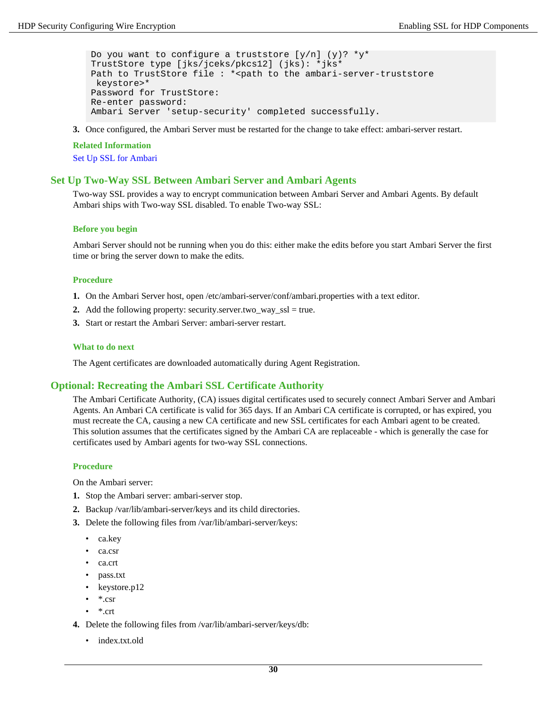```
Do you want to configure a truststore [y/n] (y)? *y*
TrustStore type [jks/jceks/pkcs12] (jks): *jks*
Path to TrustStore file : * < path to the ambari-server-truststore
 keystore>*
Password for TrustStore:
Re-enter password: 
Ambari Server 'setup-security' completed successfully.
```
**3.** Once configured, the Ambari Server must be restarted for the change to take effect: ambari-server restart.

#### **Related Information**

[Set Up SSL for Ambari](#page-27-1)

### <span id="page-29-0"></span>**Set Up Two-Way SSL Between Ambari Server and Ambari Agents**

Two-way SSL provides a way to encrypt communication between Ambari Server and Ambari Agents. By default Ambari ships with Two-way SSL disabled. To enable Two-way SSL:

#### **Before you begin**

Ambari Server should not be running when you do this: either make the edits before you start Ambari Server the first time or bring the server down to make the edits.

#### **Procedure**

- **1.** On the Ambari Server host, open /etc/ambari-server/conf/ambari.properties with a text editor.
- **2.** Add the following property: security.server.two\_way\_ssl = true.
- **3.** Start or restart the Ambari Server: ambari-server restart.

#### **What to do next**

The Agent certificates are downloaded automatically during Agent Registration.

### <span id="page-29-1"></span>**Optional: Recreating the Ambari SSL Certificate Authority**

The Ambari Certificate Authority, (CA) issues digital certificates used to securely connect Ambari Server and Ambari Agents. An Ambari CA certificate is valid for 365 days. If an Ambari CA certificate is corrupted, or has expired, you must recreate the CA, causing a new CA certificate and new SSL certificates for each Ambari agent to be created. This solution assumes that the certificates signed by the Ambari CA are replaceable - which is generally the case for certificates used by Ambari agents for two-way SSL connections.

#### **Procedure**

On the Ambari server:

- **1.** Stop the Ambari server: ambari-server stop.
- **2.** Backup /var/lib/ambari-server/keys and its child directories.
- **3.** Delete the following files from /var/lib/ambari-server/keys:
	- ca.key
	- ca.csr
	- ca.crt
	- pass.txt
	- keystore.p12
	- \*.csr
	- \*.crt
- **4.** Delete the following files from /var/lib/ambari-server/keys/db:
	- index.txt.old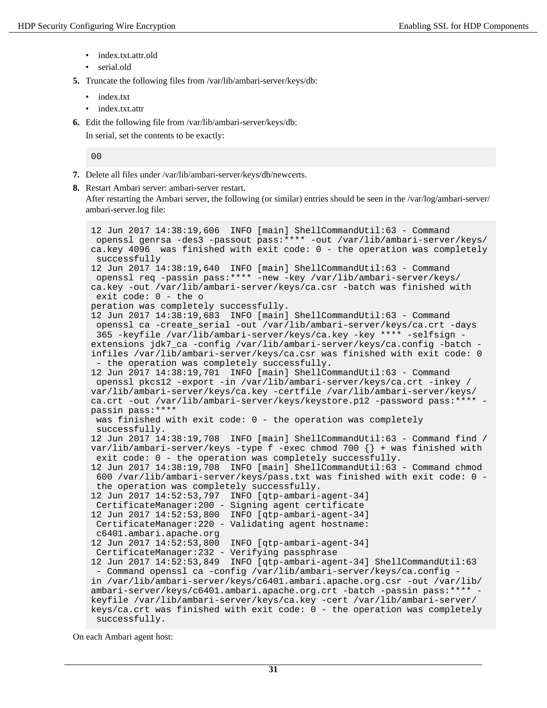- index.txt.attr.old
- serial.old
- **5.** Truncate the following files from /var/lib/ambari-server/keys/db:
	- index.txt
	- index.txt.attr
- **6.** Edit the following file from /var/lib/ambari-server/keys/db:

In serial, set the contents to be exactly:

 $0<sub>0</sub>$ 

- **7.** Delete all files under /var/lib/ambari-server/keys/db/newcerts.
- **8.** Restart Ambari server: ambari-server restart.

After restarting the Ambari server, the following (or similar) entries should be seen in the /var/log/ambari-server/ ambari-server.log file:

```
12 Jun 2017 14:38:19,606 INFO [main] ShellCommandUtil:63 - Command
  openssl genrsa -des3 -passout pass:**** -out /var/lib/ambari-server/keys/
ca.key 4096 was finished with exit code: 0 - the operation was completely
  successfully
12 Jun 2017 14:38:19,640 INFO [main] ShellCommandUtil:63 - Command
  openssl req -passin pass:**** -new -key /var/lib/ambari-server/keys/
ca.key -out /var/lib/ambari-server/keys/ca.csr -batch was finished with
  exit code: 0 - the o
peration was completely successfully.
12 Jun 2017 14:38:19,683 INFO [main] ShellCommandUtil:63 - Command
  openssl ca -create_serial -out /var/lib/ambari-server/keys/ca.crt -days
  365 -keyfile /var/lib/ambari-server/keys/ca.key -key **** -selfsign -
extensions jdk7_ca -config /var/lib/ambari-server/keys/ca.config -batch -
infiles /var/lib/ambari-server/keys/ca.csr was finished with exit code: 0
 - the operation was completely successfully.
12 Jun 2017 14:38:19,701 INFO [main] ShellCommandUtil:63 - Command
  openssl pkcs12 -export -in /var/lib/ambari-server/keys/ca.crt -inkey /
var/lib/ambari-server/keys/ca.key -certfile /var/lib/ambari-server/keys/
ca.crt -out /var/lib/ambari-server/keys/keystore.p12 -password pass:**** -
passin pass:****
 was finished with exit code: 0 - the operation was completely
  successfully.
12 Jun 2017 14:38:19,708 INFO [main] ShellCommandUtil:63 - Command find /
var/lib/ambari-server/keys -type f -exec chmod 700 {} + was finished with
  exit code: 0 - the operation was completely successfully.
12 Jun 2017 14:38:19,708 INFO [main] ShellCommandUtil:63 - Command chmod
  600 /var/lib/ambari-server/keys/pass.txt was finished with exit code: 0 -
  the operation was completely successfully.
12 Jun 2017 14:52:53,797 INFO [qtp-ambari-agent-34]
  CertificateManager:200 - Signing agent certificate
12 Jun 2017 14:52:53,800 INFO [qtp-ambari-agent-34]
  CertificateManager:220 - Validating agent hostname:
  c6401.ambari.apache.org
12 Jun 2017 14:52:53,800 INFO [qtp-ambari-agent-34]
  CertificateManager:232 - Verifying passphrase
12 Jun 2017 14:52:53,849 INFO [qtp-ambari-agent-34] ShellCommandUtil:63
  - Command openssl ca -config /var/lib/ambari-server/keys/ca.config -
in /var/lib/ambari-server/keys/c6401.ambari.apache.org.csr -out /var/lib/
ambari-server/keys/c6401.ambari.apache.org.crt -batch -passin pass: **** -
keyfile /var/lib/ambari-server/keys/ca.key -cert /var/lib/ambari-server/
keys/ca.crt was finished with exit code: 0 - the operation was completely
  successfully.
```
On each Ambari agent host: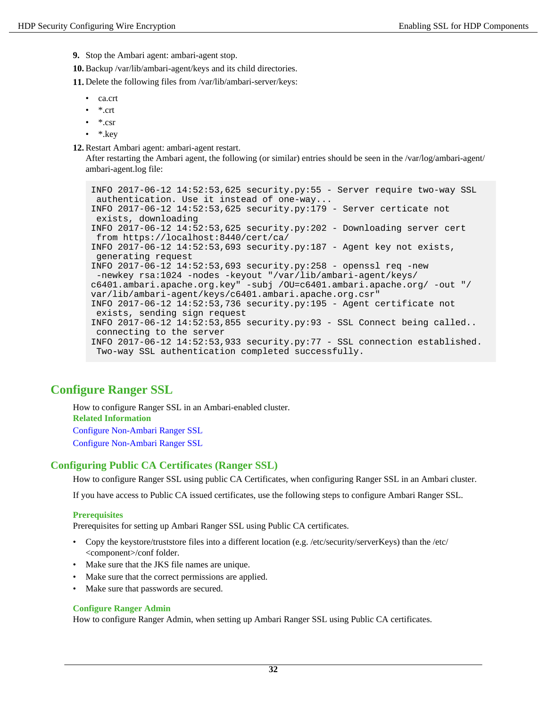**9.** Stop the Ambari agent: ambari-agent stop.

**10.** Backup /var/lib/ambari-agent/keys and its child directories.

**11.** Delete the following files from /var/lib/ambari-server/keys:

- ca.crt
- \*.crt
- \*.csr
- \*.key

**12.** Restart Ambari agent: ambari-agent restart.

After restarting the Ambari agent, the following (or similar) entries should be seen in the /var/log/ambari-agent/ ambari-agent.log file:

```
INFO 2017-06-12 14:52:53,625 security.py:55 - Server require two-way SSL
 authentication. Use it instead of one-way...
INFO 2017-06-12 14:52:53,625 security.py:179 - Server certicate not
 exists, downloading
INFO 2017-06-12 14:52:53,625 security.py:202 - Downloading server cert
 from https://localhost:8440/cert/ca/
INFO 2017-06-12 14:52:53,693 security.py:187 - Agent key not exists,
 generating request
INFO 2017-06-12 14:52:53,693 security.py:258 - openssl req -new
  -newkey rsa:1024 -nodes -keyout "/var/lib/ambari-agent/keys/
c6401.ambari.apache.org.key" -subj /OU=c6401.ambari.apache.org/ -out "/
var/lib/ambari-agent/keys/c6401.ambari.apache.org.csr"
INFO 2017-06-12 14:52:53,736 security.py:195 - Agent certificate not
  exists, sending sign request
INFO 2017-06-12 14:52:53,855 security.py:93 - SSL Connect being called..
 connecting to the server
INFO 2017-06-12 14:52:53,933 security.py:77 - SSL connection established.
 Two-way SSL authentication completed successfully.
```
# <span id="page-31-0"></span>**Configure Ranger SSL**

How to configure Ranger SSL in an Ambari-enabled cluster. **Related Information** Configure Non-Ambari Ranger SSL Configure Non-Ambari Ranger SSL

## <span id="page-31-1"></span>**Configuring Public CA Certificates (Ranger SSL)**

How to configure Ranger SSL using public CA Certificates, when configuring Ranger SSL in an Ambari cluster.

If you have access to Public CA issued certificates, use the following steps to configure Ambari Ranger SSL.

### **Prerequisites**

Prerequisites for setting up Ambari Ranger SSL using Public CA certificates.

- Copy the keystore/truststore files into a different location (e.g. /etc/security/serverKeys) than the /etc/ <component>/conf folder.
- Make sure that the JKS file names are unique.
- Make sure that the correct permissions are applied.
- Make sure that passwords are secured.

### **Configure Ranger Admin**

How to configure Ranger Admin, when setting up Ambari Ranger SSL using Public CA certificates.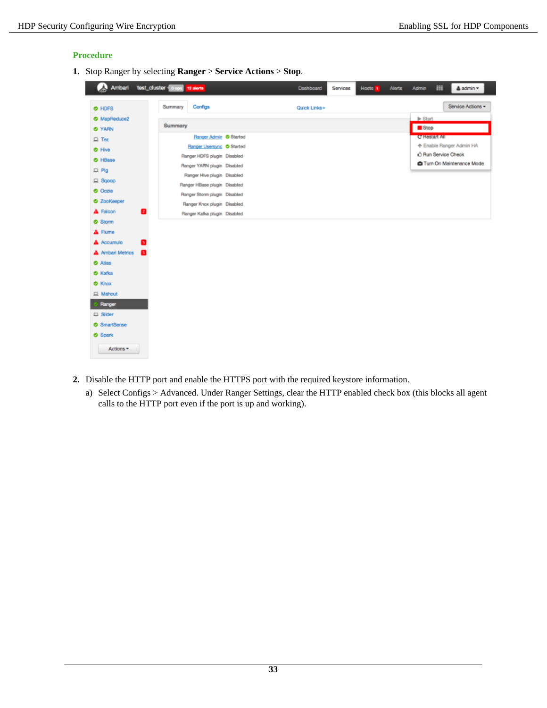### **Procedure**

**1.** Stop Ranger by selecting **Ranger** > **Service Actions** > **Stop**.

| لاء<br>Ambari            | test_cluster   0 ops | 12 aierts                    | Dashboard     | Services | Hosts 1 | <b>Alerts</b> | <b>Admin</b>                | 田                   | <b>≜</b> admin ▼                  |
|--------------------------|----------------------|------------------------------|---------------|----------|---------|---------------|-----------------------------|---------------------|-----------------------------------|
| O HDFS                   | Summary              | Configs                      | Quick Links - |          |         |               |                             |                     | Service Actions -                 |
| O MapReduce2             |                      |                              |               |          |         |               | $\blacktriangleright$ Start |                     |                                   |
| <b>O</b> YARN            | Summary              |                              |               |          |         |               | Stop                        |                     |                                   |
| $\Box$ Tez               |                      | Ranger Admin Started         |               |          |         |               |                             | C Hestart All       |                                   |
| O Hive                   |                      | Ranger Usersyng Started      |               |          |         |               |                             |                     | ← Enable Ranger Admin HA          |
| O HBase                  |                      | Ranger HDFS plugin Disabled  |               |          |         |               |                             | A Run Service Check |                                   |
| $\Box$ Pig               |                      | Ranger YARN plugin Disabled  |               |          |         |               |                             |                     | <b>C</b> Turn On Maintenance Mode |
| $\Box$ Sqoop             |                      | Ranger Hive plugin Disabled  |               |          |         |               |                             |                     |                                   |
| <b>O</b> Oozie           |                      | Ranger HBase plugin Disabled |               |          |         |               |                             |                     |                                   |
| <b>O</b> ZooKeeper       |                      | Ranger Storm plugin Disabled |               |          |         |               |                             |                     |                                   |
| A Falcon<br>$\mathbf{z}$ |                      | Ranger Knox plugin Disabled  |               |          |         |               |                             |                     |                                   |
| <b>O</b> Storm           |                      | Ranger Kafka plugin Disabled |               |          |         |               |                             |                     |                                   |
| A Flume                  |                      |                              |               |          |         |               |                             |                     |                                   |
| A Accumulo<br>G          |                      |                              |               |          |         |               |                             |                     |                                   |
|                          |                      |                              |               |          |         |               |                             |                     |                                   |
| A Ambari Metrics<br>П    |                      |                              |               |          |         |               |                             |                     |                                   |
| <b>O</b> Atlas           |                      |                              |               |          |         |               |                             |                     |                                   |
| <b>O</b> Kafka           |                      |                              |               |          |         |               |                             |                     |                                   |
| <b>O</b> Knox            |                      |                              |               |          |         |               |                             |                     |                                   |
| El Mahout                |                      |                              |               |          |         |               |                             |                     |                                   |
| Ranger                   |                      |                              |               |          |         |               |                             |                     |                                   |
| $\Box$ Slider            |                      |                              |               |          |         |               |                             |                     |                                   |
| <b>8</b> SmartSense      |                      |                              |               |          |         |               |                             |                     |                                   |
| <b>O</b> Spark           |                      |                              |               |          |         |               |                             |                     |                                   |
| Actions *                |                      |                              |               |          |         |               |                             |                     |                                   |

- **2.** Disable the HTTP port and enable the HTTPS port with the required keystore information.
	- a) Select Configs > Advanced. Under Ranger Settings, clear the HTTP enabled check box (this blocks all agent calls to the HTTP port even if the port is up and working).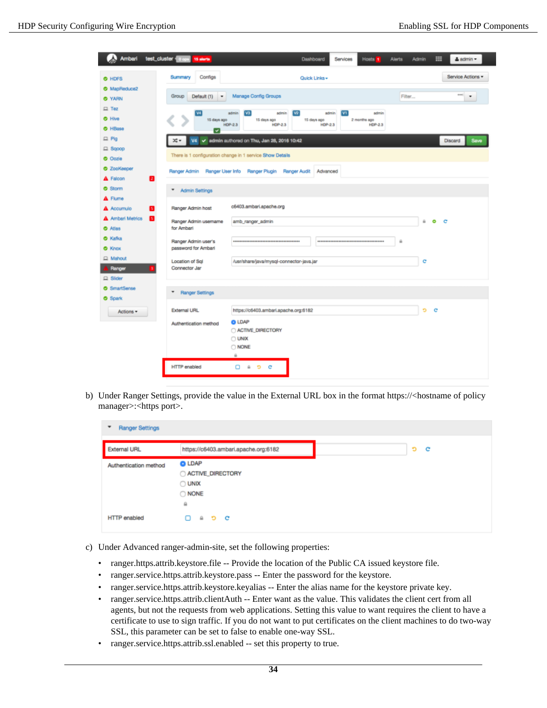|                                                  | Ambari test_cluster cops 15 sterts                           |                                                                                                           | Dashboard                                            | <b>Services</b><br>Hosts 1                              | <b>Alerts</b><br><b>Admin</b> | ▦<br>& admin -            |
|--------------------------------------------------|--------------------------------------------------------------|-----------------------------------------------------------------------------------------------------------|------------------------------------------------------|---------------------------------------------------------|-------------------------------|---------------------------|
| O HDFS                                           | Configs<br>Summary                                           |                                                                                                           | Quick Links -                                        |                                                         |                               | Service Actions *         |
| O MapReduce2<br><b>O</b> YARN                    | Group<br>Default (1)<br>$\overline{\phantom{a}}$             | Manage Config Groups                                                                                      |                                                      |                                                         | Filter                        | eme)<br>٠                 |
| $\Box$ Tez<br><b>O</b> Hive<br><b>O</b> HBase    | [W]<br>15 days ago                                           | [V3]<br>admin<br>admin<br>15 days ago<br>HDP-2.3<br><b>HDP-2.3</b>                                        | $\sqrt{2}$<br>admin<br>15 days ago<br><b>HDP-2.3</b> | $\mathbf{v}$<br>admin<br>2 months ago<br><b>HDP-2.3</b> |                               |                           |
| $\Box$ Pig<br>$\Box$ Sgoop                       | ▿<br>V4<br>x.                                                | de admin authored on Thu, Jan 28, 2016 10:42<br>There is 1 configuration change in 1 service Show Details |                                                      |                                                         |                               | Discard<br>Save           |
| <b>O</b> Oczie<br><b>O</b> ZooKeeper<br>A Falcon | 12                                                           | Ranger Admin Ranger User Info Ranger Plugin Ranger Audit                                                  | Advanced                                             |                                                         |                               |                           |
| <b>O</b> Storm<br>A Flume                        | ٠<br>Admin Settings                                          |                                                                                                           |                                                      |                                                         |                               |                           |
| A Accumulo<br><b>A</b> Ambari Metrics<br>O Atlas | Ranger Admin host<br>п<br>Ranger Admin usemame<br>for Ambari | c6403.ambari.apache.org<br>amb_ranger_admin                                                               |                                                      |                                                         | ù.                            | $\bullet$<br>$\mathbf{C}$ |
| <b>O</b> Kafka<br><b>O</b> Knox<br>Q Mahout      | Ranger Admin user's<br>password for Ambari                   |                                                                                                           |                                                      |                                                         | $\hat{m}$                     |                           |
| Ranger<br>$\Box$ Slider                          | Location of Sql<br>Connector Jar                             | /usr/share/java/mysql-connector-java.jar                                                                  |                                                      |                                                         | c                             |                           |
| <b>3</b> SmartSense<br><b>O</b> Spark            | <b>Ranger Settings</b><br>٠                                  |                                                                                                           |                                                      |                                                         |                               |                           |
| Actions *                                        | <b>External URL</b><br>Authentication method                 | https://c6403.ambari.apache.org:6182<br><b>O LDAP</b>                                                     |                                                      |                                                         | Ð                             | <b>C</b>                  |
|                                                  |                                                              | ACTIVE_DIRECTORY<br>$\bigcirc$ UNIX<br>O NONE<br>$\hat{m}$                                                |                                                      |                                                         |                               |                           |
|                                                  | <b>HTTP</b> enabled                                          | $\mathbf{a}$ o c<br>ο.                                                                                    |                                                      |                                                         |                               |                           |

b) Under Ranger Settings, provide the value in the External URL box in the format https://<hostname of policy manager>:<https port>.

| <b>Ranger Settings</b><br>٠ |                                                                      |
|-----------------------------|----------------------------------------------------------------------|
| <b>External URL</b>         | https://c6403.ambari.apache.org:6182                                 |
| Authentication method       | <b>O</b> LDAP<br>ACTIVE_DIRECTORY<br>O UNIX<br>O NONE<br>$\tilde{m}$ |
| <b>HTTP</b> enabled         | உ உ<br>$^{\circ}$<br>o                                               |

- c) Under Advanced ranger-admin-site, set the following properties:
	- ranger.https.attrib.keystore.file -- Provide the location of the Public CA issued keystore file.
	- ranger.service.https.attrib.keystore.pass -- Enter the password for the keystore.
	- ranger.service.https.attrib.keystore.keyalias -- Enter the alias name for the keystore private key.
	- ranger.service.https.attrib.clientAuth -- Enter want as the value. This validates the client cert from all agents, but not the requests from web applications. Setting this value to want requires the client to have a certificate to use to sign traffic. If you do not want to put certificates on the client machines to do two-way SSL, this parameter can be set to false to enable one-way SSL.
	- ranger.service.https.attrib.ssl.enabled -- set this property to true.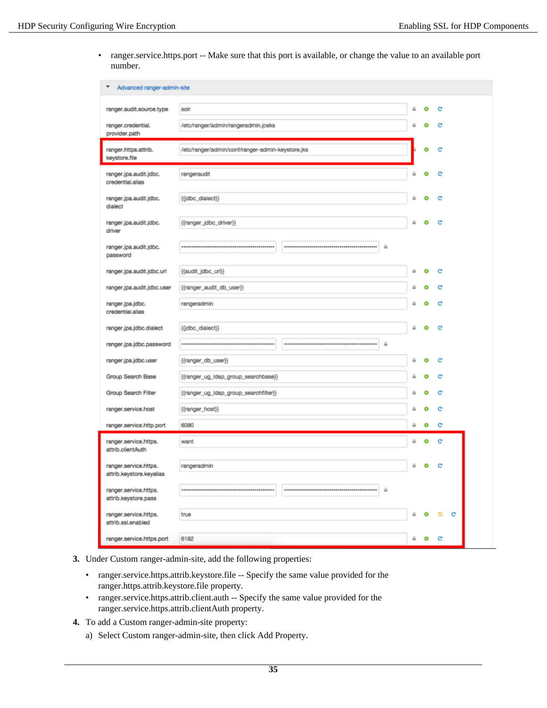• ranger.service.https.port -- Make sure that this port is available, or change the value to an available port number.

| Advanced ranger-admin-site                        |                                                  |   |   |   |   |
|---------------------------------------------------|--------------------------------------------------|---|---|---|---|
| ranger.audit.source.type                          | solr                                             | ⋒ | ۰ | c |   |
| ranger.credential.<br>provider.path               | /etc/ranger/admin/rangeradmin.jceks              |   |   | c |   |
| ranger.https.attrib.<br>keystore.file             | /etc/ranger/admin/conf/ranger-admin-keystore.jks |   | ۰ | c |   |
| ranger.jpa.audit.jdbc.<br>credential.alias        | rangeraudit                                      |   | e | e |   |
| ranger.jpa.audit.jdbc.<br>dialect                 | {{idbc_dialect}}                                 | ۵ | o | с |   |
| ranger.jpa.audit.jdbc.<br>driver                  | {{ranger_idbc_driver}}                           | ≙ | ۰ | c |   |
| ranger.jpa.audit.jdbc.<br>password                | ₿                                                |   |   |   |   |
| ranger.jpa.audit.jdbc.url                         | {{audit_jdbc_url}}                               | ä | ۰ | c |   |
| ranger.jpa.audit.jdbc.user                        | {{ranger_audit_db_user}}                         | ⋒ | ۰ | c |   |
| ranger.jpa.jdbc.<br>credential, alias             | rangeradmin                                      |   |   | c |   |
| ranger.jpa.jdbc.dialect                           | ((jdbc_dialect))                                 | ₽ |   | e |   |
| ranger.jpa.jdbc.password                          | $\frac{1}{2}$                                    |   |   |   |   |
| ranger.jpa.jdbc.user                              | {{ranger_db_user}}                               | ⋒ | ۰ | c |   |
| Group Search Base                                 | {{ranger_ug_idap_group_searchbase}}              | ≙ | ۰ | c |   |
| Group Search Filter                               | {{ranger_ug_ldap_group_searchfilter}}            | ⋒ | o | с |   |
| ranger.service.host                               | ((ranger_host))                                  | ₽ |   | e |   |
| ranger.service.http.port                          | 6080                                             | a | ۰ | c |   |
| ranger.service.https.<br>attrib.clientAuth        | want                                             | ₿ | ۰ | c |   |
| ranger.service.https.<br>attrib.keystore.keyalias | rangeradmin                                      | ۵ |   |   |   |
| ranger.service.https.<br>attrib.keystore.pass     | $\omega$                                         |   |   |   |   |
| ranger.service.https.<br>attrib.ssl.enabled       | true                                             |   |   | ъ | с |
| ranger.service.https.port                         | 6182                                             | ۵ | ۰ | с |   |

- **3.** Under Custom ranger-admin-site, add the following properties:
	- ranger.service.https.attrib.keystore.file -- Specify the same value provided for the ranger.https.attrib.keystore.file property.
	- ranger.service.https.attrib.client.auth -- Specify the same value provided for the ranger.service.https.attrib.clientAuth property.
- **4.** To add a Custom ranger-admin-site property:
	- a) Select Custom ranger-admin-site, then click Add Property.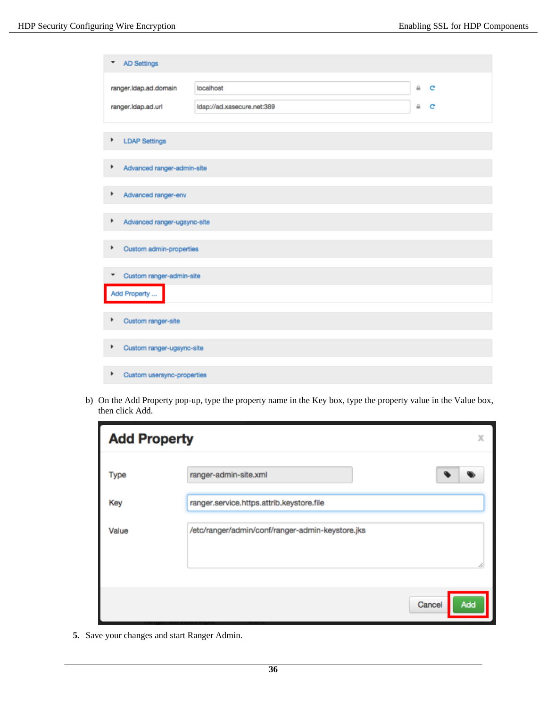| <b>AD Settings</b><br>▼          |                            |   |   |
|----------------------------------|----------------------------|---|---|
| ranger.Idap.ad.domain            | localhost                  | ₽ | c |
| ranger.ldap.ad.url               | Idap://ad.xasecure.net:389 | ≞ | c |
| <b>LDAP Settings</b><br>٠        |                            |   |   |
| ٠<br>Advanced ranger-admin-site  |                            |   |   |
| ٠<br>Advanced ranger-env         |                            |   |   |
| ٠<br>Advanced ranger-ugsync-site |                            |   |   |
| Þ<br>Custom admin-properties     |                            |   |   |
| Custom ranger-admin-site<br>▼    |                            |   |   |
| Add Property                     |                            |   |   |
| ۱<br>Custom ranger-site          |                            |   |   |
| ٠<br>Custom ranger-ugsync-site   |                            |   |   |
| ٠<br>Custom usersync-properties  |                            |   |   |

b) On the Add Property pop-up, type the property name in the Key box, type the property value in the Value box, then click Add.

| <b>Add Property</b> | Χ                                                |
|---------------------|--------------------------------------------------|
| Type                | ranger-admin-site.xml                            |
| Key                 | ranger.service.https.attrib.keystore.file        |
| Value               | /etc/ranger/admin/conf/ranger-admin-keystore.jks |
|                     | Cancel<br>Add                                    |

**5.** Save your changes and start Ranger Admin.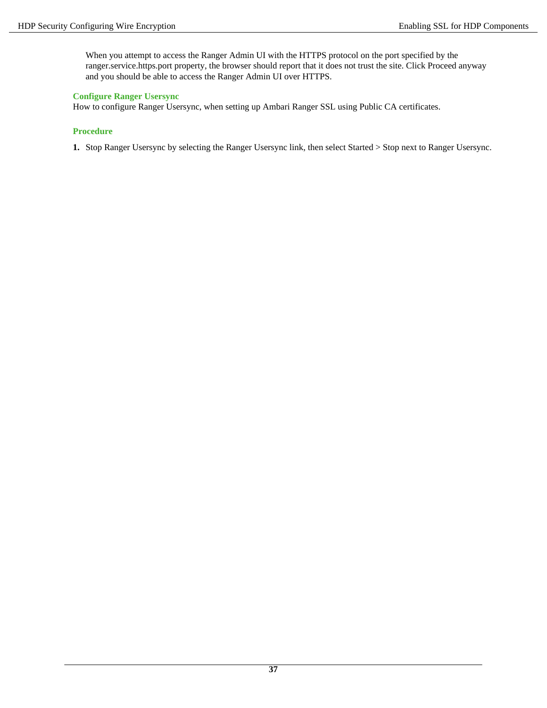When you attempt to access the Ranger Admin UI with the HTTPS protocol on the port specified by the ranger.service.https.port property, the browser should report that it does not trust the site. Click Proceed anyway and you should be able to access the Ranger Admin UI over HTTPS.

### **Configure Ranger Usersync**

How to configure Ranger Usersync, when setting up Ambari Ranger SSL using Public CA certificates.

### **Procedure**

**1.** Stop Ranger Usersync by selecting the Ranger Usersync link, then select Started > Stop next to Ranger Usersync.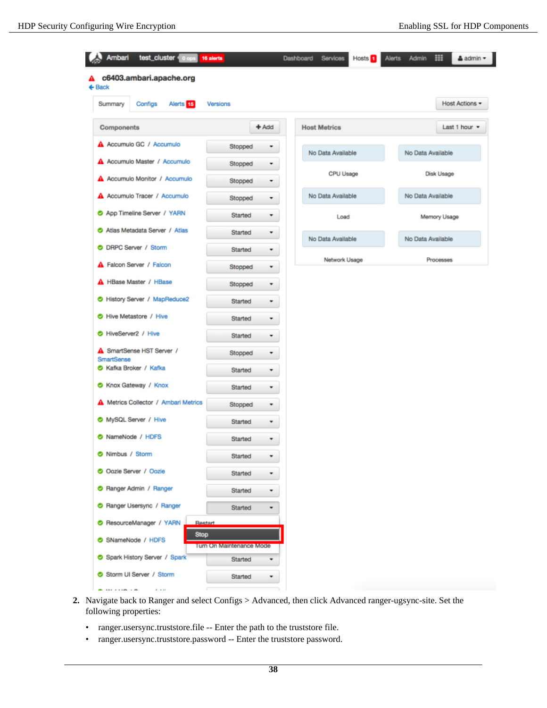I

| c6403.ambari.apache.org<br>A.<br>$\leftarrow$ Back |                          |                        |                    |
|----------------------------------------------------|--------------------------|------------------------|--------------------|
| Configs<br>Alerts <sup>15</sup><br>Summary         | Versions                 |                        | Host Actions -     |
| Components                                         | $+$ Add                  | <b>Host Metrics</b>    | Last 1 hour $\sim$ |
| A Accumulo GC / Accumulo                           | Stopped                  | ۰<br>No Data Available | No Data Available  |
| A Accumulo Master / Accumulo                       | Stopped                  | ۰                      |                    |
| A Accumulo Monitor / Accumulo                      | Stopped                  | CPU Usage<br>۰         | Disk Usage         |
| A Accumulo Tracer / Accumulo                       | Stopped                  | No Data Available<br>۰ | No Data Available  |
| App Timeline Server / YARN                         | Started                  | ۰<br>Load              | Memory Usage       |
| Atlas Metadata Server / Atlas                      | Started                  | ۰<br>No Data Available | No Data Available  |
| O DRPC Server / Storm                              | Started                  | ٠                      |                    |
| <b>A</b> Falcon Server / Falcon                    | Stopped                  | Network Usage<br>۰     | Processes          |
| A HBase Master / HBase                             | Stopped                  | ۰                      |                    |
| History Server / MapReduce2                        | Started                  | ٠                      |                    |
| Hive Metastore / Hive                              | Started                  | ۰                      |                    |
| HiveServer2 / Hive                                 | Started                  | ۰                      |                    |
| SmartSense HST Server /<br>SmartSense              | Stopped                  | ۰                      |                    |
| Kafka Broker / Kafka                               | Started                  |                        |                    |
| Knox Gateway / Knox                                | Started                  | ۰                      |                    |
| A Metrics Collector / Ambari Metrics               | Stopped                  | ٠                      |                    |
| MySQL Server / Hive                                | Started                  | ٠                      |                    |
| NameNode / HDFS                                    | Started                  | ٠                      |                    |
| Nimbus / Storm                                     | Started                  |                        |                    |
| O Oozie Server / Oozie                             | Started                  |                        |                    |
| Ranger Admin / Ranger                              | Started                  | ۰                      |                    |
| Ranger Usersync / Ranger                           | Started                  | ۰                      |                    |
| C ResourceManager / YARN<br>Restart                |                          |                        |                    |
| <b>Stop</b><br>SNameNode / HDFS                    | Turn On Maintenance Mode |                        |                    |
| Spark History Server / Spark                       | Started                  | ٠                      |                    |
| Storm UI Server / Storm                            | Started                  | ٠                      |                    |
|                                                    |                          |                        |                    |

- **2.** Navigate back to Ranger and select Configs > Advanced, then click Advanced ranger-ugsync-site. Set the following properties:
	- ranger.usersync.truststore.file -- Enter the path to the truststore file.
	- ranger.usersync.truststore.password -- Enter the truststore password.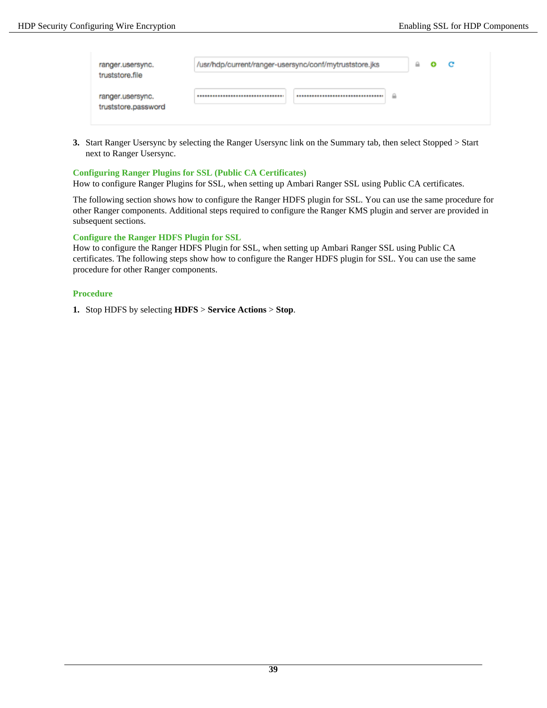| ranger.usersync.<br>truststore.file     | /usr/hdp/current/ranger-usersync/conf/mytruststore.jks | 益 | o | C |
|-----------------------------------------|--------------------------------------------------------|---|---|---|
| ranger.usersync.<br>truststore.password | ≙<br>                                                  |   |   |   |

**3.** Start Ranger Usersync by selecting the Ranger Usersync link on the Summary tab, then select Stopped > Start next to Ranger Usersync.

### **Configuring Ranger Plugins for SSL (Public CA Certificates)**

How to configure Ranger Plugins for SSL, when setting up Ambari Ranger SSL using Public CA certificates.

The following section shows how to configure the Ranger HDFS plugin for SSL. You can use the same procedure for other Ranger components. Additional steps required to configure the Ranger KMS plugin and server are provided in subsequent sections.

### <span id="page-38-0"></span>**Configure the Ranger HDFS Plugin for SSL**

How to configure the Ranger HDFS Plugin for SSL, when setting up Ambari Ranger SSL using Public CA certificates. The following steps show how to configure the Ranger HDFS plugin for SSL. You can use the same procedure for other Ranger components.

### **Procedure**

**1.** Stop HDFS by selecting **HDFS** > **Service Actions** > **Stop**.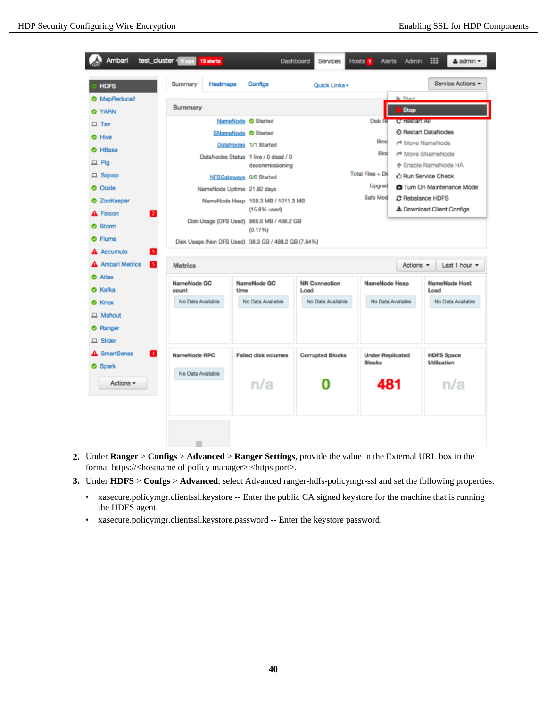| <b>HDFS</b>                | Summary<br>Heatmaps  | Configs                                              | Quick Links -                |                                          |                               | Service Actions -                                         |
|----------------------------|----------------------|------------------------------------------------------|------------------------------|------------------------------------------|-------------------------------|-----------------------------------------------------------|
| MapReduce2                 |                      |                                                      |                              |                                          | <b>National</b>               |                                                           |
| <b>O</b> YARN              | Summary              |                                                      |                              |                                          | Stop                          |                                                           |
| $\Box$ Tez                 |                      | NameNode Started                                     |                              | Disk He                                  | C Research                    |                                                           |
| <b>O</b> Hive              |                      | SNameNode <sup>Started</sup>                         |                              |                                          |                               | @ Restart DataNodes                                       |
| HBase                      |                      | DataNodes 1/1 Started                                |                              | Bloc                                     |                               | r <sup>+</sup> Move NameNode                              |
| $\Box$ Pig                 |                      | DataNodes Status 1 live / 0 dead / 0                 |                              | Blod                                     |                               | r <sup>+</sup> Move SNameNode                             |
| $\Box$ Sqoop               |                      | decommissioning                                      |                              | Total Files + Di                         |                               | 个 Enable NameNode HA                                      |
| <b>O</b> Oozie             |                      | NFSGateways 0/0 Started                              |                              | Upgrad                                   |                               | 心 Run Service Check<br><b>CI</b> Turn On Maintenance Mode |
|                            |                      | NameNode Uptime 21.82 days                           |                              | Safe Mod                                 |                               | C Rebalance HDFS                                          |
| <b>C</b> ZooKeeper         |                      | NameNode Heap 159.3 MB / 1011.3 MB<br>$(15.8%$ used) |                              |                                          |                               | & Download Client Configs                                 |
| Falcon<br>21<br>Storm      |                      | Disk Usage (DFS Used) 869.6 MB / 488.2 GB            |                              |                                          |                               |                                                           |
| Flume                      |                      | (0.1796)                                             |                              |                                          |                               |                                                           |
| Accumulo<br>51             |                      | Disk Usage (Non DFS Used) 38.3 GB / 488.2 GB (7.84%) |                              |                                          |                               |                                                           |
| <b>Ambari Metrics</b><br>В |                      |                                                      |                              |                                          |                               |                                                           |
|                            | <b>Metrics</b>       |                                                      |                              |                                          | Actions $\blacktriangleright$ | Last 1 hour =                                             |
| Atlas<br>Kafka             | NameNode GC<br>count | NameNode GC<br>time                                  | <b>NN Connection</b><br>Load | NameNode Heap                            |                               | <b>NameNode Host</b><br>Load                              |
| Knox                       | No Data Available    | No Data Available                                    | No Data Available            | No Data Available                        |                               | No Data Available                                         |
| $\Box$ Mahout              |                      |                                                      |                              |                                          |                               |                                                           |
| Ranger                     |                      |                                                      |                              |                                          |                               |                                                           |
|                            |                      |                                                      |                              |                                          |                               |                                                           |
| Slider                     |                      |                                                      |                              |                                          |                               |                                                           |
| <b>SmartSense</b><br>П     | NameNode RPC         | <b>Failed disk volumes</b>                           | <b>Corrupted Blocks</b>      | <b>Under Replicated</b><br><b>Blocks</b> |                               | <b>HDFS Space</b><br><b>Utilization</b>                   |
| <b>O</b> Spark             | No Data Available    |                                                      |                              |                                          |                               |                                                           |
| Actions =                  |                      | n/a                                                  |                              |                                          |                               | n/a                                                       |

- **2.** Under **Ranger** > **Configs** > **Advanced** > **Ranger Settings**, provide the value in the External URL box in the format https://<hostname of policy manager>:<https port>.
- **3.** Under **HDFS** > **Confgs** > **Advanced**, select Advanced ranger-hdfs-policymgr-ssl and set the following properties:
	- xasecure.policymgr.clientssl.keystore -- Enter the public CA signed keystore for the machine that is running the HDFS agent.
	- xasecure.policymgr.clientssl.keystore.password -- Enter the keystore password.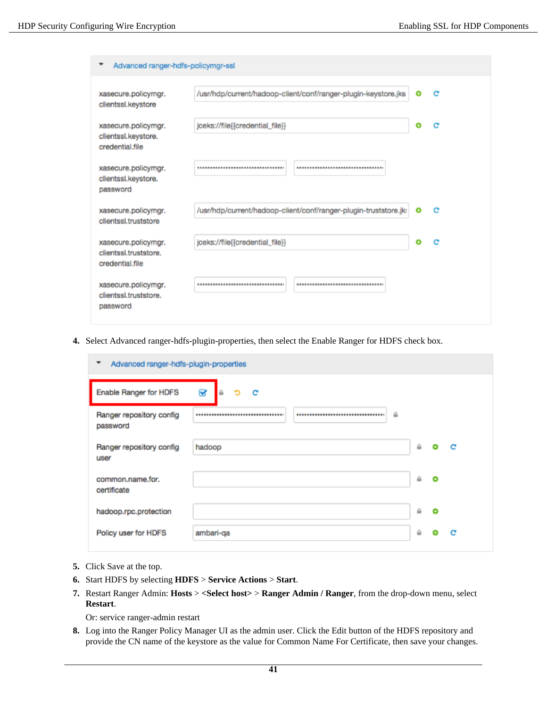| Advanced ranger-hdfs-policymgr-ssl                              |                                                                  |   |              |
|-----------------------------------------------------------------|------------------------------------------------------------------|---|--------------|
| xasecure.policymgr.<br>clientssl.keystore                       | /usr/hdp/current/hadoop-client/conf/ranger-plugin-keystore.jks   | ۰ | c            |
| xasecure.policymgr.<br>clientssl.keystore.<br>credential.file   | jceks://file{{credential_file}}                                  | ۰ | c            |
| xasecure.policymgr.<br>clientssl.keystore.<br>password          |                                                                  |   |              |
| xasecure.policymgr.<br>clientssl.truststore                     | /usr/hdp/current/hadoop-client/conf/ranger-plugin-truststore.jk: | ۰ | $\mathbf{C}$ |
| xasecure.policymgr.<br>clientssl.truststore.<br>credential.file | jceks://file{{credential_file}}                                  | o | c            |
| xasecure.policymgr.<br>clientssl.truststore.<br>password        | <br>***********************************                          |   |              |

**4.** Select Advanced ranger-hdfs-plugin-properties, then select the Enable Ranger for HDFS check box.

| ▼<br>Advanced ranger-hdfs-plugin-properties |                            |   |   |   |
|---------------------------------------------|----------------------------|---|---|---|
| Enable Ranger for HDFS                      | B<br>$\triangle$<br>ъ<br>c |   |   |   |
| Ranger repository config<br>password        | $\mathbf{a}$<br>           |   |   |   |
| Ranger repository config<br>user            | hadoop                     | ≙ | ⊕ | с |
| common.name.for.<br>certificate             |                            | ≙ | ⊕ |   |
| hadoop.rpc.protection                       |                            | ₿ | ٠ |   |
| Policy user for HDFS                        | ambari-qa                  | ≙ |   | c |

- **5.** Click Save at the top.
- **6.** Start HDFS by selecting **HDFS** > **Service Actions** > **Start**.
- **7.** Restart Ranger Admin: **Hosts** > **<Select host>** > **Ranger Admin / Ranger**, from the drop-down menu, select **Restart**.

Or: service ranger-admin restart

**8.** Log into the Ranger Policy Manager UI as the admin user. Click the Edit button of the HDFS repository and provide the CN name of the keystore as the value for Common Name For Certificate, then save your changes.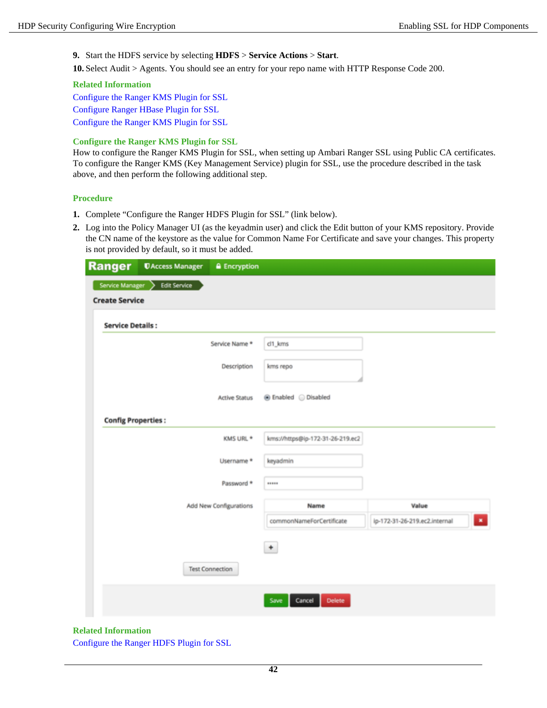**9.** Start the HDFS service by selecting **HDFS** > **Service Actions** > **Start**.

**10.**Select Audit > Agents. You should see an entry for your repo name with HTTP Response Code 200.

#### **Related Information**

[Configure the Ranger KMS Plugin for SSL](#page-41-0) [Configure Ranger HBase Plugin for SSL](#page-43-1) [Configure the Ranger KMS Plugin for SSL](#page-53-0)

### <span id="page-41-0"></span>**Configure the Ranger KMS Plugin for SSL**

How to configure the Ranger KMS Plugin for SSL, when setting up Ambari Ranger SSL using Public CA certificates. To configure the Ranger KMS (Key Management Service) plugin for SSL, use the procedure described in the task above, and then perform the following additional step.

### **Procedure**

- **1.** Complete "Configure the Ranger HDFS Plugin for SSL" (link below).
- **2.** Log into the Policy Manager UI (as the keyadmin user) and click the Edit button of your KMS repository. Provide the CN name of the keystore as the value for Common Name For Certificate and save your changes. This property is not provided by default, so it must be added.

| Ranger                                     | <b><i><u>DAccess Manager</u></i></b> | <b>A</b> Encryption    |                                  |                                               |
|--------------------------------------------|--------------------------------------|------------------------|----------------------------------|-----------------------------------------------|
| Service Manager ><br><b>Create Service</b> | <b>Edit Service</b>                  |                        |                                  |                                               |
| <b>Service Details:</b>                    |                                      |                        |                                  |                                               |
|                                            |                                      | Service Name *         | cl1_kms                          |                                               |
|                                            |                                      | Description            | kms repo                         |                                               |
|                                            |                                      | <b>Active Status</b>   | <b> ■</b> Enabled  ■ Disabled    |                                               |
| <b>Config Properties:</b>                  |                                      |                        |                                  |                                               |
|                                            |                                      | KMS URL *              | kms://https@ip-172-31-26-219.ec2 |                                               |
|                                            |                                      | Username *             | keyadmin                         |                                               |
|                                            |                                      | Password *             |                                  |                                               |
|                                            |                                      | Add New Configurations | Name                             | Value                                         |
|                                            |                                      |                        | commonNameForCertificate         | ip-172-31-26-219.ec2.internal<br>$\mathbf{x}$ |
|                                            |                                      |                        | $^\mathrm{+}$                    |                                               |
|                                            |                                      | <b>Test Connection</b> |                                  |                                               |
|                                            |                                      |                        | Cancel<br><b>Delete</b><br>Save  |                                               |

### **Related Information**

[Configure the Ranger HDFS Plugin for SSL](#page-38-0)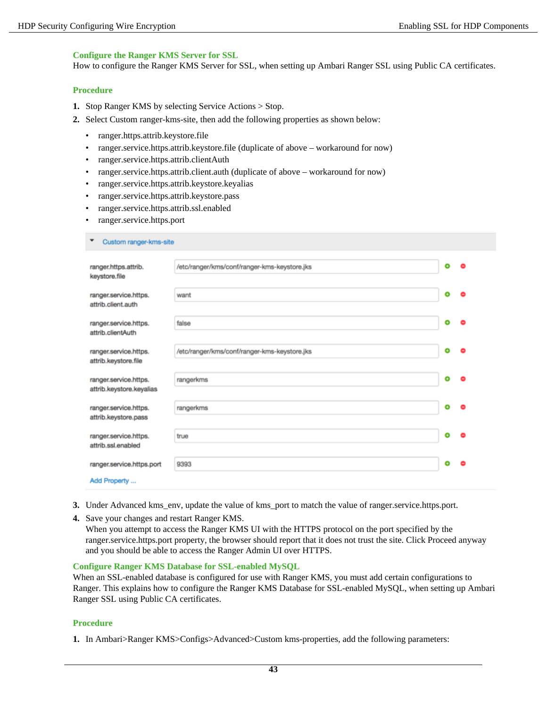### **Configure the Ranger KMS Server for SSL**

How to configure the Ranger KMS Server for SSL, when setting up Ambari Ranger SSL using Public CA certificates.

### **Procedure**

- **1.** Stop Ranger KMS by selecting Service Actions > Stop.
- **2.** Select Custom ranger-kms-site, then add the following properties as shown below:
	- ranger.https.attrib.keystore.file
	- ranger.service.https.attrib.keystore.file (duplicate of above workaround for now)
	- ranger.service.https.attrib.clientAuth
	- ranger.service.https.attrib.client.auth (duplicate of above workaround for now)
	- ranger.service.https.attrib.keystore.keyalias
	- ranger.service.https.attrib.keystore.pass
	- ranger.service.https.attrib.ssl.enabled
	- ranger.service.https.port

 $\bullet$  Custom ranger-kms-site

| ranger.https.attrib.<br>keystore.file             | /etc/ranger/kms/conf/ranger-kms-keystore.jks | ۰ |   |
|---------------------------------------------------|----------------------------------------------|---|---|
| ranger.service.https.<br>attrib.client.auth       | want                                         | ۰ |   |
| ranger.service.https.<br>attrib.clientAuth        | false                                        | ۰ |   |
| ranger.service.https.<br>attrib.keystore.file     | /etc/ranger/kms/conf/ranger-kms-keystore.jks | ۰ |   |
| ranger.service.https.<br>attrib.keystore.keyalias | rangerkms                                    | ۰ |   |
| ranger.service.https.<br>attrib.keystore.pass     | rangerkms                                    | ۰ | Θ |
| ranger.service.https.<br>attrib.ssl.enabled       | true                                         | ۰ |   |
| ranger.service.https.port<br>Add Property         | 9393                                         | ۰ |   |
|                                                   |                                              |   |   |

- **3.** Under Advanced kms\_env, update the value of kms\_port to match the value of ranger.service.https.port.
- **4.** Save your changes and restart Ranger KMS.

When you attempt to access the Ranger KMS UI with the HTTPS protocol on the port specified by the ranger.service.https.port property, the browser should report that it does not trust the site. Click Proceed anyway and you should be able to access the Ranger Admin UI over HTTPS.

#### **Configure Ranger KMS Database for SSL-enabled MySQL**

When an SSL-enabled database is configured for use with Ranger KMS, you must add certain configurations to Ranger. This explains how to configure the Ranger KMS Database for SSL-enabled MySQL, when setting up Ambari Ranger SSL using Public CA certificates.

### **Procedure**

**1.** In Ambari>Ranger KMS>Configs>Advanced>Custom kms-properties, add the following parameters: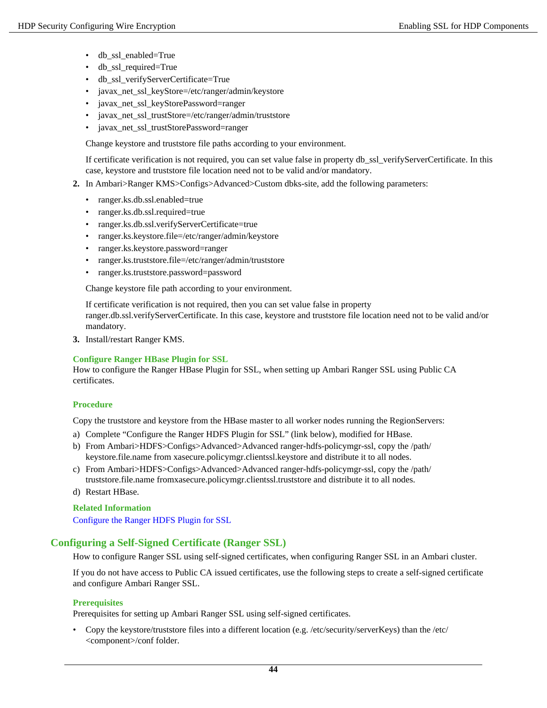- db\_ssl\_enabled=True
- db\_ssl\_required=True
- db\_ssl\_verifyServerCertificate=True
- javax\_net\_ssl\_keyStore=/etc/ranger/admin/keystore
- javax\_net\_ssl\_keyStorePassword=ranger
- javax\_net\_ssl\_trustStore=/etc/ranger/admin/truststore
- javax\_net\_ssl\_trustStorePassword=ranger

Change keystore and truststore file paths according to your environment.

If certificate verification is not required, you can set value false in property db\_ssl\_verifyServerCertificate. In this case, keystore and truststore file location need not to be valid and/or mandatory.

- **2.** In Ambari>Ranger KMS>Configs>Advanced>Custom dbks-site, add the following parameters:
	- ranger.ks.db.ssl.enabled=true
	- ranger.ks.db.ssl.required=true
	- ranger.ks.db.ssl.verifyServerCertificate=true
	- ranger.ks.keystore.file=/etc/ranger/admin/keystore
	- ranger.ks.keystore.password=ranger
	- ranger.ks.truststore.file=/etc/ranger/admin/truststore
	- ranger.ks.truststore.password=password

Change keystore file path according to your environment.

If certificate verification is not required, then you can set value false in property ranger.db.ssl.verifyServerCertificate. In this case, keystore and truststore file location need not to be valid and/or mandatory.

**3.** Install/restart Ranger KMS.

### <span id="page-43-1"></span>**Configure Ranger HBase Plugin for SSL**

How to configure the Ranger HBase Plugin for SSL, when setting up Ambari Ranger SSL using Public CA certificates.

### **Procedure**

Copy the truststore and keystore from the HBase master to all worker nodes running the RegionServers:

- a) Complete "Configure the Ranger HDFS Plugin for SSL" (link below), modified for HBase.
- b) From Ambari>HDFS>Configs>Advanced>Advanced ranger-hdfs-policymgr-ssl, copy the /path/ keystore.file.name from xasecure.policymgr.clientssl.keystore and distribute it to all nodes.
- c) From Ambari>HDFS>Configs>Advanced>Advanced ranger-hdfs-policymgr-ssl, copy the /path/ truststore.file.name fromxasecure.policymgr.clientssl.truststore and distribute it to all nodes.
- d) Restart HBase.

### **Related Information**

[Configure the Ranger HDFS Plugin for SSL](#page-38-0)

## <span id="page-43-0"></span>**Configuring a Self-Signed Certificate (Ranger SSL)**

How to configure Ranger SSL using self-signed certificates, when configuring Ranger SSL in an Ambari cluster.

If you do not have access to Public CA issued certificates, use the following steps to create a self-signed certificate and configure Ambari Ranger SSL.

### **Prerequisites**

Prerequisites for setting up Ambari Ranger SSL using self-signed certificates.

• Copy the keystore/truststore files into a different location (e.g. /etc/security/serverKeys) than the /etc/ <component>/conf folder.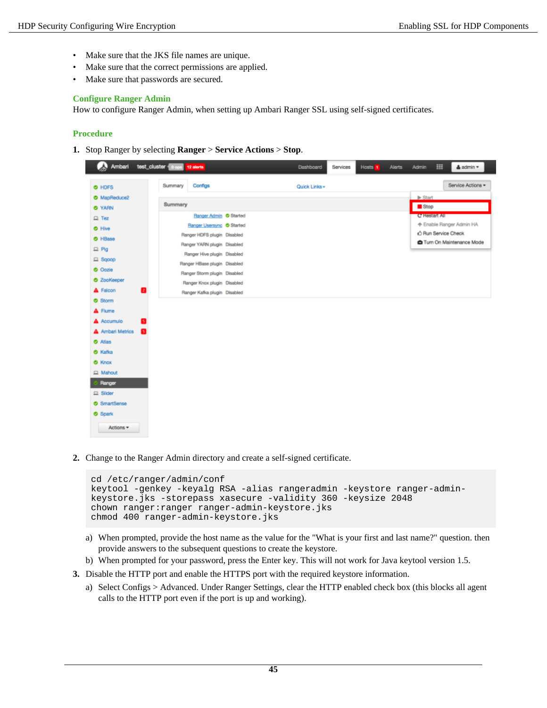- Make sure that the JKS file names are unique.
- Make sure that the correct permissions are applied.
- Make sure that passwords are secured.

### **Configure Ranger Admin**

How to configure Ranger Admin, when setting up Ambari Ranger SSL using self-signed certificates.

### **Procedure**

**1.** Stop Ranger by selecting **Ranger** > **Service Actions** > **Stop**.

| Ambari                       | test cluster 0 cos<br>12 ailerts | Dashboard<br>Services<br>Hosts 1 | 噩<br><b>≜</b> admin ▼<br><b>Alerts</b><br><b>Admin</b> |
|------------------------------|----------------------------------|----------------------------------|--------------------------------------------------------|
| O HDFS                       | Summary<br>Configs               | Quick Links -                    | Service Actions -                                      |
| <b>O</b> MapReduce2          |                                  |                                  | $\blacktriangleright$ Start                            |
| <b>O</b> YARN                | Summary                          |                                  | Stop                                                   |
| $\Box$ Tez                   | Ranger Admin Started             |                                  | C' Hestart All                                         |
| O Hive                       | Ranger Usersyng Started          |                                  | 个 Enable Ranger Admin HA                               |
| O HBase                      | Ranger HDFS plugin Disabled      |                                  | 心 Run Service Check<br>Turn On Maintenance Mode        |
| $\Box$ Pig                   | Ranger YARN plugin Disabled      |                                  |                                                        |
| $\Box$ Sqoop                 | Ranger Hive plugin Disabled      |                                  |                                                        |
| O Occie                      | Ranger HBase plugin Disabled     |                                  |                                                        |
| <b>O</b> ZooKeeper           | Ranger Storm plugin Disabled     |                                  |                                                        |
| A Falcon<br>П                | Ranger Knox plugin Disabled      |                                  |                                                        |
| <b>O</b> Storm               | Ranger Kafka plugin Disabled     |                                  |                                                        |
|                              |                                  |                                  |                                                        |
| A Flume                      |                                  |                                  |                                                        |
| A Accumulo<br>в              |                                  |                                  |                                                        |
| A Ambari Metrics<br><b>B</b> |                                  |                                  |                                                        |
| <b>O</b> Atlas               |                                  |                                  |                                                        |
| <b>O</b> Kafka               |                                  |                                  |                                                        |
| <b>O</b> Knox                |                                  |                                  |                                                        |
| <b>Q</b> Mahout              |                                  |                                  |                                                        |
| Ranger                       |                                  |                                  |                                                        |
| $\Box$ Slider                |                                  |                                  |                                                        |
| SmartSense                   |                                  |                                  |                                                        |
| <b>O</b> Spark               |                                  |                                  |                                                        |
| Actions *                    |                                  |                                  |                                                        |

**2.** Change to the Ranger Admin directory and create a self-signed certificate.

```
cd /etc/ranger/admin/conf
keytool -genkey -keyalg RSA -alias rangeradmin -keystore ranger-admin-
keystore.jks -storepass xasecure -validity 360 -keysize 2048
chown ranger: ranger ranger-admin-keystore.jks
chmod 400 ranger-admin-keystore.jks
```
- a) When prompted, provide the host name as the value for the "What is your first and last name?" question. then provide answers to the subsequent questions to create the keystore.
- b) When prompted for your password, press the Enter key. This will not work for Java keytool version 1.5.
- **3.** Disable the HTTP port and enable the HTTPS port with the required keystore information.
	- a) Select Configs > Advanced. Under Ranger Settings, clear the HTTP enabled check box (this blocks all agent calls to the HTTP port even if the port is up and working).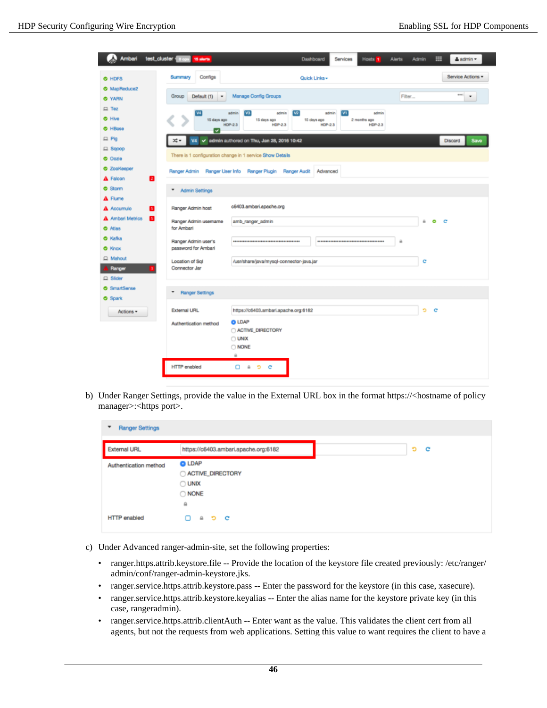|                     | Ambari test_cluster cops 15 sterts               |                                                           | Dashboard                     | <b>Services</b><br>Hosts 1     | Alerts<br><b>Admin</b> | 噩<br>& admin -           |
|---------------------|--------------------------------------------------|-----------------------------------------------------------|-------------------------------|--------------------------------|------------------------|--------------------------|
| O HDFS              | Configs<br>Summary                               |                                                           | Quick Links -                 |                                |                        | Service Actions *        |
| <b>3</b> MapReduce2 |                                                  |                                                           |                               |                                |                        | ene)                     |
| <b>O</b> YARN       | Group<br>Default (1)<br>$\overline{\phantom{a}}$ | Manage Config Groups                                      |                               |                                | Filter                 | $\overline{\phantom{a}}$ |
| $\Box$ Tez          | W                                                | w<br>admin<br>admin                                       | $ v_2 $<br>admin              | V1 <br>admin                   |                        |                          |
| <b>O</b> Hive       | 15 days ago                                      | 15 days ago<br>HDP-2.3<br><b>HDP-2.3</b>                  | 15 days ago<br><b>HDP-2.3</b> | 2 months ago<br><b>HDP-2.3</b> |                        |                          |
| <b>O</b> HBase      | ☞                                                |                                                           |                               |                                |                        |                          |
| $\Box$ Pig          | x.<br><b>V4</b>                                  | de admin authored on Thu, Jan 28, 2016 10:42              |                               |                                |                        | Discard<br>Save          |
| $\Box$ Sgoop        |                                                  | There is 1 configuration change in 1 service Show Details |                               |                                |                        |                          |
| <b>O</b> Oczie      |                                                  |                                                           |                               |                                |                        |                          |
| <b>O</b> ZooKeeper  |                                                  | Ranger Admin Ranger User Info Ranger Plugin Ranger Audit  | Advanced                      |                                |                        |                          |
| A Falcon            | R                                                |                                                           |                               |                                |                        |                          |
| Storm               | ٠<br>Admin Settings                              |                                                           |                               |                                |                        |                          |
| A Flume             |                                                  |                                                           |                               |                                |                        |                          |
| A Accumulo          | Ranger Admin host                                | c6403.ambari.apache.org                                   |                               |                                |                        |                          |
| A Ambari Metrics    | п<br>Ranger Admin usemame                        | amb_ranger_admin                                          |                               |                                |                        | $\bullet$<br>ù.<br>- c   |
| O Atlas             | for Ambari                                       |                                                           |                               |                                |                        |                          |
| <b>O</b> Kafka      | Ranger Admin user's                              |                                                           |                               |                                | $\ddot{u}$             |                          |
| <b>O</b> Knox       | password for Ambari                              |                                                           |                               |                                |                        |                          |
| <b>Q</b> Mahout     | Location of Sql                                  | /usr/share/java/mysql-connector-java.jar                  |                               |                                |                        | c                        |
| Ranger              | Connector Jar                                    |                                                           |                               |                                |                        |                          |
| $\Box$ Slider       |                                                  |                                                           |                               |                                |                        |                          |
| SmartSense          | ٠<br><b>Ranger Settings</b>                      |                                                           |                               |                                |                        |                          |
| <b>O</b> Spark      |                                                  |                                                           |                               |                                |                        |                          |
| Actions *           | <b>External URL</b>                              | https://c6403.ambari.apache.org:6182                      |                               |                                |                        | Ð<br>c                   |
|                     | Authentication method                            | <b>O LDAP</b>                                             |                               |                                |                        |                          |
|                     |                                                  | ACTIVE_DIRECTORY<br>$\bigcirc$ UNIX                       |                               |                                |                        |                          |
|                     |                                                  | O NONE                                                    |                               |                                |                        |                          |
|                     |                                                  | $\hat{m}$                                                 |                               |                                |                        |                          |
|                     | <b>HTTP</b> enabled                              | $\bullet$ $\circ$ $\circ$<br>ο.                           |                               |                                |                        |                          |

b) Under Ranger Settings, provide the value in the External URL box in the format https://<hostname of policy manager>:<https port>.

| <b>Ranger Settings</b><br>٠ |                                                                      |
|-----------------------------|----------------------------------------------------------------------|
| <b>External URL</b>         | https://c6403.ambari.apache.org:6182                                 |
| Authentication method       | <b>O</b> LDAP<br>ACTIVE_DIRECTORY<br>O UNIX<br>O NONE<br>$\tilde{m}$ |
| <b>HTTP</b> enabled         | $\widehat{\phantom{m}}$<br>$^{\circ}$<br>ີ                           |

- c) Under Advanced ranger-admin-site, set the following properties:
	- ranger.https.attrib.keystore.file -- Provide the location of the keystore file created previously: /etc/ranger/ admin/conf/ranger-admin-keystore.jks.
	- ranger.service.https.attrib.keystore.pass -- Enter the password for the keystore (in this case, xasecure).
	- ranger.service.https.attrib.keystore.keyalias -- Enter the alias name for the keystore private key (in this case, rangeradmin).
	- ranger.service.https.attrib.clientAuth -- Enter want as the value. This validates the client cert from all agents, but not the requests from web applications. Setting this value to want requires the client to have a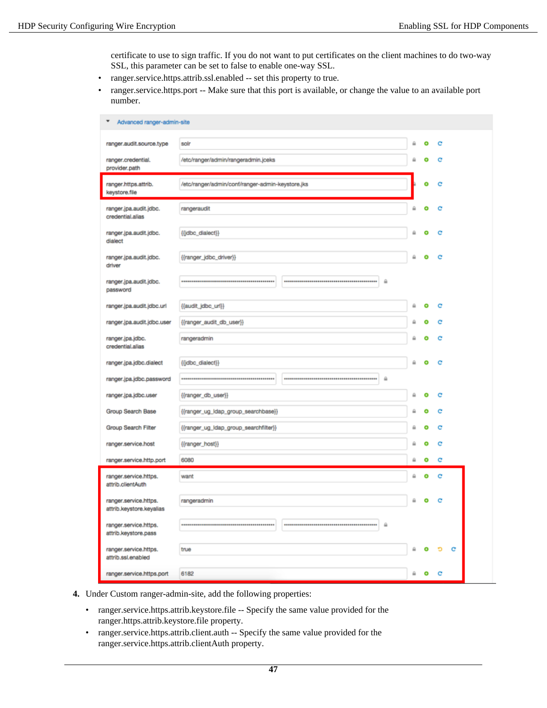certificate to use to sign traffic. If you do not want to put certificates on the client machines to do two-way SSL, this parameter can be set to false to enable one-way SSL.

- ranger.service.https.attrib.ssl.enabled -- set this property to true.
- ranger.service.https.port -- Make sure that this port is available, or change the value to an available port number.

| Advanced ranger-admin-site                        |                                                  |   |   |   |   |
|---------------------------------------------------|--------------------------------------------------|---|---|---|---|
| ranger.audit.source.type                          | solr                                             | ≙ | ۰ | c |   |
| ranger.credential.<br>provider.path               | /etc/ranger/admin/rangeradmin.jceks              |   |   | c |   |
| ranger.https.attrib.<br>keystore.file             | /etc/ranger/admin/conf/ranger-admin-keystore.jks |   |   |   |   |
| ranger.jpa.audit.jdbc.<br>credential.alias        | rangeraudit                                      |   |   |   |   |
| ranger.jpa.audit.jdbc.<br>dialect                 | {{idbc_dialect}}                                 |   | c | с |   |
| ranger.jpa.audit.jdbc.<br>driver                  | {{ranger_idbc_driver}}                           |   | Θ | c |   |
| ranger.jpa.audit.jdbc.<br>password                | ⋒                                                |   |   |   |   |
| ranger.jpa.audit.jdbc.url                         | {{audit_jdbc_url}}                               | ü | o | c |   |
| ranger.jpa.audit.jdbc.user                        | {{ranger_audit_db_user}}                         | ₽ | Θ | c |   |
| ranger.jpa.jdbc.<br>credential.alias              | rangeradmin                                      |   |   |   |   |
| ranger.jpa.jdbc.dialect                           | ((jdbc_dialect))                                 |   |   |   |   |
| ranger.jpa.jdbc.password                          | $\hat{m}$                                        |   |   |   |   |
| ranger.jpa.jdbc.user                              | {{ranger_db_user}}                               | ⋒ | ۰ | c |   |
| Group Search Base                                 | {{ranger_ug_idap_group_searchbase}}              |   |   | c |   |
| Group Search Filter                               | {{ranger_ug_Idap_group_searchfilter}}            |   |   | с |   |
| ranger.service.host                               | {{ranger_host}}                                  |   |   | е |   |
| ranger.service.http.port                          | 6080                                             | a | ۰ | с |   |
| ranger.service.https.<br>attrib.clientAuth        | want                                             | ₿ | ۰ | с |   |
| ranger.service.https.<br>attrib.keystore.keyalias | rangeradmin                                      | ۵ |   |   |   |
| ranger.service.https.<br>attrib.keystore.pass     | ≙                                                |   |   |   |   |
| ranger.service.https.<br>attrib.ssl.enabled       | true                                             |   |   | D | c |
| ranger.service.https.port                         | 6182                                             | a |   |   |   |

- **4.** Under Custom ranger-admin-site, add the following properties:
	- ranger.service.https.attrib.keystore.file -- Specify the same value provided for the ranger.https.attrib.keystore.file property.
	- ranger.service.https.attrib.client.auth -- Specify the same value provided for the ranger.service.https.attrib.clientAuth property.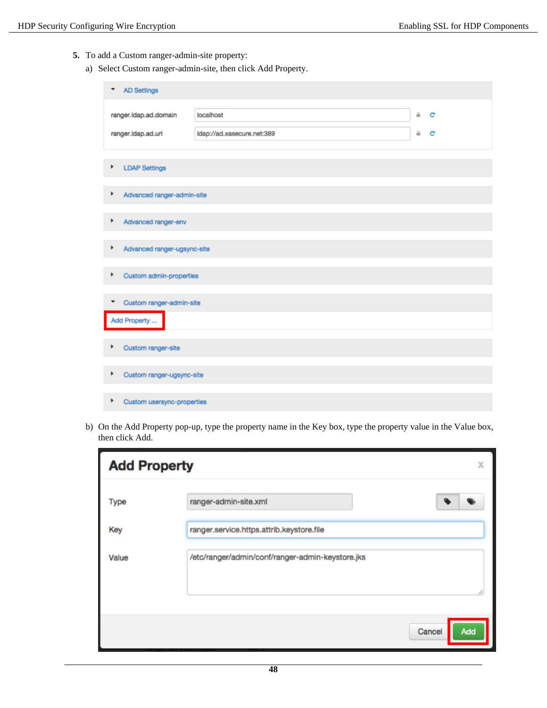- **5.** To add a Custom ranger-admin-site property:
	- a) Select Custom ranger-admin-site, then click Add Property.

| <b>AD Settings</b><br>▼          |                            |   |   |
|----------------------------------|----------------------------|---|---|
| ranger.ldap.ad.domain            | localhost                  | ₿ | c |
| ranger.ldap.ad.url               | Idap://ad.xasecure.net:389 | ⋒ | c |
| ۱<br><b>LDAP Settings</b>        |                            |   |   |
| ٠<br>Advanced ranger-admin-site  |                            |   |   |
| ٠<br>Advanced ranger-env         |                            |   |   |
| ۱<br>Advanced ranger-ugsync-site |                            |   |   |
| Custom admin-properties<br>٠     |                            |   |   |
| Custom ranger-admin-site<br>▼    |                            |   |   |
| Add Property                     |                            |   |   |
| ٠<br>Custom ranger-site          |                            |   |   |
| Þ<br>Custom ranger-ugsync-site   |                            |   |   |
| ٠<br>Custom usersync-properties  |                            |   |   |

b) On the Add Property pop-up, type the property name in the Key box, type the property value in the Value box, then click Add.

| <b>Add Property</b> | x                                                |
|---------------------|--------------------------------------------------|
| Type                | ranger-admin-site.xml                            |
| Key                 | ranger.service.https.attrib.keystore.file        |
| Value               | /etc/ranger/admin/conf/ranger-admin-keystore.jks |
|                     | Cancel<br>Add                                    |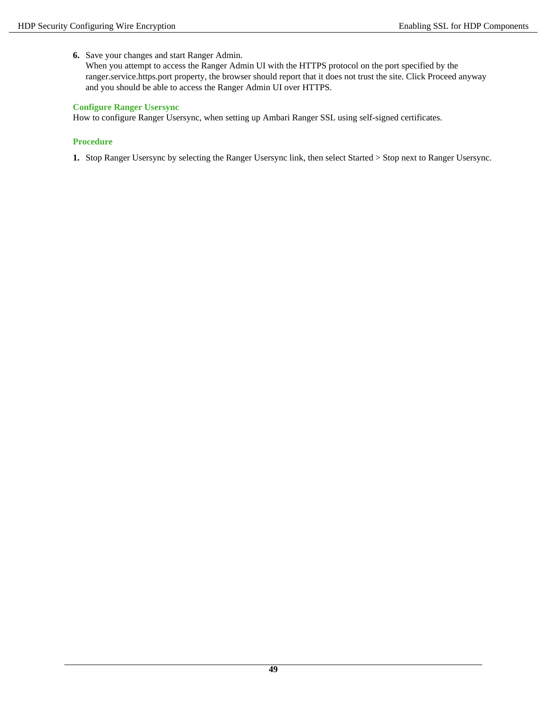**6.** Save your changes and start Ranger Admin.

When you attempt to access the Ranger Admin UI with the HTTPS protocol on the port specified by the ranger.service.https.port property, the browser should report that it does not trust the site. Click Proceed anyway and you should be able to access the Ranger Admin UI over HTTPS.

### **Configure Ranger Usersync**

How to configure Ranger Usersync, when setting up Ambari Ranger SSL using self-signed certificates.

### **Procedure**

**1.** Stop Ranger Usersync by selecting the Ranger Usersync link, then select Started > Stop next to Ranger Usersync.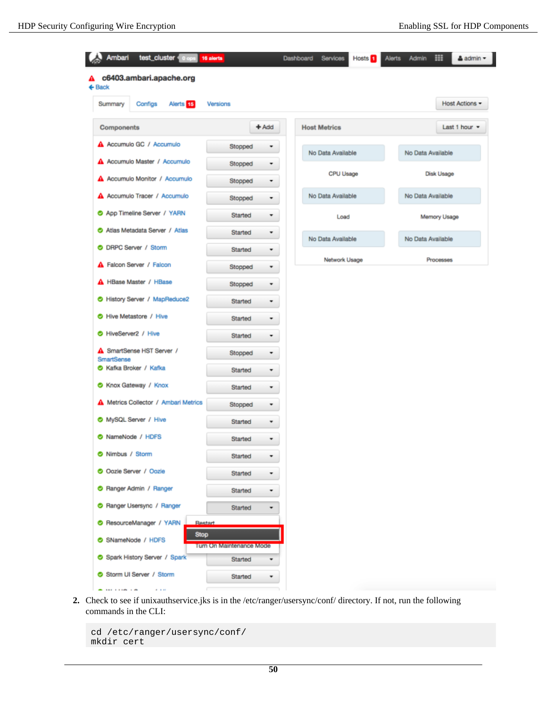| Ambari<br>test_cluster 0 ops<br>16 aierts        |                          | Dashboard<br><b>Services</b><br>Hosts <sup>1</sup> | ▦<br><b>Alerts</b><br>Admin<br>▲ admin ▼ |
|--------------------------------------------------|--------------------------|----------------------------------------------------|------------------------------------------|
| c6403.ambari.apache.org<br>$\leftarrow$ Back     |                          |                                                    |                                          |
| Configs<br>Alerts <sup>15</sup><br>Summary       | Versions                 |                                                    | Host Actions -                           |
| Components                                       | $+$ Add                  | <b>Host Metrics</b>                                | Last 1 hour $\sim$                       |
| A Accumulo GC / Accumulo                         | Stopped<br>۰             | No Data Available                                  | No Data Available                        |
| A Accumulo Master / Accumulo                     | Stopped<br>۰             |                                                    |                                          |
| A Accumulo Monitor / Accumulo                    | Stopped<br>۰             | CPU Usage                                          | Disk Usage                               |
| A Accumulo Tracer / Accumulo                     | Stopped<br>,             | No Data Available                                  | No Data Available                        |
| App Timeline Server / YARN                       | Started                  | Load                                               | Memory Usage                             |
| Atlas Metadata Server / Atlas                    | Started<br>۰             | No Data Available                                  | No Data Available                        |
| O DRPC Server / Storm                            | Started<br>٠             | Network Usage                                      | Processes                                |
| <b>A</b> Falcon Server / Falcon                  | Stopped<br>٠             |                                                    |                                          |
| <b>A</b> HBase Master / HBase                    | Stopped<br>۰             |                                                    |                                          |
| History Server / MapReduce2                      | Started<br>۰             |                                                    |                                          |
| Hive Metastore / Hive                            | Started<br>۰             |                                                    |                                          |
| HiveServer2 / Hive                               | Started<br>۰             |                                                    |                                          |
| <b>A</b> SmartSense HST Server /<br>SmartSense   | Stopped<br>۰             |                                                    |                                          |
| Kafka Broker / Kafka                             | Started                  |                                                    |                                          |
| Knox Gateway / Knox                              | Started<br>۰             |                                                    |                                          |
| <b>A</b> Metrics Collector / Ambari Metrics      | Stopped<br>٠             |                                                    |                                          |
| MySQL Server / Hive                              | ٠<br>Started             |                                                    |                                          |
| NameNode / HDFS                                  | Started<br>۰             |                                                    |                                          |
| Nimbus / Storm                                   | Started                  |                                                    |                                          |
| O Oozie Server / Oozie                           | Started<br>۰             |                                                    |                                          |
| Ranger Admin / Ranger                            | Started                  |                                                    |                                          |
| Ranger Usersync / Ranger                         | Started<br>۰             |                                                    |                                          |
| ResourceManager / YARN<br>Restart<br><b>Stop</b> |                          |                                                    |                                          |
| SNameNode / HDFS                                 | Turn On Maintenance Mode |                                                    |                                          |
| Spark History Server / Spark                     | Started<br>٠             |                                                    |                                          |
| Storm UI Server / Storm                          | Started                  |                                                    |                                          |

**2.** Check to see if unixauthservice.jks is in the /etc/ranger/usersync/conf/ directory. If not, run the following commands in the CLI:

```
cd /etc/ranger/usersync/conf/
mkdir cert
```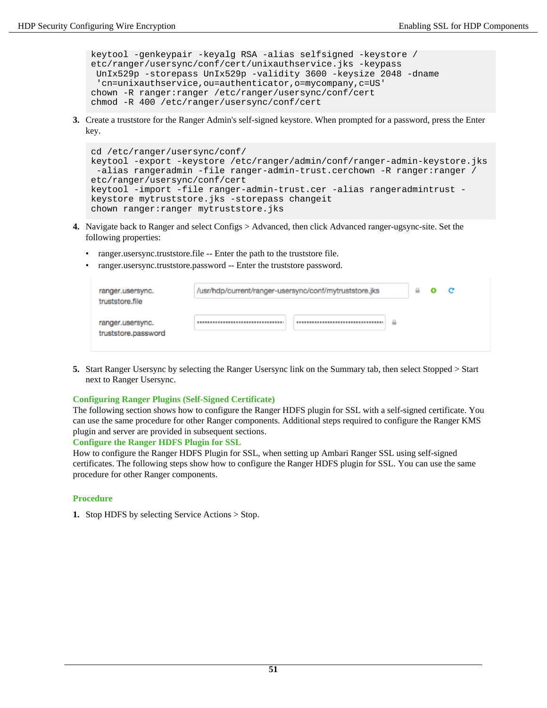keytool -genkeypair -keyalg RSA -alias selfsigned -keystore / etc/ranger/usersync/conf/cert/unixauthservice.jks -keypass UnIx529p -storepass UnIx529p -validity 3600 -keysize 2048 -dname 'cn=unixauthservice,ou=authenticator,o=mycompany,c=US' chown -R ranger: ranger /etc/ranger/usersync/conf/cert chmod -R 400 /etc/ranger/usersync/conf/cert

**3.** Create a truststore for the Ranger Admin's self-signed keystore. When prompted for a password, press the Enter key.

```
cd /etc/ranger/usersync/conf/
keytool -export -keystore /etc/ranger/admin/conf/ranger-admin-keystore.jks
 -alias rangeradmin -file ranger-admin-trust.cerchown -R ranger: ranger /
etc/ranger/usersync/conf/cert
keytool -import -file ranger-admin-trust.cer -alias rangeradmintrust -
keystore mytruststore.jks -storepass changeit
chown ranger: ranger mytruststore.jks
```
- **4.** Navigate back to Ranger and select Configs > Advanced, then click Advanced ranger-ugsync-site. Set the following properties:
	- ranger.usersync.truststore.file -- Enter the path to the truststore file.
	- ranger.usersync.truststore.password -- Enter the truststore password.

| ranger.usersync.<br>truststore.file     | /usr/hdp/current/ranger-usersync/conf/mytruststore.jks | ₩ | с |  |
|-----------------------------------------|--------------------------------------------------------|---|---|--|
| ranger.usersync.<br>truststore.password | ₽                                                      |   |   |  |

**5.** Start Ranger Usersync by selecting the Ranger Usersync link on the Summary tab, then select Stopped > Start next to Ranger Usersync.

#### **Configuring Ranger Plugins (Self-Signed Certificate)**

The following section shows how to configure the Ranger HDFS plugin for SSL with a self-signed certificate. You can use the same procedure for other Ranger components. Additional steps required to configure the Ranger KMS plugin and server are provided in subsequent sections.

#### **Configure the Ranger HDFS Plugin for SSL**

How to configure the Ranger HDFS Plugin for SSL, when setting up Ambari Ranger SSL using self-signed certificates. The following steps show how to configure the Ranger HDFS plugin for SSL. You can use the same procedure for other Ranger components.

### **Procedure**

**1.** Stop HDFS by selecting Service Actions > Stop.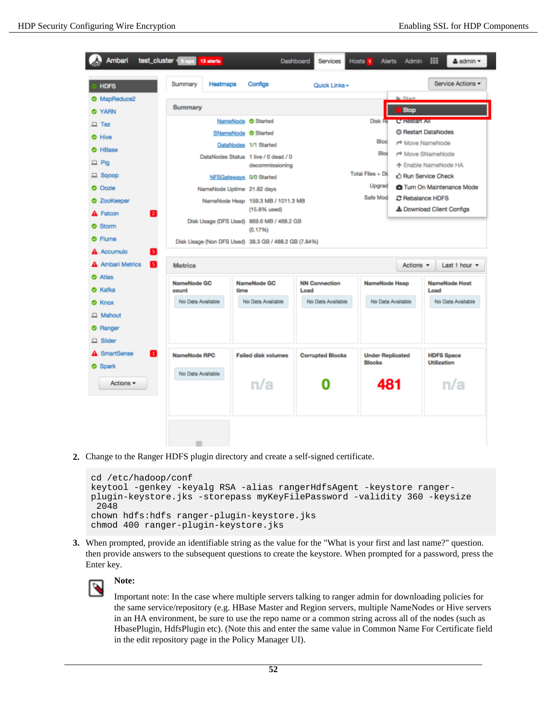| Ambari                                                         | test_cluster 0 ops<br>13 aierts                      |                                                                                    | Dashboard<br>Services        | Hosts <sub>1</sub><br><b>Alerts</b>             | Admin                                         | ▦<br>& admin ▼                                                  |
|----------------------------------------------------------------|------------------------------------------------------|------------------------------------------------------------------------------------|------------------------------|-------------------------------------------------|-----------------------------------------------|-----------------------------------------------------------------|
| <b>HDFS</b>                                                    | Summary<br>Heatmaps                                  | Configs                                                                            | Quick Links -                |                                                 |                                               | Service Actions -                                               |
| MapReduce2<br><b>O</b> YARN                                    | Summary                                              |                                                                                    |                              |                                                 | <b>N. Start</b><br><b>Stop</b>                |                                                                 |
| $\Box$ Tez<br><b>O</b> Hive                                    |                                                      | NameNode Started<br>SNameNode <sup>Started</sup><br>DataNodes 1/1 Started          |                              | Disk He<br>Bloc                                 | C-Present All<br>r <sup>+</sup> Move NameNode | @ Restart DataNodes                                             |
| <b>O</b> HBase<br>$\Box$ Pig<br>$\Box$ Sgoop                   |                                                      | DataNodes Status 1 live / 0 dead / 0<br>decommissioning<br>NFSGateways 0/0 Started |                              | Blod<br>Total Files + Dii                       | △ Run Service Check                           | r <sup>+</sup> Move SNameNode<br>个 Enable NameNode HA           |
| <b>O</b> Oozie<br><b>O</b> ZooKeeper                           | NameNode Uptime 21.82 days                           | NameNode Heap 159.3 MB / 1011.3 MB<br>$(15.8%$ used)                               |                              | Upgrad<br>Safe Mod                              | C Rebalance HDFS                              | <b>CI</b> Turn On Maintenance Mode<br>& Download Client Configs |
| A Falcon<br>12<br>Storm<br><b>Flume</b><br>⊛                   | Disk Usage (Non DFS Used) 38.3 GB / 488.2 GB (7.84%) | Disk Usage (DFS Used) 869.6 MB / 488.2 GB<br>(0.1796)                              |                              |                                                 |                                               |                                                                 |
| Accumulo<br>51<br><b>Ambari Metrics</b><br>в                   | <b>Metrics</b>                                       |                                                                                    |                              |                                                 | Actions $\blacktriangleright$                 | Last 1 hour =                                                   |
| <b>O</b> Atlas<br><b>O</b> Kafka                               | NameNode GC<br>oount                                 | NameNode GC<br>time                                                                | <b>NN Connection</b><br>Load | NameNode Heap                                   |                                               | NameNode Host<br>Load                                           |
| <b>O</b> Knox<br>$\Box$ Mahout<br>Ranger<br>◓<br>$\Box$ Slider | No Data Available                                    | No Data Available                                                                  | No Data Available            | No Data Available                               |                                               | No Data Available                                               |
| <b>A</b> SmartSense<br>П<br><b>O</b> Spark<br>Actions =        | NameNode RPC<br>No Data Available                    | <b>Failed disk volumes</b><br>n/a                                                  | <b>Corrupted Blocks</b>      | <b>Under Replicated</b><br><b>Blocks</b><br>481 |                                               | <b>HDFS Space</b><br><b>Utilization</b><br>n/a                  |
|                                                                |                                                      |                                                                                    |                              |                                                 |                                               |                                                                 |

**2.** Change to the Ranger HDFS plugin directory and create a self-signed certificate.

```
cd /etc/hadoop/conf
keytool -genkey -keyalg RSA -alias rangerHdfsAgent -keystore ranger-
plugin-keystore.jks -storepass myKeyFilePassword -validity 360 -keysize
  2048
chown hdfs:hdfs ranger-plugin-keystore.jks
chmod 400 ranger-plugin-keystore.jks
```
**3.** When prompted, provide an identifiable string as the value for the "What is your first and last name?" question. then provide answers to the subsequent questions to create the keystore. When prompted for a password, press the Enter key.



# **Note:**

Important note: In the case where multiple servers talking to ranger admin for downloading policies for the same service/repository (e.g. HBase Master and Region servers, multiple NameNodes or Hive servers in an HA environment, be sure to use the repo name or a common string across all of the nodes (such as HbasePlugin, HdfsPlugin etc). (Note this and enter the same value in Common Name For Certificate field in the edit repository page in the Policy Manager UI).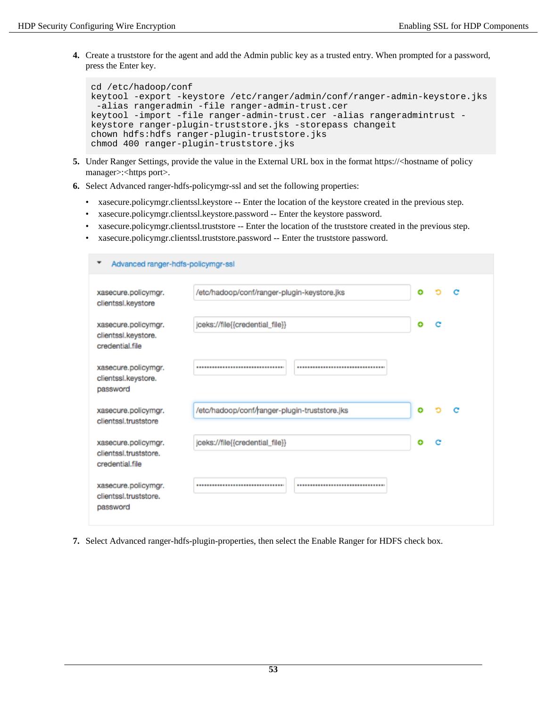**4.** Create a truststore for the agent and add the Admin public key as a trusted entry. When prompted for a password, press the Enter key.

```
cd /etc/hadoop/conf
keytool -export -keystore /etc/ranger/admin/conf/ranger-admin-keystore.jks
  -alias rangeradmin -file ranger-admin-trust.cer
keytool -import -file ranger-admin-trust.cer -alias rangeradmintrust -
keystore ranger-plugin-truststore.jks -storepass changeit
chown hdfs:hdfs ranger-plugin-truststore.jks
chmod 400 ranger-plugin-truststore.jks
```
- **5.** Under Ranger Settings, provide the value in the External URL box in the format https://<hostname of policy manager>:<https port>.
- **6.** Select Advanced ranger-hdfs-policymgr-ssl and set the following properties:
	- xasecure.policymgr.clientssl.keystore -- Enter the location of the keystore created in the previous step.
	- xasecure.policymgr.clientssl.keystore.password -- Enter the keystore password.
	- xasecure.policymgr.clientssl.truststore -- Enter the location of the truststore created in the previous step.
	- xasecure.policymgr.clientssl.truststore.password -- Enter the truststore password.

| Advanced ranger-hdfs-policymgr-ssl                              |                                               |   |   |   |
|-----------------------------------------------------------------|-----------------------------------------------|---|---|---|
| xasecure.policymgr.<br>clientssl.keystore                       | /etc/hadoop/conf/ranger-plugin-keystore.jks   | ۰ |   | е |
| xasecure.policymgr.<br>clientssl.keystore.<br>credential.file   | jceks://file{{credential_file}}               | ۰ | е |   |
| xasecure.policymgr.<br>clientssl.keystore.<br>password          | ,,,,,,,,,,,,,,,,,,,,,,,,,,,,,,,,,,            |   |   |   |
| xasecure.policymgr.<br>clientssl.truststore                     | /etc/hadoop/conf/ranger-plugin-truststore.jks | ۰ |   | е |
| xasecure.policymgr.<br>clientssl.truststore.<br>credential.file | jceks://file{{credential_file}}               | ۰ | c |   |
| xasecure.policymgr.<br>clientssl.truststore.<br>password        | <br>                                          |   |   |   |

**7.** Select Advanced ranger-hdfs-plugin-properties, then select the Enable Ranger for HDFS check box.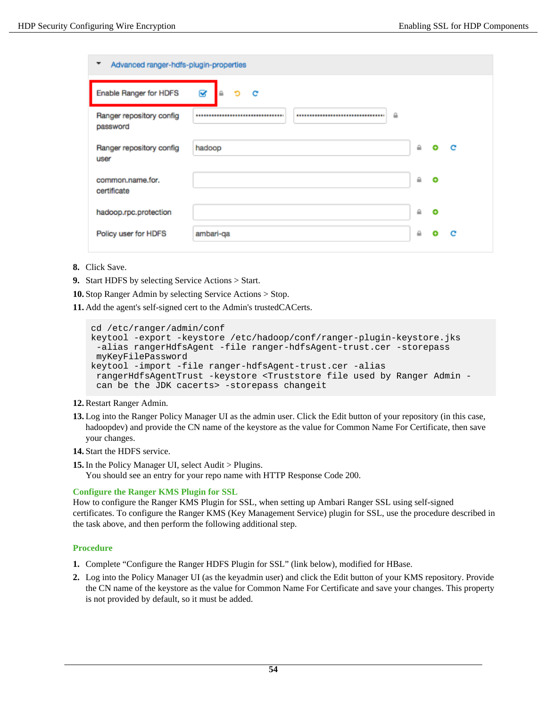| Advanced ranger-hdfs-plugin-properties<br>▼          |              |   |           |              |
|------------------------------------------------------|--------------|---|-----------|--------------|
| B<br>Enable Ranger for HDFS<br>Ю<br>$\triangle$<br>c |              |   |           |              |
| Ranger repository config<br><br>password             | $\mathbf{a}$ |   |           |              |
| Ranger repository config<br>hadoop<br>user           |              | ≙ | ٠         | $\mathbf{C}$ |
| common.name.for.<br>certificate                      |              | ≙ | $\bullet$ |              |
| hadoop.rpc.protection                                |              | ≙ | ۰         |              |
| ambari-qa<br>Policy user for HDFS                    |              | ≙ |           | c            |

- **8.** Click Save.
- **9.** Start HDFS by selecting Service Actions > Start.
- **10.**Stop Ranger Admin by selecting Service Actions > Stop.
- **11.** Add the agent's self-signed cert to the Admin's trustedCACerts.

```
cd /etc/ranger/admin/conf
keytool -export -keystore /etc/hadoop/conf/ranger-plugin-keystore.jks
  -alias rangerHdfsAgent -file ranger-hdfsAgent-trust.cer -storepass
 myKeyFilePassword
keytool -import -file ranger-hdfsAgent-trust.cer -alias
  rangerHdfsAgentTrust -keystore <Truststore file used by Ranger Admin -
  can be the JDK cacerts> -storepass changeit
```
### **12.** Restart Ranger Admin.

- **13.** Log into the Ranger Policy Manager UI as the admin user. Click the Edit button of your repository (in this case, hadoopdev) and provide the CN name of the keystore as the value for Common Name For Certificate, then save your changes.
- **14.**Start the HDFS service.

**15.** In the Policy Manager UI, select Audit > Plugins.

You should see an entry for your repo name with HTTP Response Code 200.

### <span id="page-53-0"></span>**Configure the Ranger KMS Plugin for SSL**

How to configure the Ranger KMS Plugin for SSL, when setting up Ambari Ranger SSL using self-signed certificates. To configure the Ranger KMS (Key Management Service) plugin for SSL, use the procedure described in the task above, and then perform the following additional step.

### **Procedure**

- **1.** Complete "Configure the Ranger HDFS Plugin for SSL" (link below), modified for HBase.
- **2.** Log into the Policy Manager UI (as the keyadmin user) and click the Edit button of your KMS repository. Provide the CN name of the keystore as the value for Common Name For Certificate and save your changes. This property is not provided by default, so it must be added.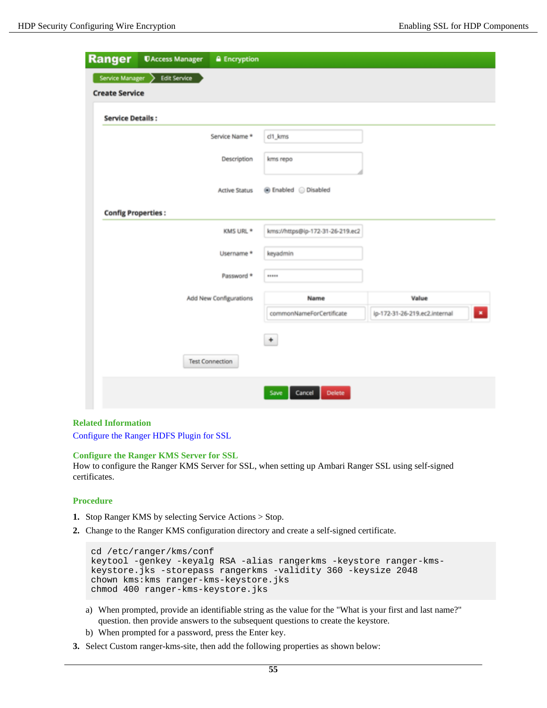| <b>Ranger</b>                              | <b><i>UAccess Manager</i></b> | <b>A</b> Encryption    |                                  |                               |
|--------------------------------------------|-------------------------------|------------------------|----------------------------------|-------------------------------|
| Service Manager ><br><b>Create Service</b> | <b>Edit Service</b>           |                        |                                  |                               |
| <b>Service Details:</b>                    |                               |                        |                                  |                               |
|                                            |                               | Service Name *         | cl1_kms                          |                               |
|                                            |                               | Description            | kms repo                         |                               |
|                                            |                               | <b>Active Status</b>   | <b> ■</b> Enabled  ■ Disabled    |                               |
| <b>Config Properties:</b>                  |                               |                        |                                  |                               |
|                                            |                               | KMS URL *              | kms://https@ip-172-31-26-219.ec2 |                               |
|                                            |                               | Username *             | keyadmin                         |                               |
|                                            |                               | Password *             | *****                            |                               |
|                                            |                               | Add New Configurations | Name                             | Value                         |
|                                            |                               |                        | commonNameForCertificate         | ip-172-31-26-219.ec2.internal |
|                                            |                               |                        | $^\mathrm{+}$                    |                               |
|                                            |                               | <b>Test Connection</b> |                                  |                               |
|                                            |                               |                        | Cancel<br>Delete<br>Save         |                               |

### **Related Information**

[Configure the Ranger HDFS Plugin for SSL](#page-38-0)

#### **Configure the Ranger KMS Server for SSL**

How to configure the Ranger KMS Server for SSL, when setting up Ambari Ranger SSL using self-signed certificates.

### **Procedure**

- **1.** Stop Ranger KMS by selecting Service Actions > Stop.
- **2.** Change to the Ranger KMS configuration directory and create a self-signed certificate.

```
cd /etc/ranger/kms/conf
keytool -genkey -keyalg RSA -alias rangerkms -keystore ranger-kms-
keystore.jks -storepass rangerkms -validity 360 -keysize 2048
chown kms:kms ranger-kms-keystore.jks
chmod 400 ranger-kms-keystore.jks
```
- a) When prompted, provide an identifiable string as the value for the "What is your first and last name?" question. then provide answers to the subsequent questions to create the keystore.
- b) When prompted for a password, press the Enter key.
- **3.** Select Custom ranger-kms-site, then add the following properties as shown below: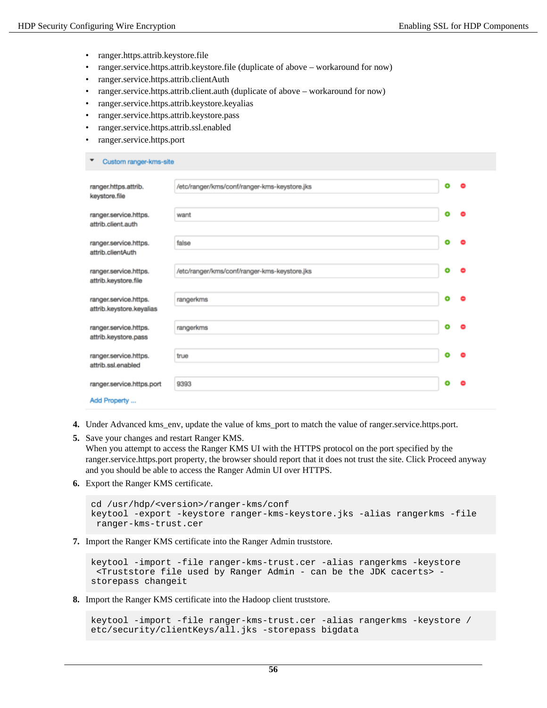- ranger.https.attrib.keystore.file
- ranger.service.https.attrib.keystore.file (duplicate of above workaround for now)
- ranger.service.https.attrib.clientAuth
- ranger.service.https.attrib.client.auth (duplicate of above workaround for now)
- ranger.service.https.attrib.keystore.keyalias
- ranger.service.https.attrib.keystore.pass
- ranger.service.https.attrib.ssl.enabled
- ranger.service.https.port

| /etc/ranger/kms/conf/ranger-kms-keystore.jks<br>۰<br>0<br>ranger.https.attrib.<br>keystore.file    |
|----------------------------------------------------------------------------------------------------|
|                                                                                                    |
| ۰<br>ranger.service.https.<br>want<br>attrib.client.auth                                           |
| ۰<br>ranger.service.https.<br>false<br>attrib.clientAuth                                           |
| ۰<br>/etc/ranger/kms/conf/ranger-kms-keystore.jks<br>ranger.service.https.<br>attrib.keystore.file |
| ۰<br>۰<br>rangerkms<br>ranger.service.https.<br>attrib.keystore.keyalias                           |
| ٥<br>rangerkms<br>ranger.service.https.<br>attrib.keystore.pass                                    |
| ۰<br>ranger.service.https.<br>true<br>attrib.ssl.enabled                                           |
| ۰<br>ranger.service.https.port<br>9393<br>Add Property                                             |

- **4.** Under Advanced kms\_env, update the value of kms\_port to match the value of ranger.service.https.port.
- **5.** Save your changes and restart Ranger KMS. When you attempt to access the Ranger KMS UI with the HTTPS protocol on the port specified by the ranger.service.https.port property, the browser should report that it does not trust the site. Click Proceed anyway and you should be able to access the Ranger Admin UI over HTTPS.
- **6.** Export the Ranger KMS certificate.

```
cd /usr/hdp/<version>/ranger-kms/conf
keytool -export -keystore ranger-kms-keystore.jks -alias rangerkms -file
  ranger-kms-trust.cer
```
**7.** Import the Ranger KMS certificate into the Ranger Admin truststore.

```
keytool -import -file ranger-kms-trust.cer -alias rangerkms -keystore
  <Truststore file used by Ranger Admin - can be the JDK cacerts> -
storepass changeit
```
**8.** Import the Ranger KMS certificate into the Hadoop client truststore.

```
keytool -import -file ranger-kms-trust.cer -alias rangerkms -keystore /
etc/security/clientKeys/all.jks -storepass bigdata
```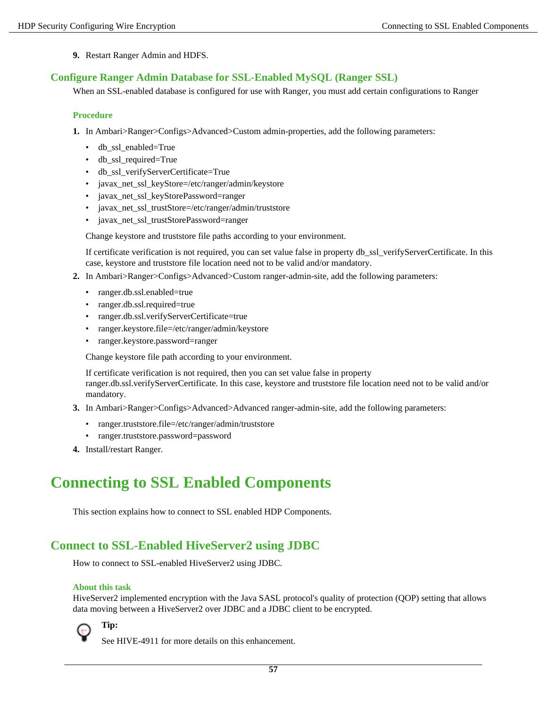**9.** Restart Ranger Admin and HDFS.

## <span id="page-56-0"></span>**Configure Ranger Admin Database for SSL-Enabled MySQL (Ranger SSL)**

When an SSL-enabled database is configured for use with Ranger, you must add certain configurations to Ranger

### **Procedure**

- **1.** In Ambari>Ranger>Configs>Advanced>Custom admin-properties, add the following parameters:
	- db\_ssl\_enabled=True
	- db\_ssl\_required=True
	- db\_ssl\_verifyServerCertificate=True
	- javax\_net\_ssl\_keyStore=/etc/ranger/admin/keystore
	- javax\_net\_ssl\_keyStorePassword=ranger
	- javax\_net\_ssl\_trustStore=/etc/ranger/admin/truststore
	- javax\_net\_ssl\_trustStorePassword=ranger

Change keystore and truststore file paths according to your environment.

If certificate verification is not required, you can set value false in property db\_ssl\_verifyServerCertificate. In this case, keystore and truststore file location need not to be valid and/or mandatory.

- **2.** In Ambari>Ranger>Configs>Advanced>Custom ranger-admin-site, add the following parameters:
	- ranger.db.ssl.enabled=true
	- ranger.db.ssl.required=true
	- ranger.db.ssl.verifyServerCertificate=true
	- ranger.keystore.file=/etc/ranger/admin/keystore
	- ranger.keystore.password=ranger

Change keystore file path according to your environment.

If certificate verification is not required, then you can set value false in property ranger.db.ssl.verifyServerCertificate. In this case, keystore and truststore file location need not to be valid and/or mandatory.

- **3.** In Ambari>Ranger>Configs>Advanced>Advanced ranger-admin-site, add the following parameters:
	- ranger.truststore.file=/etc/ranger/admin/truststore
	- ranger.truststore.password=password
- **4.** Install/restart Ranger.

# <span id="page-56-1"></span>**Connecting to SSL Enabled Components**

This section explains how to connect to SSL enabled HDP Components.

# <span id="page-56-2"></span>**Connect to SSL-Enabled HiveServer2 using JDBC**

How to connect to SSL-enabled HiveServer2 using JDBC.

### **About this task**

HiveServer2 implemented encryption with the Java SASL protocol's quality of protection (QOP) setting that allows data moving between a HiveServer2 over JDBC and a JDBC client to be encrypted.



**Tip:**

See HIVE-4911 for more details on this enhancement.